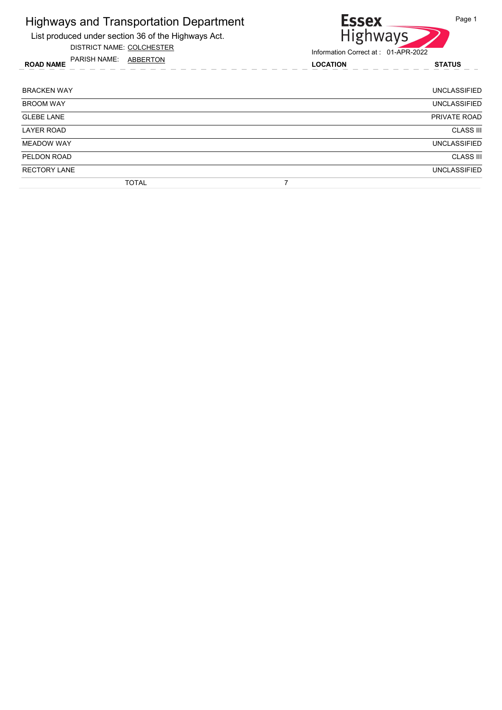

DISTRICT NAME: COLCHESTER



Information Correct at : 01-APR-2022

ROAD NAME LOCATION STATUS PARISH NAME: ABBERTON

BRACKEN WAY UNCLASSIFIED BROOM WAY UNCLASSIFIED **GLEBE LANE** PRIVATE ROAD LAYER ROAD CLASS III WEADOW WAY UNCLASSIFIED PELDON ROAD CLASS III RECTORY LANE UNCLASSIFIED TOTAL 7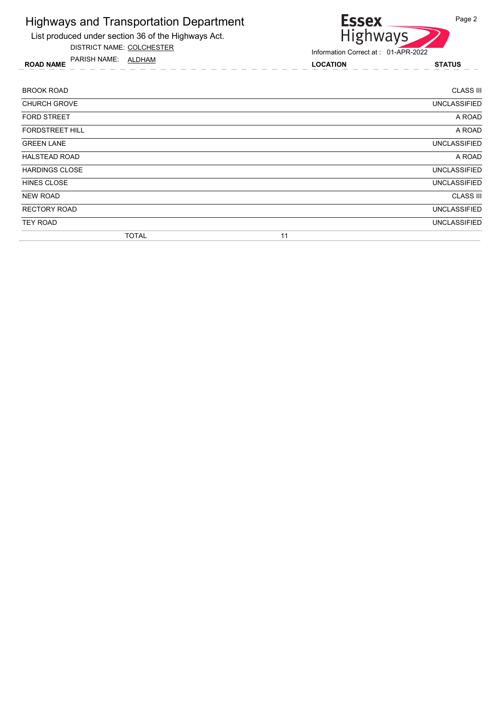

List produced under section 36 of the Highways Act. DISTRICT NAME: COLCHESTER

Information Correct at : 01-APR-2022

ROAD NAME LOCATION STATUS PARISH NAME: ALDHAM

| <b>BROOK ROAD</b>      | <b>CLASS III</b>    |
|------------------------|---------------------|
| <b>CHURCH GROVE</b>    | <b>UNCLASSIFIED</b> |
| <b>FORD STREET</b>     | A ROAD              |
| <b>FORDSTREET HILL</b> | A ROAD              |
| <b>GREEN LANE</b>      | <b>UNCLASSIFIED</b> |
| <b>HALSTEAD ROAD</b>   | A ROAD              |
| <b>HARDINGS CLOSE</b>  | <b>UNCLASSIFIED</b> |
| <b>HINES CLOSE</b>     | <b>UNCLASSIFIED</b> |
| <b>NEW ROAD</b>        | <b>CLASS III</b>    |
| <b>RECTORY ROAD</b>    | <b>UNCLASSIFIED</b> |
| <b>TEY ROAD</b>        | <b>UNCLASSIFIED</b> |
| <b>TOTAL</b>           | 11                  |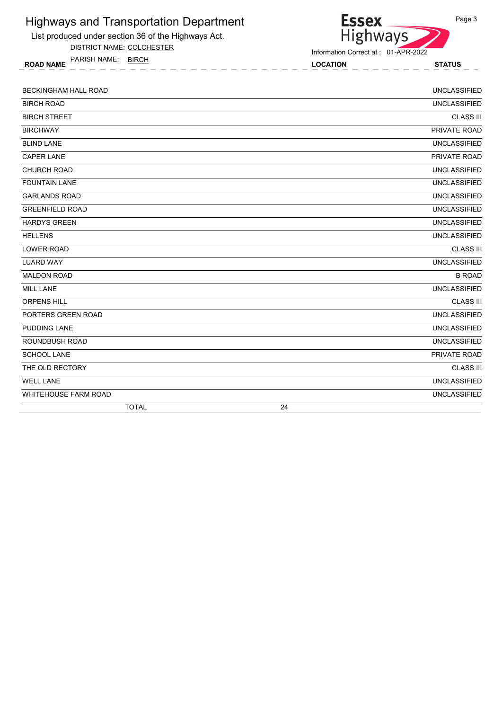

DISTRICT NAME: COLCHESTER

ROAD NAME LOCATION STATUS PARISH NAME: BIRCH



Information Correct at : 01-APR-2022

| <b>BECKINGHAM HALL ROAD</b> |    | <b>UNCLASSIFIED</b> |
|-----------------------------|----|---------------------|
| <b>BIRCH ROAD</b>           |    | <b>UNCLASSIFIED</b> |
| <b>BIRCH STREET</b>         |    | <b>CLASS III</b>    |
| <b>BIRCHWAY</b>             |    | PRIVATE ROAD        |
| <b>BLIND LANE</b>           |    | <b>UNCLASSIFIED</b> |
| CAPER LANE                  |    | PRIVATE ROAD        |
| CHURCH ROAD                 |    | <b>UNCLASSIFIED</b> |
| <b>FOUNTAIN LANE</b>        |    | <b>UNCLASSIFIED</b> |
| <b>GARLANDS ROAD</b>        |    | <b>UNCLASSIFIED</b> |
| <b>GREENFIELD ROAD</b>      |    | <b>UNCLASSIFIED</b> |
| <b>HARDYS GREEN</b>         |    | <b>UNCLASSIFIED</b> |
| <b>HELLENS</b>              |    | <b>UNCLASSIFIED</b> |
| LOWER ROAD                  |    | <b>CLASS III</b>    |
| <b>LUARD WAY</b>            |    | <b>UNCLASSIFIED</b> |
| <b>MALDON ROAD</b>          |    | <b>B ROAD</b>       |
| <b>MILL LANE</b>            |    | <b>UNCLASSIFIED</b> |
| <b>ORPENS HILL</b>          |    | <b>CLASS III</b>    |
| PORTERS GREEN ROAD          |    | <b>UNCLASSIFIED</b> |
| PUDDING LANE                |    | <b>UNCLASSIFIED</b> |
| ROUNDBUSH ROAD              |    | <b>UNCLASSIFIED</b> |
| <b>SCHOOL LANE</b>          |    | PRIVATE ROAD        |
| THE OLD RECTORY             |    | <b>CLASS III</b>    |
| <b>WELL LANE</b>            |    | <b>UNCLASSIFIED</b> |
| <b>WHITEHOUSE FARM ROAD</b> |    | <b>UNCLASSIFIED</b> |
| <b>TOTAL</b>                | 24 |                     |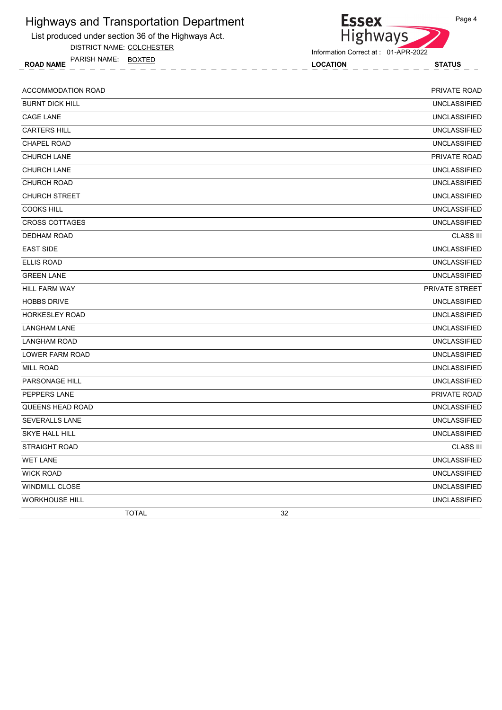

DISTRICT NAME: COLCHESTER

ROAD NAME LOCATION STATUS PARISH NAME: BOXTED



Information Correct at : 01-APR-2022

| <b>ACCOMMODATION ROAD</b> | PRIVATE ROAD        |
|---------------------------|---------------------|
| <b>BURNT DICK HILL</b>    | <b>UNCLASSIFIED</b> |
| <b>CAGE LANE</b>          | <b>UNCLASSIFIED</b> |
| <b>CARTERS HILL</b>       | <b>UNCLASSIFIED</b> |
| <b>CHAPEL ROAD</b>        | <b>UNCLASSIFIED</b> |
| <b>CHURCH LANE</b>        | PRIVATE ROAD        |
| <b>CHURCH LANE</b>        | <b>UNCLASSIFIED</b> |
| <b>CHURCH ROAD</b>        | <b>UNCLASSIFIED</b> |
| <b>CHURCH STREET</b>      | <b>UNCLASSIFIED</b> |
| <b>COOKS HILL</b>         | <b>UNCLASSIFIED</b> |
| <b>CROSS COTTAGES</b>     | <b>UNCLASSIFIED</b> |
| <b>DEDHAM ROAD</b>        | <b>CLASS III</b>    |
| <b>EAST SIDE</b>          | <b>UNCLASSIFIED</b> |
| <b>ELLIS ROAD</b>         | <b>UNCLASSIFIED</b> |
| <b>GREEN LANE</b>         | <b>UNCLASSIFIED</b> |
| <b>HILL FARM WAY</b>      | PRIVATE STREET      |
| <b>HOBBS DRIVE</b>        | <b>UNCLASSIFIED</b> |
| <b>HORKESLEY ROAD</b>     | <b>UNCLASSIFIED</b> |
| <b>LANGHAM LANE</b>       | <b>UNCLASSIFIED</b> |
| <b>LANGHAM ROAD</b>       | <b>UNCLASSIFIED</b> |
| LOWER FARM ROAD           | <b>UNCLASSIFIED</b> |
| <b>MILL ROAD</b>          | <b>UNCLASSIFIED</b> |
| PARSONAGE HILL            | <b>UNCLASSIFIED</b> |
| PEPPERS LANE              | PRIVATE ROAD        |
| QUEENS HEAD ROAD          | <b>UNCLASSIFIED</b> |
| <b>SEVERALLS LANE</b>     | <b>UNCLASSIFIED</b> |
| <b>SKYE HALL HILL</b>     | <b>UNCLASSIFIED</b> |
| <b>STRAIGHT ROAD</b>      | <b>CLASS III</b>    |
| <b>WET LANE</b>           | <b>UNCLASSIFIED</b> |
| <b>WICK ROAD</b>          | <b>UNCLASSIFIED</b> |
| <b>WINDMILL CLOSE</b>     | <b>UNCLASSIFIED</b> |
| <b>WORKHOUSE HILL</b>     | <b>UNCLASSIFIED</b> |
| <b>TOTAL</b>              | 32                  |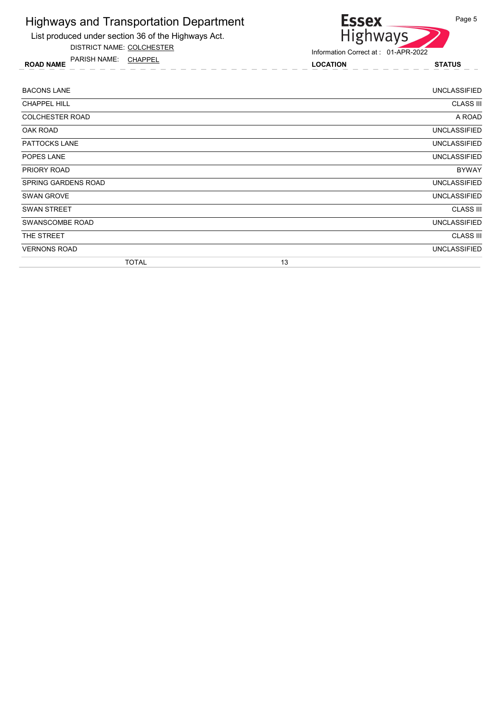

List produced under section 36 of the Highways Act.

DISTRICT NAME: COLCHESTER

ROAD NAME LOCATION STATUS PARISH NAME: CHAPPEL

| <b>BACONS LANE</b>     |              |    | UNCLASSIFIED        |
|------------------------|--------------|----|---------------------|
| <b>CHAPPEL HILL</b>    |              |    | <b>CLASS III</b>    |
| <b>COLCHESTER ROAD</b> |              |    | A ROAD              |
| OAK ROAD               |              |    | UNCLASSIFIED        |
| PATTOCKS LANE          |              |    | UNCLASSIFIED        |
| POPES LANE             |              |    | <b>UNCLASSIFIED</b> |
| PRIORY ROAD            |              |    | <b>BYWAY</b>        |
| SPRING GARDENS ROAD    |              |    | <b>UNCLASSIFIED</b> |
| SWAN GROVE             |              |    | <b>UNCLASSIFIED</b> |
| <b>SWAN STREET</b>     |              |    | <b>CLASS III</b>    |
| SWANSCOMBE ROAD        |              |    | <b>UNCLASSIFIED</b> |
| THE STREET             |              |    | <b>CLASS III</b>    |
| <b>VERNONS ROAD</b>    |              |    | <b>UNCLASSIFIED</b> |
|                        | <b>TOTAL</b> | 13 |                     |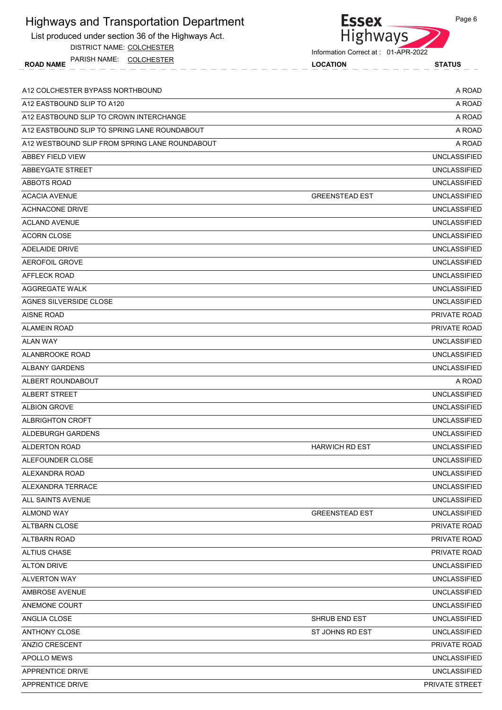| List produced under section 36 of the Highways Act. | Highways                            |                       |
|-----------------------------------------------------|-------------------------------------|-----------------------|
| DISTRICT NAME: COLCHESTER                           | Information Correct at: 01-APR-2022 |                       |
| PARISH NAME: COLCHESTER<br><b>ROAD NAME</b>         | <b>LOCATION</b>                     | <b>STATUS</b>         |
| A12 COLCHESTER BYPASS NORTHBOUND                    |                                     | A ROAD                |
| A12 EASTBOUND SLIP TO A120                          |                                     | A ROAD                |
| A12 EASTBOUND SLIP TO CROWN INTERCHANGE             |                                     | A ROAD                |
| A12 EASTBOUND SLIP TO SPRING LANE ROUNDABOUT        |                                     | A ROAD                |
| A12 WESTBOUND SLIP FROM SPRING LANE ROUNDABOUT      |                                     | A ROAD                |
| <b>ABBEY FIELD VIEW</b>                             |                                     | <b>UNCLASSIFIED</b>   |
| ABBEYGATE STREET                                    |                                     | <b>UNCLASSIFIED</b>   |
| ABBOTS ROAD                                         |                                     | <b>UNCLASSIFIED</b>   |
| <b>ACACIA AVENUE</b>                                | <b>GREENSTEAD EST</b>               | <b>UNCLASSIFIED</b>   |
| <b>ACHNACONE DRIVE</b>                              |                                     | <b>UNCLASSIFIED</b>   |
| <b>ACLAND AVENUE</b>                                |                                     | <b>UNCLASSIFIED</b>   |
| <b>ACORN CLOSE</b>                                  |                                     | <b>UNCLASSIFIED</b>   |
| ADELAIDE DRIVE                                      |                                     | <b>UNCLASSIFIED</b>   |
| <b>AEROFOIL GROVE</b>                               |                                     | <b>UNCLASSIFIED</b>   |
| AFFLECK ROAD                                        |                                     | <b>UNCLASSIFIED</b>   |
| <b>AGGREGATE WALK</b>                               |                                     | <b>UNCLASSIFIED</b>   |
| AGNES SILVERSIDE CLOSE                              |                                     | <b>UNCLASSIFIED</b>   |
| <b>AISNE ROAD</b>                                   |                                     | PRIVATE ROAD          |
| <b>ALAMEIN ROAD</b>                                 |                                     | PRIVATE ROAD          |
| <b>ALAN WAY</b>                                     |                                     | <b>UNCLASSIFIED</b>   |
| ALANBROOKE ROAD                                     |                                     | <b>UNCLASSIFIED</b>   |
| <b>ALBANY GARDENS</b>                               |                                     | <b>UNCLASSIFIED</b>   |
| ALBERT ROUNDABOUT                                   |                                     | A ROAD                |
| <b>ALBERT STREET</b>                                |                                     | <b>UNCLASSIFIED</b>   |
| <b>ALBION GROVE</b>                                 |                                     | <b>UNCLASSIFIED</b>   |
| <b>ALBRIGHTON CROFT</b>                             |                                     | <b>UNCLASSIFIED</b>   |
| ALDEBURGH GARDENS                                   |                                     | <b>UNCLASSIFIED</b>   |
| <b>ALDERTON ROAD</b>                                | <b>HARWICH RD EST</b>               | <b>UNCLASSIFIED</b>   |
| ALEFOUNDER CLOSE                                    |                                     | <b>UNCLASSIFIED</b>   |
| ALEXANDRA ROAD                                      |                                     | <b>UNCLASSIFIED</b>   |
| ALEXANDRA TERRACE                                   |                                     | <b>UNCLASSIFIED</b>   |
| ALL SAINTS AVENUE                                   |                                     | <b>UNCLASSIFIED</b>   |
| <b>ALMOND WAY</b>                                   | <b>GREENSTEAD EST</b>               | <b>UNCLASSIFIED</b>   |
| ALTBARN CLOSE                                       |                                     | PRIVATE ROAD          |
| <b>ALTBARN ROAD</b>                                 |                                     | PRIVATE ROAD          |
| ALTIUS CHASE                                        |                                     | PRIVATE ROAD          |
| <b>ALTON DRIVE</b>                                  |                                     | <b>UNCLASSIFIED</b>   |
| <b>ALVERTON WAY</b>                                 |                                     | <b>UNCLASSIFIED</b>   |
| AMBROSE AVENUE                                      |                                     | <b>UNCLASSIFIED</b>   |
| ANEMONE COURT                                       |                                     | <b>UNCLASSIFIED</b>   |
| ANGLIA CLOSE                                        | SHRUB END EST                       | <b>UNCLASSIFIED</b>   |
| ANTHONY CLOSE                                       | ST JOHNS RD EST                     | <b>UNCLASSIFIED</b>   |
| ANZIO CRESCENT                                      |                                     | PRIVATE ROAD          |
| APOLLO MEWS                                         |                                     | <b>UNCLASSIFIED</b>   |
| APPRENTICE DRIVE                                    |                                     | <b>UNCLASSIFIED</b>   |
| APPRENTICE DRIVE                                    |                                     | <b>PRIVATE STREET</b> |
|                                                     |                                     |                       |

Page 6

**Essex** 

Highways and Transportation Department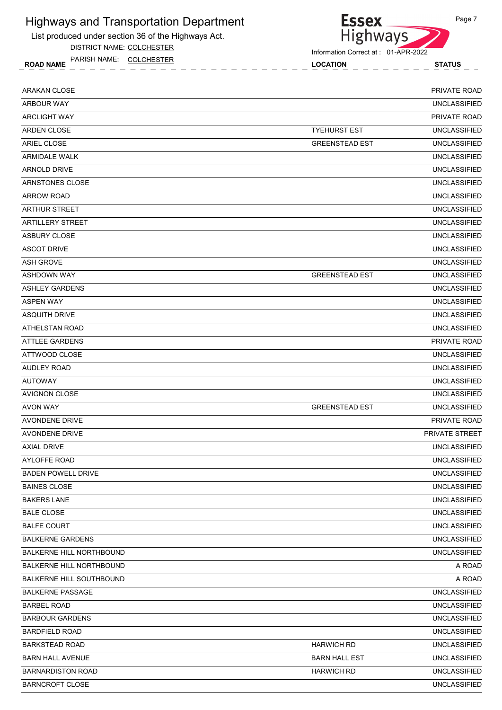List produced under section 36 of the Highways Act.

DISTRICT NAME: COLCHESTER

ROAD NAME LOCATION STATUS PARISH NAME: COLCHESTER



| <b>ARAKAN CLOSE</b>       |                       | PRIVATE ROAD        |
|---------------------------|-----------------------|---------------------|
| <b>ARBOUR WAY</b>         |                       | <b>UNCLASSIFIED</b> |
| <b>ARCLIGHT WAY</b>       |                       | <b>PRIVATE ROAD</b> |
| <b>ARDEN CLOSE</b>        | <b>TYEHURST EST</b>   | <b>UNCLASSIFIED</b> |
| <b>ARIEL CLOSE</b>        | <b>GREENSTEAD EST</b> | <b>UNCLASSIFIED</b> |
| <b>ARMIDALE WALK</b>      |                       | <b>UNCLASSIFIED</b> |
| <b>ARNOLD DRIVE</b>       |                       | <b>UNCLASSIFIED</b> |
| ARNSTONES CLOSE           |                       | <b>UNCLASSIFIED</b> |
| <b>ARROW ROAD</b>         |                       | <b>UNCLASSIFIED</b> |
| <b>ARTHUR STREET</b>      |                       | <b>UNCLASSIFIED</b> |
| <b>ARTILLERY STREET</b>   |                       | <b>UNCLASSIFIED</b> |
| <b>ASBURY CLOSE</b>       |                       | <b>UNCLASSIFIED</b> |
| <b>ASCOT DRIVE</b>        |                       | <b>UNCLASSIFIED</b> |
| <b>ASH GROVE</b>          |                       | <b>UNCLASSIFIED</b> |
| <b>ASHDOWN WAY</b>        | <b>GREENSTEAD EST</b> | <b>UNCLASSIFIED</b> |
| <b>ASHLEY GARDENS</b>     |                       | <b>UNCLASSIFIED</b> |
| <b>ASPEN WAY</b>          |                       | <b>UNCLASSIFIED</b> |
| <b>ASQUITH DRIVE</b>      |                       | <b>UNCLASSIFIED</b> |
| ATHELSTAN ROAD            |                       | <b>UNCLASSIFIED</b> |
| <b>ATTLEE GARDENS</b>     |                       | <b>PRIVATE ROAD</b> |
| ATTWOOD CLOSE             |                       | <b>UNCLASSIFIED</b> |
| <b>AUDLEY ROAD</b>        |                       | <b>UNCLASSIFIED</b> |
| AUTOWAY                   |                       | <b>UNCLASSIFIED</b> |
| <b>AVIGNON CLOSE</b>      |                       | <b>UNCLASSIFIED</b> |
| <b>AVON WAY</b>           | <b>GREENSTEAD EST</b> | <b>UNCLASSIFIED</b> |
| <b>AVONDENE DRIVE</b>     |                       | <b>PRIVATE ROAD</b> |
| <b>AVONDENE DRIVE</b>     |                       | PRIVATE STREET      |
| <b>AXIAL DRIVE</b>        |                       | <b>UNCLASSIFIED</b> |
| <b>AYLOFFE ROAD</b>       |                       | <b>UNCLASSIFIED</b> |
| <b>BADEN POWELL DRIVE</b> |                       | <b>UNCLASSIFIED</b> |
| <b>BAINES CLOSE</b>       |                       | <b>UNCLASSIFIED</b> |
| <b>BAKERS LANE</b>        |                       | <b>UNCLASSIFIED</b> |
| <b>BALE CLOSE</b>         |                       | <b>UNCLASSIFIED</b> |
| <b>BALFE COURT</b>        |                       | <b>UNCLASSIFIED</b> |
| <b>BALKERNE GARDENS</b>   |                       | <b>UNCLASSIFIED</b> |
| BALKERNE HILL NORTHBOUND  |                       | <b>UNCLASSIFIED</b> |
| BALKERNE HILL NORTHBOUND  |                       | A ROAD              |
| BALKERNE HILL SOUTHBOUND  |                       | A ROAD              |
| <b>BALKERNE PASSAGE</b>   |                       | <b>UNCLASSIFIED</b> |
| <b>BARBEL ROAD</b>        |                       | <b>UNCLASSIFIED</b> |
| <b>BARBOUR GARDENS</b>    |                       | UNCLASSIFIED        |
| <b>BARDFIELD ROAD</b>     |                       | <b>UNCLASSIFIED</b> |
| <b>BARKSTEAD ROAD</b>     | <b>HARWICH RD</b>     | <b>UNCLASSIFIED</b> |
| <b>BARN HALL AVENUE</b>   | <b>BARN HALL EST</b>  | <b>UNCLASSIFIED</b> |
| <b>BARNARDISTON ROAD</b>  | <b>HARWICH RD</b>     | <b>UNCLASSIFIED</b> |
| <b>BARNCROFT CLOSE</b>    |                       | <b>UNCLASSIFIED</b> |
|                           |                       |                     |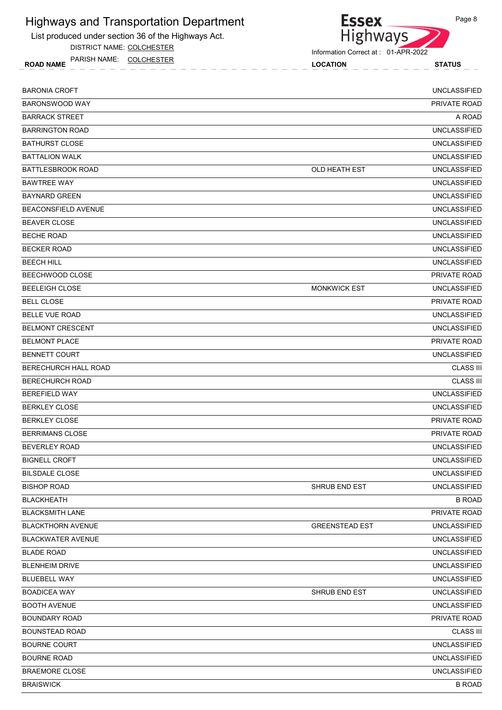List produced under section 36 of the Highways Act.

DISTRICT NAME: COLCHESTER

ROAD NAME LOCATION STATUS PARISH NAME: COLCHESTER



Information Correct at : 01-APR-2022

| <b>BARONIA CROFT</b>        |                       | <b>UNCLASSIFIED</b> |
|-----------------------------|-----------------------|---------------------|
| <b>BARONSWOOD WAY</b>       |                       | <b>PRIVATE ROAD</b> |
| <b>BARRACK STREET</b>       |                       | A ROAD              |
| <b>BARRINGTON ROAD</b>      |                       | <b>UNCLASSIFIED</b> |
| <b>BATHURST CLOSE</b>       |                       | <b>UNCLASSIFIED</b> |
| <b>BATTALION WALK</b>       |                       | <b>UNCLASSIFIED</b> |
| <b>BATTLESBROOK ROAD</b>    | OLD HEATH EST         | <b>UNCLASSIFIED</b> |
| <b>BAWTREE WAY</b>          |                       | <b>UNCLASSIFIED</b> |
| <b>BAYNARD GREEN</b>        |                       | <b>UNCLASSIFIED</b> |
| BEACONSFIELD AVENUE         |                       | <b>UNCLASSIFIED</b> |
| <b>BEAVER CLOSE</b>         |                       | <b>UNCLASSIFIED</b> |
| <b>BECHE ROAD</b>           |                       | <b>UNCLASSIFIED</b> |
| <b>BECKER ROAD</b>          |                       | <b>UNCLASSIFIED</b> |
| <b>BEECH HILL</b>           |                       | <b>UNCLASSIFIED</b> |
| BEECHWOOD CLOSE             |                       | PRIVATE ROAD        |
| <b>BEELEIGH CLOSE</b>       | <b>MONKWICK EST</b>   | <b>UNCLASSIFIED</b> |
| <b>BELL CLOSE</b>           |                       | PRIVATE ROAD        |
| <b>BELLE VUE ROAD</b>       |                       | <b>UNCLASSIFIED</b> |
| <b>BELMONT CRESCENT</b>     |                       | <b>UNCLASSIFIED</b> |
| <b>BELMONT PLACE</b>        |                       | PRIVATE ROAD        |
| <b>BENNETT COURT</b>        |                       | <b>UNCLASSIFIED</b> |
| <b>BERECHURCH HALL ROAD</b> |                       | <b>CLASS III</b>    |
| <b>BERECHURCH ROAD</b>      |                       | <b>CLASS III</b>    |
| <b>BEREFIELD WAY</b>        |                       | <b>UNCLASSIFIED</b> |
| <b>BERKLEY CLOSE</b>        |                       | <b>UNCLASSIFIED</b> |
| <b>BERKLEY CLOSE</b>        |                       | <b>PRIVATE ROAD</b> |
| <b>BERRIMANS CLOSE</b>      |                       | PRIVATE ROAD        |
| <b>BEVERLEY ROAD</b>        |                       | <b>UNCLASSIFIED</b> |
| <b>BIGNELL CROFT</b>        |                       | <b>UNCLASSIFIED</b> |
| <b>BILSDALE CLOSE</b>       |                       | <b>UNCLASSIFIED</b> |
| <b>BISHOP ROAD</b>          | SHRUB END EST         | <b>UNCLASSIFIED</b> |
| <b>BLACKHEATH</b>           |                       | <b>B ROAD</b>       |
| <b>BLACKSMITH LANE</b>      |                       | PRIVATE ROAD        |
| <b>BLACKTHORN AVENUE</b>    | <b>GREENSTEAD EST</b> | <b>UNCLASSIFIED</b> |
| <b>BLACKWATER AVENUE</b>    |                       | <b>UNCLASSIFIED</b> |
| <b>BLADE ROAD</b>           |                       | UNCLASSIFIED        |
| <b>BLENHEIM DRIVE</b>       |                       | <b>UNCLASSIFIED</b> |
| <b>BLUEBELL WAY</b>         |                       | <b>UNCLASSIFIED</b> |
| <b>BOADICEA WAY</b>         | SHRUB END EST         | <b>UNCLASSIFIED</b> |
| <b>BOOTH AVENUE</b>         |                       | <b>UNCLASSIFIED</b> |
| <b>BOUNDARY ROAD</b>        |                       | PRIVATE ROAD        |
| <b>BOUNSTEAD ROAD</b>       |                       | <b>CLASS III</b>    |
| <b>BOURNE COURT</b>         |                       | <b>UNCLASSIFIED</b> |
| <b>BOURNE ROAD</b>          |                       | <b>UNCLASSIFIED</b> |
| <b>BRAEMORE CLOSE</b>       |                       | <b>UNCLASSIFIED</b> |
| <b>BRAISWICK</b>            |                       | <b>B ROAD</b>       |
|                             |                       |                     |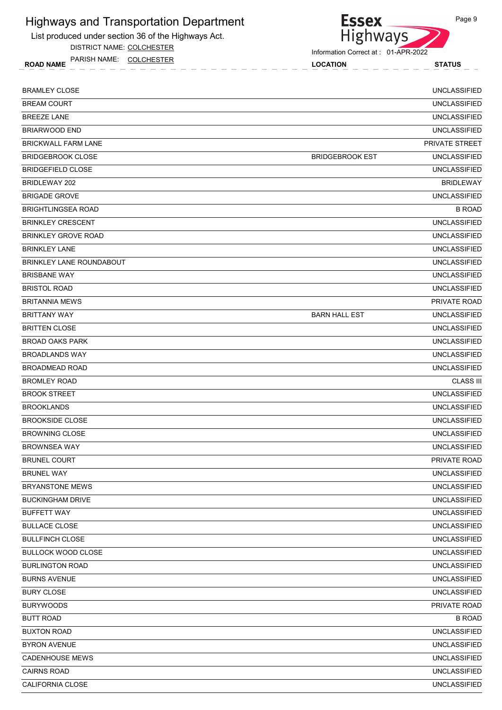List produced under section 36 of the Highways Act.

DISTRICT NAME: COLCHESTER

ROAD NAME LOCATION STATUS PARISH NAME: COLCHESTER



Information Correct at : 01-APR-2022

| <b>BRAMLEY CLOSE</b>       |                        | <b>UNCLASSIFIED</b>   |
|----------------------------|------------------------|-----------------------|
| <b>BREAM COURT</b>         |                        | <b>UNCLASSIFIED</b>   |
| <b>BREEZE LANE</b>         |                        | <b>UNCLASSIFIED</b>   |
| <b>BRIARWOOD END</b>       |                        | <b>UNCLASSIFIED</b>   |
| <b>BRICKWALL FARM LANE</b> |                        | <b>PRIVATE STREET</b> |
| <b>BRIDGEBROOK CLOSE</b>   | <b>BRIDGEBROOK EST</b> | <b>UNCLASSIFIED</b>   |
| <b>BRIDGEFIELD CLOSE</b>   |                        | <b>UNCLASSIFIED</b>   |
| BRIDLEWAY 202              |                        | <b>BRIDLEWAY</b>      |
| <b>BRIGADE GROVE</b>       |                        | <b>UNCLASSIFIED</b>   |
| <b>BRIGHTLINGSEA ROAD</b>  |                        | <b>B ROAD</b>         |
| <b>BRINKLEY CRESCENT</b>   |                        | <b>UNCLASSIFIED</b>   |
| <b>BRINKLEY GROVE ROAD</b> |                        | <b>UNCLASSIFIED</b>   |
| <b>BRINKLEY LANE</b>       |                        | <b>UNCLASSIFIED</b>   |
| BRINKLEY LANE ROUNDABOUT   |                        | <b>UNCLASSIFIED</b>   |
| <b>BRISBANE WAY</b>        |                        | <b>UNCLASSIFIED</b>   |
| <b>BRISTOL ROAD</b>        |                        | <b>UNCLASSIFIED</b>   |
| <b>BRITANNIA MEWS</b>      |                        | PRIVATE ROAD          |
| <b>BRITTANY WAY</b>        | <b>BARN HALL EST</b>   | <b>UNCLASSIFIED</b>   |
| <b>BRITTEN CLOSE</b>       |                        | <b>UNCLASSIFIED</b>   |
| <b>BROAD OAKS PARK</b>     |                        | <b>UNCLASSIFIED</b>   |
| <b>BROADLANDS WAY</b>      |                        | <b>UNCLASSIFIED</b>   |
| <b>BROADMEAD ROAD</b>      |                        | <b>UNCLASSIFIED</b>   |
| <b>BROMLEY ROAD</b>        |                        | <b>CLASS III</b>      |
| <b>BROOK STREET</b>        |                        | <b>UNCLASSIFIED</b>   |
| <b>BROOKLANDS</b>          |                        | <b>UNCLASSIFIED</b>   |
| <b>BROOKSIDE CLOSE</b>     |                        | <b>UNCLASSIFIED</b>   |
| <b>BROWNING CLOSE</b>      |                        | <b>UNCLASSIFIED</b>   |
| <b>BROWNSEA WAY</b>        |                        | <b>UNCLASSIFIED</b>   |
| <b>BRUNEL COURT</b>        |                        | <b>PRIVATE ROAD</b>   |
| <b>BRUNEL WAY</b>          |                        | <b>UNCLASSIFIED</b>   |
| BRYANSTONE MEWS            |                        | <b>UNCLASSIFIED</b>   |
| <b>BUCKINGHAM DRIVE</b>    |                        | <b>UNCLASSIFIED</b>   |
| <b>BUFFETT WAY</b>         |                        | <b>UNCLASSIFIED</b>   |
| <b>BULLACE CLOSE</b>       |                        | <b>UNCLASSIFIED</b>   |
| <b>BULLFINCH CLOSE</b>     |                        | <b>UNCLASSIFIED</b>   |
| <b>BULLOCK WOOD CLOSE</b>  |                        | <b>UNCLASSIFIED</b>   |
| <b>BURLINGTON ROAD</b>     |                        | <b>UNCLASSIFIED</b>   |
| <b>BURNS AVENUE</b>        |                        | <b>UNCLASSIFIED</b>   |
| <b>BURY CLOSE</b>          |                        | <b>UNCLASSIFIED</b>   |
| <b>BURYWOODS</b>           |                        | PRIVATE ROAD          |
| <b>BUTT ROAD</b>           |                        | <b>B ROAD</b>         |
| <b>BUXTON ROAD</b>         |                        | <b>UNCLASSIFIED</b>   |
| <b>BYRON AVENUE</b>        |                        | <b>UNCLASSIFIED</b>   |
| <b>CADENHOUSE MEWS</b>     |                        | <b>UNCLASSIFIED</b>   |
| <b>CAIRNS ROAD</b>         |                        | <b>UNCLASSIFIED</b>   |
| CALIFORNIA CLOSE           |                        | <b>UNCLASSIFIED</b>   |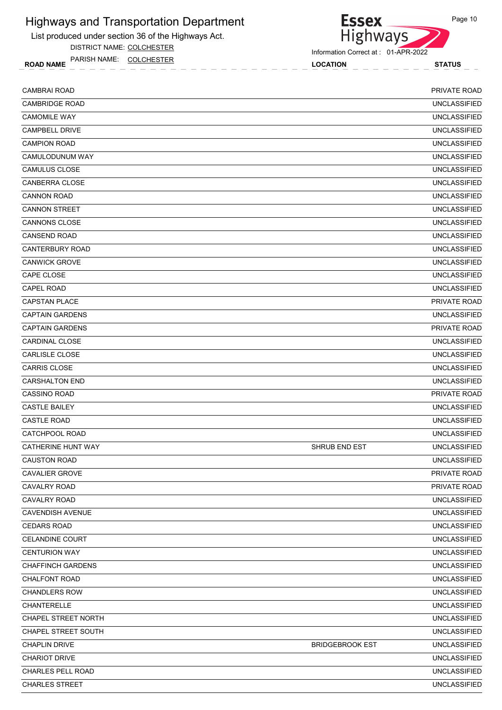List produced under section 36 of the Highways Act.

DISTRICT NAME: COLCHESTER

ROAD NAME LOCATION STATUS PARISH NAME: COLCHESTER



Highways

**Essex** 

| <b>CAMBRAI ROAD</b>        |                        | PRIVATE ROAD        |
|----------------------------|------------------------|---------------------|
| <b>CAMBRIDGE ROAD</b>      |                        | <b>UNCLASSIFIED</b> |
| <b>CAMOMILE WAY</b>        |                        | <b>UNCLASSIFIED</b> |
| <b>CAMPBELL DRIVE</b>      |                        | <b>UNCLASSIFIED</b> |
| <b>CAMPION ROAD</b>        |                        | <b>UNCLASSIFIED</b> |
| CAMULODUNUM WAY            |                        | <b>UNCLASSIFIED</b> |
| CAMULUS CLOSE              |                        | <b>UNCLASSIFIED</b> |
| <b>CANBERRA CLOSE</b>      |                        | <b>UNCLASSIFIED</b> |
| <b>CANNON ROAD</b>         |                        | <b>UNCLASSIFIED</b> |
| <b>CANNON STREET</b>       |                        | <b>UNCLASSIFIED</b> |
| <b>CANNONS CLOSE</b>       |                        | <b>UNCLASSIFIED</b> |
| <b>CANSEND ROAD</b>        |                        | <b>UNCLASSIFIED</b> |
| <b>CANTERBURY ROAD</b>     |                        | <b>UNCLASSIFIED</b> |
| <b>CANWICK GROVE</b>       |                        | <b>UNCLASSIFIED</b> |
| CAPE CLOSE                 |                        | <b>UNCLASSIFIED</b> |
| <b>CAPEL ROAD</b>          |                        | <b>UNCLASSIFIED</b> |
| <b>CAPSTAN PLACE</b>       |                        | PRIVATE ROAD        |
| <b>CAPTAIN GARDENS</b>     |                        | <b>UNCLASSIFIED</b> |
| <b>CAPTAIN GARDENS</b>     |                        | PRIVATE ROAD        |
| <b>CARDINAL CLOSE</b>      |                        | <b>UNCLASSIFIED</b> |
| <b>CARLISLE CLOSE</b>      |                        | <b>UNCLASSIFIED</b> |
| <b>CARRIS CLOSE</b>        |                        | <b>UNCLASSIFIED</b> |
| <b>CARSHALTON END</b>      |                        | <b>UNCLASSIFIED</b> |
| <b>CASSINO ROAD</b>        |                        | <b>PRIVATE ROAD</b> |
| <b>CASTLE BAILEY</b>       |                        | <b>UNCLASSIFIED</b> |
| <b>CASTLE ROAD</b>         |                        | <b>UNCLASSIFIED</b> |
| CATCHPOOL ROAD             |                        | <b>UNCLASSIFIED</b> |
| CATHERINE HUNT WAY         | SHRUB END EST          | <b>UNCLASSIFIED</b> |
| <b>CAUSTON ROAD</b>        |                        | <b>UNCLASSIFIED</b> |
| <b>CAVALIER GROVE</b>      |                        | PRIVATE ROAD        |
| <b>CAVALRY ROAD</b>        |                        | PRIVATE ROAD        |
| CAVALRY ROAD               |                        | UNCLASSIFIED        |
| <b>CAVENDISH AVENUE</b>    |                        | <b>UNCLASSIFIED</b> |
| <b>CEDARS ROAD</b>         |                        | UNCLASSIFIED        |
| CELANDINE COURT            |                        | <b>UNCLASSIFIED</b> |
| <b>CENTURION WAY</b>       |                        | UNCLASSIFIED        |
| <b>CHAFFINCH GARDENS</b>   |                        | <b>UNCLASSIFIED</b> |
| <b>CHALFONT ROAD</b>       |                        | <b>UNCLASSIFIED</b> |
| <b>CHANDLERS ROW</b>       |                        | UNCLASSIFIED        |
| CHANTERELLE                |                        | <b>UNCLASSIFIED</b> |
| <b>CHAPEL STREET NORTH</b> |                        | UNCLASSIFIED        |
| CHAPEL STREET SOUTH        |                        | <b>UNCLASSIFIED</b> |
| <b>CHAPLIN DRIVE</b>       | <b>BRIDGEBROOK EST</b> | <b>UNCLASSIFIED</b> |
| <b>CHARIOT DRIVE</b>       |                        | <b>UNCLASSIFIED</b> |
| CHARLES PELL ROAD          |                        | <b>UNCLASSIFIED</b> |
| <b>CHARLES STREET</b>      |                        | <b>UNCLASSIFIED</b> |
|                            |                        |                     |

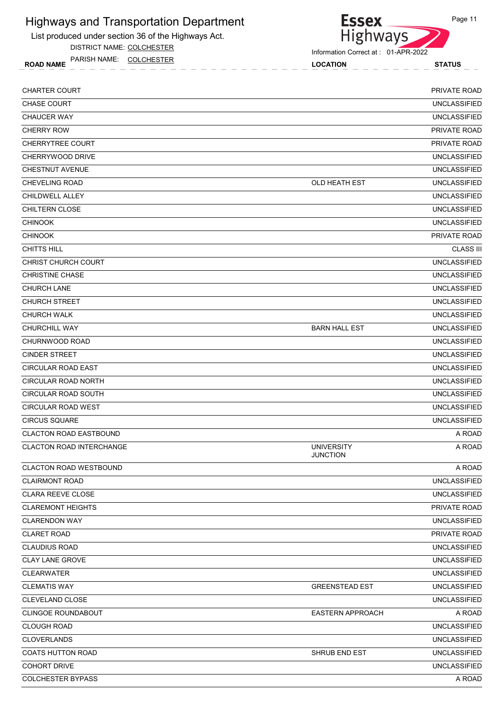List produced under section 36 of the Highways Act.

DISTRICT NAME: COLCHESTER

ROAD NAME LOCATION STATUS PARISH NAME: COLCHESTER



| <b>CHARTER COURT</b>            |                                      | PRIVATE ROAD        |
|---------------------------------|--------------------------------------|---------------------|
| <b>CHASE COURT</b>              |                                      | <b>UNCLASSIFIED</b> |
| <b>CHAUCER WAY</b>              |                                      | <b>UNCLASSIFIED</b> |
| <b>CHERRY ROW</b>               |                                      | PRIVATE ROAD        |
| <b>CHERRYTREE COURT</b>         |                                      | <b>PRIVATE ROAD</b> |
| CHERRYWOOD DRIVE                |                                      | <b>UNCLASSIFIED</b> |
| <b>CHESTNUT AVENUE</b>          |                                      | <b>UNCLASSIFIED</b> |
| <b>CHEVELING ROAD</b>           | OLD HEATH EST                        | <b>UNCLASSIFIED</b> |
| <b>CHILDWELL ALLEY</b>          |                                      | <b>UNCLASSIFIED</b> |
| <b>CHILTERN CLOSE</b>           |                                      | <b>UNCLASSIFIED</b> |
| <b>CHINOOK</b>                  |                                      | <b>UNCLASSIFIED</b> |
| <b>CHINOOK</b>                  |                                      | PRIVATE ROAD        |
| <b>CHITTS HILL</b>              |                                      | <b>CLASS III</b>    |
| <b>CHRIST CHURCH COURT</b>      |                                      | <b>UNCLASSIFIED</b> |
| <b>CHRISTINE CHASE</b>          |                                      | <b>UNCLASSIFIED</b> |
| <b>CHURCH LANE</b>              |                                      | <b>UNCLASSIFIED</b> |
| <b>CHURCH STREET</b>            |                                      | <b>UNCLASSIFIED</b> |
| <b>CHURCH WALK</b>              |                                      | <b>UNCLASSIFIED</b> |
| CHURCHILL WAY                   | <b>BARN HALL EST</b>                 | <b>UNCLASSIFIED</b> |
| CHURNWOOD ROAD                  |                                      | <b>UNCLASSIFIED</b> |
| <b>CINDER STREET</b>            |                                      | <b>UNCLASSIFIED</b> |
| <b>CIRCULAR ROAD EAST</b>       |                                      | <b>UNCLASSIFIED</b> |
| <b>CIRCULAR ROAD NORTH</b>      |                                      | <b>UNCLASSIFIED</b> |
| <b>CIRCULAR ROAD SOUTH</b>      |                                      | <b>UNCLASSIFIED</b> |
| CIRCULAR ROAD WEST              |                                      | <b>UNCLASSIFIED</b> |
| <b>CIRCUS SQUARE</b>            |                                      | <b>UNCLASSIFIED</b> |
| <b>CLACTON ROAD EASTBOUND</b>   |                                      | A ROAD              |
| <b>CLACTON ROAD INTERCHANGE</b> | <b>UNIVERSITY</b><br><b>JUNCTION</b> | A ROAD              |
| CLACTON ROAD WESTBOUND          |                                      | A ROAD              |
| <b>CLAIRMONT ROAD</b>           |                                      | <b>UNCLASSIFIED</b> |
| <b>CLARA REEVE CLOSE</b>        |                                      | <b>UNCLASSIFIED</b> |
| <b>CLAREMONT HEIGHTS</b>        |                                      | <b>PRIVATE ROAD</b> |
| <b>CLARENDON WAY</b>            |                                      | <b>UNCLASSIFIED</b> |
| <b>CLARET ROAD</b>              |                                      | PRIVATE ROAD        |
| <b>CLAUDIUS ROAD</b>            |                                      | <b>UNCLASSIFIED</b> |
| <b>CLAY LANE GROVE</b>          |                                      | <b>UNCLASSIFIED</b> |
| <b>CLEARWATER</b>               |                                      | <b>UNCLASSIFIED</b> |
| <b>CLEMATIS WAY</b>             | <b>GREENSTEAD EST</b>                | <b>UNCLASSIFIED</b> |
| CLEVELAND CLOSE                 |                                      | <b>UNCLASSIFIED</b> |
| <b>CLINGOE ROUNDABOUT</b>       | <b>EASTERN APPROACH</b>              | A ROAD              |
| <b>CLOUGH ROAD</b>              |                                      | <b>UNCLASSIFIED</b> |
| <b>CLOVERLANDS</b>              |                                      | <b>UNCLASSIFIED</b> |
| <b>COATS HUTTON ROAD</b>        | SHRUB END EST                        | <b>UNCLASSIFIED</b> |
| <b>COHORT DRIVE</b>             |                                      | <b>UNCLASSIFIED</b> |
| <b>COLCHESTER BYPASS</b>        |                                      | A ROAD              |
|                                 |                                      |                     |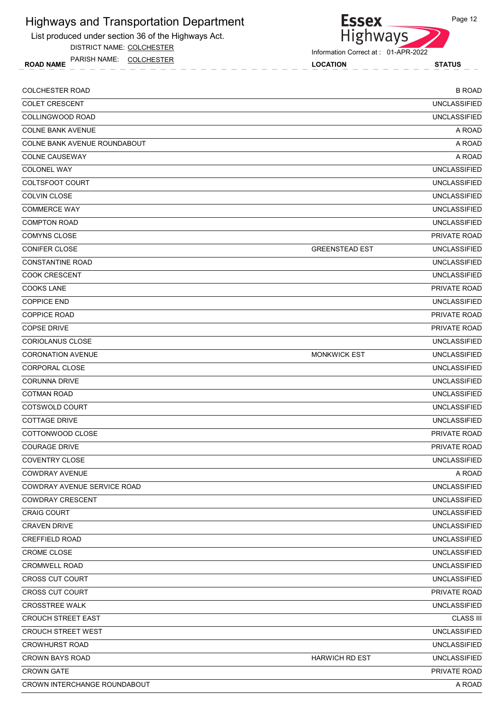List produced under section 36 of the Highways Act.

DISTRICT NAME: COLCHESTER

ROAD NAME LOCATION STATUS PARISH NAME: COLCHESTER



**Essex** 

| <b>COLCHESTER ROAD</b>       |                       | <b>B ROAD</b>       |
|------------------------------|-----------------------|---------------------|
| <b>COLET CRESCENT</b>        |                       | <b>UNCLASSIFIED</b> |
| COLLINGWOOD ROAD             |                       | <b>UNCLASSIFIED</b> |
| <b>COLNE BANK AVENUE</b>     |                       | A ROAD              |
| COLNE BANK AVENUE ROUNDABOUT |                       | A ROAD              |
| <b>COLNE CAUSEWAY</b>        |                       | A ROAD              |
| <b>COLONEL WAY</b>           |                       | <b>UNCLASSIFIED</b> |
| COLTSFOOT COURT              |                       | <b>UNCLASSIFIED</b> |
| <b>COLVIN CLOSE</b>          |                       | <b>UNCLASSIFIED</b> |
| <b>COMMERCE WAY</b>          |                       | <b>UNCLASSIFIED</b> |
| <b>COMPTON ROAD</b>          |                       | <b>UNCLASSIFIED</b> |
| <b>COMYNS CLOSE</b>          |                       | PRIVATE ROAD        |
| <b>CONIFER CLOSE</b>         | <b>GREENSTEAD EST</b> | <b>UNCLASSIFIED</b> |
| <b>CONSTANTINE ROAD</b>      |                       | <b>UNCLASSIFIED</b> |
| <b>COOK CRESCENT</b>         |                       | <b>UNCLASSIFIED</b> |
| <b>COOKS LANE</b>            |                       | PRIVATE ROAD        |
| <b>COPPICE END</b>           |                       | <b>UNCLASSIFIED</b> |
| <b>COPPICE ROAD</b>          |                       | PRIVATE ROAD        |
| <b>COPSE DRIVE</b>           |                       | PRIVATE ROAD        |
| <b>CORIOLANUS CLOSE</b>      |                       | <b>UNCLASSIFIED</b> |
| <b>CORONATION AVENUE</b>     | <b>MONKWICK EST</b>   | <b>UNCLASSIFIED</b> |
| <b>CORPORAL CLOSE</b>        |                       | <b>UNCLASSIFIED</b> |
| <b>CORUNNA DRIVE</b>         |                       | <b>UNCLASSIFIED</b> |
| <b>COTMAN ROAD</b>           |                       | <b>UNCLASSIFIED</b> |
| COTSWOLD COURT               |                       | <b>UNCLASSIFIED</b> |
| <b>COTTAGE DRIVE</b>         |                       | <b>UNCLASSIFIED</b> |
| COTTONWOOD CLOSE             |                       | PRIVATE ROAD        |
| <b>COURAGE DRIVE</b>         |                       | PRIVATE ROAD        |
| <b>COVENTRY CLOSE</b>        |                       | <b>UNCLASSIFIED</b> |
| <b>COWDRAY AVENUE</b>        |                       | A ROAD              |
| COWDRAY AVENUE SERVICE ROAD  |                       | <b>UNCLASSIFIED</b> |
| <b>COWDRAY CRESCENT</b>      |                       | <b>UNCLASSIFIED</b> |
| <b>CRAIG COURT</b>           |                       | <b>UNCLASSIFIED</b> |
| <b>CRAVEN DRIVE</b>          |                       | <b>UNCLASSIFIED</b> |
| <b>CREFFIELD ROAD</b>        |                       | <b>UNCLASSIFIED</b> |
| <b>CROME CLOSE</b>           |                       | <b>UNCLASSIFIED</b> |
| CROMWELL ROAD                |                       | <b>UNCLASSIFIED</b> |
| <b>CROSS CUT COURT</b>       |                       | <b>UNCLASSIFIED</b> |
| <b>CROSS CUT COURT</b>       |                       | PRIVATE ROAD        |
| <b>CROSSTREE WALK</b>        |                       | <b>UNCLASSIFIED</b> |
| <b>CROUCH STREET EAST</b>    |                       | <b>CLASS III</b>    |
| <b>CROUCH STREET WEST</b>    |                       | <b>UNCLASSIFIED</b> |
| <b>CROWHURST ROAD</b>        |                       | <b>UNCLASSIFIED</b> |
| <b>CROWN BAYS ROAD</b>       | <b>HARWICH RD EST</b> | <b>UNCLASSIFIED</b> |
| <b>CROWN GATE</b>            |                       | PRIVATE ROAD        |
| CROWN INTERCHANGE ROUNDABOUT |                       | A ROAD              |
|                              |                       |                     |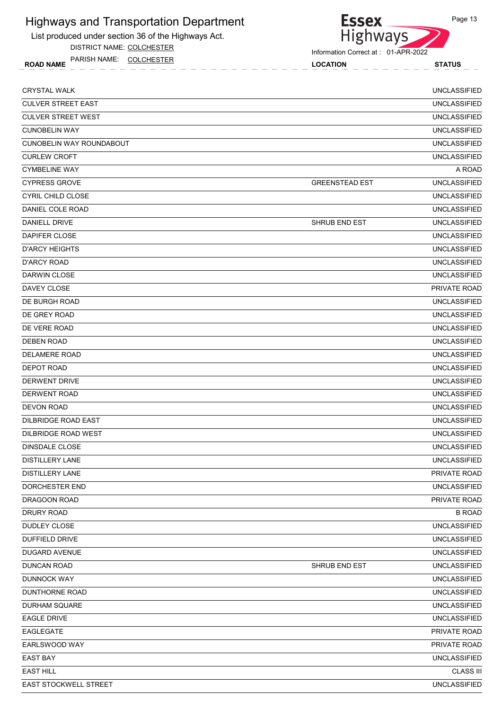List produced under section 36 of the Highways Act.

DISTRICT NAME: COLCHESTER

ROAD NAME LOCATION STATUS PARISH NAME: COLCHESTER



Information Correct at : 01-APR-2022

| <b>CRYSTAL WALK</b>        |                       | <b>UNCLASSIFIED</b> |
|----------------------------|-----------------------|---------------------|
| <b>CULVER STREET EAST</b>  |                       | <b>UNCLASSIFIED</b> |
| <b>CULVER STREET WEST</b>  |                       | <b>UNCLASSIFIED</b> |
| <b>CUNOBELIN WAY</b>       |                       | <b>UNCLASSIFIED</b> |
| CUNOBELIN WAY ROUNDABOUT   |                       | <b>UNCLASSIFIED</b> |
| <b>CURLEW CROFT</b>        |                       | <b>UNCLASSIFIED</b> |
| <b>CYMBELINE WAY</b>       |                       | A ROAD              |
| <b>CYPRESS GROVE</b>       | <b>GREENSTEAD EST</b> | <b>UNCLASSIFIED</b> |
| <b>CYRIL CHILD CLOSE</b>   |                       | <b>UNCLASSIFIED</b> |
| DANIEL COLE ROAD           |                       | <b>UNCLASSIFIED</b> |
| DANIELL DRIVE              | <b>SHRUB END EST</b>  | <b>UNCLASSIFIED</b> |
| DAPIFER CLOSE              |                       | <b>UNCLASSIFIED</b> |
| <b>D'ARCY HEIGHTS</b>      |                       | <b>UNCLASSIFIED</b> |
| <b>D'ARCY ROAD</b>         |                       | <b>UNCLASSIFIED</b> |
| DARWIN CLOSE               |                       | <b>UNCLASSIFIED</b> |
| DAVEY CLOSE                |                       | PRIVATE ROAD        |
| DE BURGH ROAD              |                       | <b>UNCLASSIFIED</b> |
| DE GREY ROAD               |                       | <b>UNCLASSIFIED</b> |
| DE VERE ROAD               |                       | <b>UNCLASSIFIED</b> |
| <b>DEBEN ROAD</b>          |                       | <b>UNCLASSIFIED</b> |
| DELAMERE ROAD              |                       | <b>UNCLASSIFIED</b> |
| <b>DEPOT ROAD</b>          |                       | <b>UNCLASSIFIED</b> |
| DERWENT DRIVE              |                       | <b>UNCLASSIFIED</b> |
| DERWENT ROAD               |                       | <b>UNCLASSIFIED</b> |
| <b>DEVON ROAD</b>          |                       | <b>UNCLASSIFIED</b> |
| <b>DILBRIDGE ROAD EAST</b> |                       | <b>UNCLASSIFIED</b> |
| DILBRIDGE ROAD WEST        |                       | <b>UNCLASSIFIED</b> |
| DINSDALE CLOSE             |                       | <b>UNCLASSIFIED</b> |
| <b>DISTILLERY LANE</b>     |                       | <b>UNCLASSIFIED</b> |
| <b>DISTILLERY LANE</b>     |                       | PRIVATE ROAD        |
| <b>DORCHESTER END</b>      |                       | <b>UNCLASSIFIED</b> |
| DRAGOON ROAD               |                       | PRIVATE ROAD        |
| <b>DRURY ROAD</b>          |                       | <b>B ROAD</b>       |
| DUDLEY CLOSE               |                       | <b>UNCLASSIFIED</b> |
| DUFFIELD DRIVE             |                       | <b>UNCLASSIFIED</b> |
| DUGARD AVENUE              |                       | UNCLASSIFIED        |
| <b>DUNCAN ROAD</b>         | SHRUB END EST         | <b>UNCLASSIFIED</b> |
| <b>DUNNOCK WAY</b>         |                       | <b>UNCLASSIFIED</b> |
| <b>DUNTHORNE ROAD</b>      |                       | <b>UNCLASSIFIED</b> |
| DURHAM SQUARE              |                       | <b>UNCLASSIFIED</b> |
| <b>EAGLE DRIVE</b>         |                       | UNCLASSIFIED        |
| EAGLEGATE                  |                       | PRIVATE ROAD        |
| EARLSWOOD WAY              |                       | PRIVATE ROAD        |
| <b>EAST BAY</b>            |                       | <b>UNCLASSIFIED</b> |
| <b>EAST HILL</b>           |                       | <b>CLASS III</b>    |
| EAST STOCKWELL STREET      |                       | <b>UNCLASSIFIED</b> |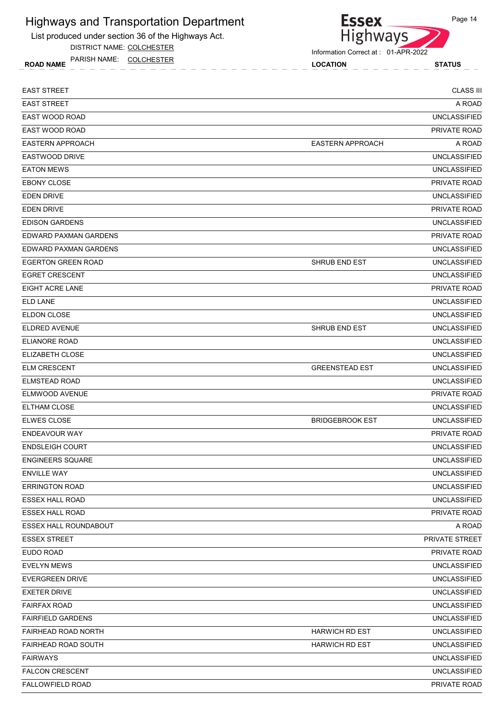List produced under section 36 of the Highways Act.

DISTRICT NAME: COLCHESTER

ROAD NAME LOCATION STATUS PARISH NAME: COLCHESTER



| <b>EAST STREET</b>           |                         | <b>CLASS III</b>    |
|------------------------------|-------------------------|---------------------|
| <b>EAST STREET</b>           |                         | A ROAD              |
| EAST WOOD ROAD               |                         | <b>UNCLASSIFIED</b> |
| <b>EAST WOOD ROAD</b>        |                         | <b>PRIVATE ROAD</b> |
| <b>EASTERN APPROACH</b>      | <b>EASTERN APPROACH</b> | A ROAD              |
| <b>EASTWOOD DRIVE</b>        |                         | <b>UNCLASSIFIED</b> |
| <b>EATON MEWS</b>            |                         | <b>UNCLASSIFIED</b> |
| <b>EBONY CLOSE</b>           |                         | <b>PRIVATE ROAD</b> |
| <b>EDEN DRIVE</b>            |                         | <b>UNCLASSIFIED</b> |
| <b>EDEN DRIVE</b>            |                         | PRIVATE ROAD        |
| <b>EDISON GARDENS</b>        |                         | <b>UNCLASSIFIED</b> |
| EDWARD PAXMAN GARDENS        |                         | PRIVATE ROAD        |
| EDWARD PAXMAN GARDENS        |                         | <b>UNCLASSIFIED</b> |
| <b>EGERTON GREEN ROAD</b>    | SHRUB END EST           | <b>UNCLASSIFIED</b> |
| <b>EGRET CRESCENT</b>        |                         | <b>UNCLASSIFIED</b> |
| <b>EIGHT ACRE LANE</b>       |                         | PRIVATE ROAD        |
| <b>ELD LANE</b>              |                         | <b>UNCLASSIFIED</b> |
| ELDON CLOSE                  |                         | <b>UNCLASSIFIED</b> |
| ELDRED AVENUE                | <b>SHRUB END EST</b>    | <b>UNCLASSIFIED</b> |
| <b>ELIANORE ROAD</b>         |                         | <b>UNCLASSIFIED</b> |
| ELIZABETH CLOSE              |                         | <b>UNCLASSIFIED</b> |
| <b>ELM CRESCENT</b>          | <b>GREENSTEAD EST</b>   | <b>UNCLASSIFIED</b> |
| <b>ELMSTEAD ROAD</b>         |                         | <b>UNCLASSIFIED</b> |
| ELMWOOD AVENUE               |                         | PRIVATE ROAD        |
| ELTHAM CLOSE                 |                         | <b>UNCLASSIFIED</b> |
| <b>ELWES CLOSE</b>           | <b>BRIDGEBROOK EST</b>  | <b>UNCLASSIFIED</b> |
| <b>ENDEAVOUR WAY</b>         |                         | <b>PRIVATE ROAD</b> |
| <b>ENDSLEIGH COURT</b>       |                         | <b>UNCLASSIFIED</b> |
| <b>ENGINEERS SQUARE</b>      |                         | <b>UNCLASSIFIED</b> |
| <b>ENVILLE WAY</b>           |                         | <b>UNCLASSIFIED</b> |
| <b>ERRINGTON ROAD</b>        |                         | <b>UNCLASSIFIED</b> |
| <b>ESSEX HALL ROAD</b>       |                         | <b>UNCLASSIFIED</b> |
| <b>ESSEX HALL ROAD</b>       |                         | PRIVATE ROAD        |
| <b>ESSEX HALL ROUNDABOUT</b> |                         | A ROAD              |
| <b>ESSEX STREET</b>          |                         | PRIVATE STREET      |
| EUDO ROAD                    |                         | PRIVATE ROAD        |
| <b>EVELYN MEWS</b>           |                         | <b>UNCLASSIFIED</b> |
| <b>EVERGREEN DRIVE</b>       |                         | <b>UNCLASSIFIED</b> |
| <b>EXETER DRIVE</b>          |                         | <b>UNCLASSIFIED</b> |
| <b>FAIRFAX ROAD</b>          |                         | <b>UNCLASSIFIED</b> |
| <b>FAIRFIELD GARDENS</b>     |                         | <b>UNCLASSIFIED</b> |
| FAIRHEAD ROAD NORTH          | <b>HARWICH RD EST</b>   | <b>UNCLASSIFIED</b> |
| <b>FAIRHEAD ROAD SOUTH</b>   | <b>HARWICH RD EST</b>   | <b>UNCLASSIFIED</b> |
| <b>FAIRWAYS</b>              |                         | <b>UNCLASSIFIED</b> |
| FALCON CRESCENT              |                         | <b>UNCLASSIFIED</b> |
| FALLOWFIELD ROAD             |                         | PRIVATE ROAD        |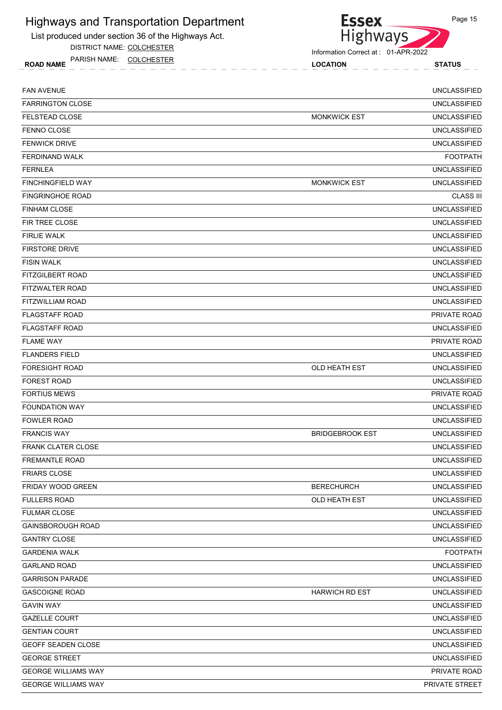List produced under section 36 of the Highways Act.

DISTRICT NAME: COLCHESTER

ROAD NAME LOCATION STATUS PARISH NAME: COLCHESTER



| <b>FAN AVENUE</b>          |                        | <b>UNCLASSIFIED</b> |
|----------------------------|------------------------|---------------------|
| <b>FARRINGTON CLOSE</b>    |                        | <b>UNCLASSIFIED</b> |
| <b>FELSTEAD CLOSE</b>      | <b>MONKWICK EST</b>    | <b>UNCLASSIFIED</b> |
| FENNO CLOSE                |                        | <b>UNCLASSIFIED</b> |
| <b>FENWICK DRIVE</b>       |                        | <b>UNCLASSIFIED</b> |
| <b>FERDINAND WALK</b>      |                        | <b>FOOTPATH</b>     |
| <b>FERNLEA</b>             |                        | <b>UNCLASSIFIED</b> |
| <b>FINCHINGFIELD WAY</b>   | <b>MONKWICK EST</b>    | <b>UNCLASSIFIED</b> |
| <b>FINGRINGHOE ROAD</b>    |                        | <b>CLASS III</b>    |
| <b>FINHAM CLOSE</b>        |                        | <b>UNCLASSIFIED</b> |
| FIR TREE CLOSE             |                        | <b>UNCLASSIFIED</b> |
| <b>FIRLIE WALK</b>         |                        | <b>UNCLASSIFIED</b> |
| <b>FIRSTORE DRIVE</b>      |                        | <b>UNCLASSIFIED</b> |
| <b>FISIN WALK</b>          |                        | <b>UNCLASSIFIED</b> |
| <b>FITZGILBERT ROAD</b>    |                        | <b>UNCLASSIFIED</b> |
| FITZWALTER ROAD            |                        | <b>UNCLASSIFIED</b> |
| <b>FITZWILLIAM ROAD</b>    |                        | <b>UNCLASSIFIED</b> |
| <b>FLAGSTAFF ROAD</b>      |                        | <b>PRIVATE ROAD</b> |
| <b>FLAGSTAFF ROAD</b>      |                        | <b>UNCLASSIFIED</b> |
| <b>FLAME WAY</b>           |                        | PRIVATE ROAD        |
| <b>FLANDERS FIELD</b>      |                        | <b>UNCLASSIFIED</b> |
| <b>FORESIGHT ROAD</b>      | <b>OLD HEATH EST</b>   | <b>UNCLASSIFIED</b> |
| <b>FOREST ROAD</b>         |                        | <b>UNCLASSIFIED</b> |
| <b>FORTIUS MEWS</b>        |                        | PRIVATE ROAD        |
| <b>FOUNDATION WAY</b>      |                        | <b>UNCLASSIFIED</b> |
| <b>FOWLER ROAD</b>         |                        | <b>UNCLASSIFIED</b> |
| <b>FRANCIS WAY</b>         | <b>BRIDGEBROOK EST</b> | <b>UNCLASSIFIED</b> |
| <b>FRANK CLATER CLOSE</b>  |                        | <b>UNCLASSIFIED</b> |
| <b>FREMANTLE ROAD</b>      |                        | <b>UNCLASSIFIED</b> |
| <b>FRIARS CLOSE</b>        |                        | <b>UNCLASSIFIED</b> |
| FRIDAY WOOD GREEN          | <b>BERECHURCH</b>      | <b>UNCLASSIFIED</b> |
| <b>FULLERS ROAD</b>        | OLD HEATH EST          | <b>UNCLASSIFIED</b> |
| <b>FULMAR CLOSE</b>        |                        | <b>UNCLASSIFIED</b> |
| <b>GAINSBOROUGH ROAD</b>   |                        | <b>UNCLASSIFIED</b> |
| <b>GANTRY CLOSE</b>        |                        | <b>UNCLASSIFIED</b> |
| <b>GARDENIA WALK</b>       |                        | <b>FOOTPATH</b>     |
| <b>GARLAND ROAD</b>        |                        | <b>UNCLASSIFIED</b> |
| <b>GARRISON PARADE</b>     |                        | <b>UNCLASSIFIED</b> |
| <b>GASCOIGNE ROAD</b>      | <b>HARWICH RD EST</b>  | <b>UNCLASSIFIED</b> |
| <b>GAVIN WAY</b>           |                        | <b>UNCLASSIFIED</b> |
| <b>GAZELLE COURT</b>       |                        | <b>UNCLASSIFIED</b> |
| <b>GENTIAN COURT</b>       |                        | <b>UNCLASSIFIED</b> |
| GEOFF SEADEN CLOSE         |                        | <b>UNCLASSIFIED</b> |
| <b>GEORGE STREET</b>       |                        | <b>UNCLASSIFIED</b> |
| <b>GEORGE WILLIAMS WAY</b> |                        | PRIVATE ROAD        |
| <b>GEORGE WILLIAMS WAY</b> |                        | PRIVATE STREET      |
|                            |                        |                     |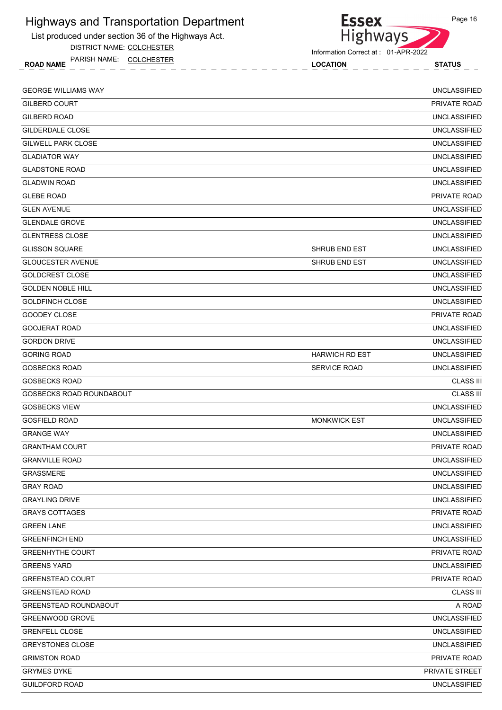

DISTRICT NAME: COLCHESTER

ROAD NAME LOCATION STATUS PARISH NAME: COLCHESTER



| <b>GEORGE WILLIAMS WAY</b>   |                       | <b>UNCLASSIFIED</b> |
|------------------------------|-----------------------|---------------------|
| <b>GILBERD COURT</b>         |                       | PRIVATE ROAD        |
| <b>GILBERD ROAD</b>          |                       | <b>UNCLASSIFIED</b> |
| GILDERDALE CLOSE             |                       | <b>UNCLASSIFIED</b> |
| <b>GILWELL PARK CLOSE</b>    |                       | <b>UNCLASSIFIED</b> |
| <b>GLADIATOR WAY</b>         |                       | <b>UNCLASSIFIED</b> |
| <b>GLADSTONE ROAD</b>        |                       | <b>UNCLASSIFIED</b> |
| <b>GLADWIN ROAD</b>          |                       | <b>UNCLASSIFIED</b> |
| <b>GLEBE ROAD</b>            |                       | PRIVATE ROAD        |
| <b>GLEN AVENUE</b>           |                       | <b>UNCLASSIFIED</b> |
| <b>GLENDALE GROVE</b>        |                       | <b>UNCLASSIFIED</b> |
| <b>GLENTRESS CLOSE</b>       |                       | <b>UNCLASSIFIED</b> |
| <b>GLISSON SQUARE</b>        | SHRUB END EST         | <b>UNCLASSIFIED</b> |
| <b>GLOUCESTER AVENUE</b>     | SHRUB END EST         | <b>UNCLASSIFIED</b> |
| GOLDCREST CLOSE              |                       | <b>UNCLASSIFIED</b> |
| <b>GOLDEN NOBLE HILL</b>     |                       | <b>UNCLASSIFIED</b> |
| GOLDFINCH CLOSE              |                       | <b>UNCLASSIFIED</b> |
| GOODEY CLOSE                 |                       | PRIVATE ROAD        |
| <b>GOOJERAT ROAD</b>         |                       | <b>UNCLASSIFIED</b> |
| <b>GORDON DRIVE</b>          |                       | <b>UNCLASSIFIED</b> |
| <b>GORING ROAD</b>           | <b>HARWICH RD EST</b> | <b>UNCLASSIFIED</b> |
| GOSBECKS ROAD                | SERVICE ROAD          | <b>UNCLASSIFIED</b> |
| GOSBECKS ROAD                |                       | <b>CLASS III</b>    |
| GOSBECKS ROAD ROUNDABOUT     |                       | <b>CLASS III</b>    |
| <b>GOSBECKS VIEW</b>         |                       | <b>UNCLASSIFIED</b> |
| GOSFIELD ROAD                | <b>MONKWICK EST</b>   | <b>UNCLASSIFIED</b> |
| <b>GRANGE WAY</b>            |                       | <b>UNCLASSIFIED</b> |
| <b>GRANTHAM COURT</b>        |                       | <b>PRIVATE ROAD</b> |
| <b>GRANVILLE ROAD</b>        |                       | <b>UNCLASSIFIED</b> |
| <b>GRASSMERE</b>             |                       | <b>UNCLASSIFIED</b> |
| <b>GRAY ROAD</b>             |                       | <b>UNCLASSIFIED</b> |
| <b>GRAYLING DRIVE</b>        |                       | <b>UNCLASSIFIED</b> |
| <b>GRAYS COTTAGES</b>        |                       | PRIVATE ROAD        |
| <b>GREEN LANE</b>            |                       | <b>UNCLASSIFIED</b> |
| <b>GREENFINCH END</b>        |                       | <b>UNCLASSIFIED</b> |
| <b>GREENHYTHE COURT</b>      |                       | PRIVATE ROAD        |
| <b>GREENS YARD</b>           |                       | <b>UNCLASSIFIED</b> |
| <b>GREENSTEAD COURT</b>      |                       | PRIVATE ROAD        |
| <b>GREENSTEAD ROAD</b>       |                       | <b>CLASS III</b>    |
| <b>GREENSTEAD ROUNDABOUT</b> |                       | A ROAD              |
| GREENWOOD GROVE              |                       | <b>UNCLASSIFIED</b> |
| <b>GRENFELL CLOSE</b>        |                       | <b>UNCLASSIFIED</b> |
| <b>GREYSTONES CLOSE</b>      |                       | <b>UNCLASSIFIED</b> |
| <b>GRIMSTON ROAD</b>         |                       | PRIVATE ROAD        |
| <b>GRYMES DYKE</b>           |                       | PRIVATE STREET      |
| <b>GUILDFORD ROAD</b>        |                       | <b>UNCLASSIFIED</b> |
|                              |                       |                     |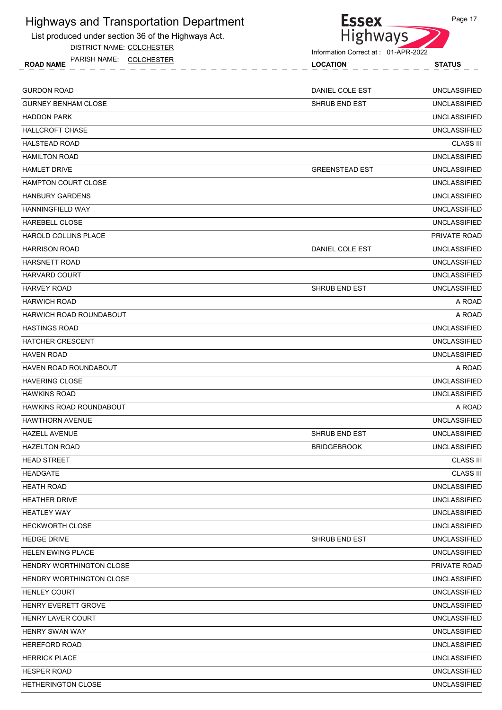List produced under section 36 of the Highways Act.

DISTRICT NAME: COLCHESTER



Information Correct at : 01-APR-2022

|                                                       | Information Correct at : 01-APR-2022 |                     |  |
|-------------------------------------------------------|--------------------------------------|---------------------|--|
| PARISH NAME:<br><b>COLCHESTER</b><br><b>ROAD NAME</b> | <b>LOCATION</b>                      | <b>STATUS</b>       |  |
| GURDON ROAD                                           | DANIEL COLE EST                      | <b>UNCLASSIFIED</b> |  |
| GURNEY BENHAM CLOSE                                   | SHRUB END EST                        | <b>UNCLASSIFIED</b> |  |
| HADDON PARK                                           |                                      | <b>UNCLASSIFIED</b> |  |
| HALLCROFT CHASE                                       |                                      | <b>UNCLASSIFIED</b> |  |
| HALSTEAD ROAD                                         |                                      | <b>CLASS III</b>    |  |
| HAMILTON ROAD                                         |                                      | <b>UNCLASSIFIED</b> |  |
| HAMLET DRIVE                                          | <b>GREENSTEAD EST</b>                | <b>UNCLASSIFIED</b> |  |
| HAMPTON COURT CLOSE                                   |                                      | <b>UNCLASSIFIED</b> |  |
| HANBURY GARDENS                                       |                                      | <b>UNCLASSIFIED</b> |  |
| HANNINGFIELD WAY                                      |                                      | <b>UNCLASSIFIED</b> |  |
| HAREBELL CLOSE                                        |                                      | <b>UNCLASSIFIED</b> |  |
| HAROLD COLLINS PLACE                                  |                                      | PRIVATE ROAD        |  |
| HARRISON ROAD                                         | DANIEL COLE EST                      | <b>UNCLASSIFIED</b> |  |

| HARVARD COURT |                      | <b>UNCLASSIFIED</b> |
|---------------|----------------------|---------------------|
| HARVEY ROAD   | <b>SHRUB END EST</b> | <b>UNCLASSIFIED</b> |

HARWICH ROAD A ROAD

HARWICH ROAD ROUNDABOUT A ROAD A ROAD A ROAD A ROAD A ROAD A ROAD A ROAD A ROAD A ROAD A ROAD A ROAD A ROAD A

HASTINGS ROAD UNCLASSIFIED HATCHER CRESCENT UNCLASSIFIED HAVEN ROAD UNCLASSIFIED HAVEN ROAD ROUNDABOUT A ROAD HAVERING CLOSE UNCLASSIFIED

HARSNETT ROAD UNCLASSIFIED

HAWKINS ROAD UNCLASSIFIED

HAWKINS ROAD ROUNDABOUT A ROAD

HAWTHORN AVENUE UNCLASSIFIED

HAZELL AVENUE SHRUB END EST UNCLASSIFIED HAZELTON ROAD BRIDGEBROOK UNCLASSIFIED

HEAD STREET CLASS III AND ANN AN DEAL ANN AN DEAL ANN AN DEAL ANN AN DEAL ANN AN DEAL ANN AN DEAL ANN AN DEAL A

HEADGATE CLASS III

HEATH ROAD UNCLASSIFIED HEATHER DRIVE UNCLASSIFIED

HEATLEY WAY UNCLASSIFIED

HECKWORTH CLOSE UNCLASSIFIED

HEDGE DRIVE SHRUB END EST UNCLASSIFIED

HELEN EWING PLACE UNCLASSIFIED

HENDRY WORTHINGTON CLOSE PRIVATE ROAD

HENDRY WORTHINGTON CLOSE **WAS CONSIDERED ASSESSED.** UNCLASSIFIED HENLEY COURT EXAMPLE IN THE SERVICE OF THE SERVICE OF THE SERVICE OF THE SERVICE OF THE UNCLASSIFIED

HENRY EVERETT GROVE UNCLASSIFIED

HENRY LAVER COURT UNCLASSIFIED

HENRY SWAN WAY UNCLASSIFIED

HEREFORD ROAD UNCLASSIFIED

HERRICK PLACE UNCLASSIFIED

HESPER ROAD UNCLASSIFIED

HETHERINGTON CLOSE UNCLASSIFIED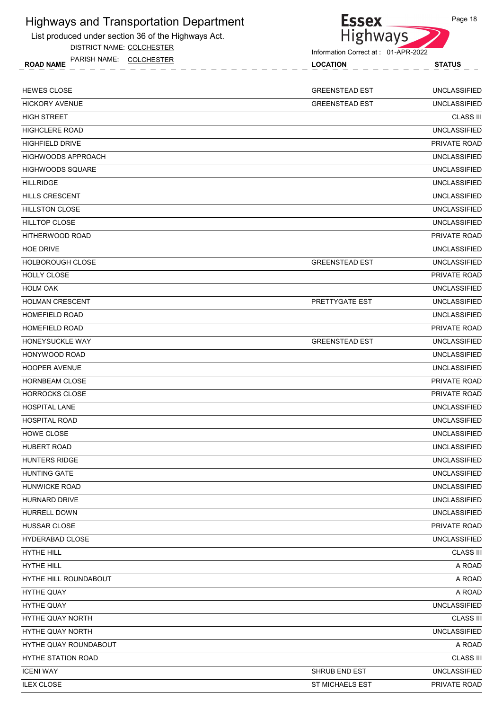List produced under section 36 of the Highways Act.

DISTRICT NAME: COLCHESTER

ROAD NAME LOCATION STATUS PARISH NAME: COLCHESTER



| <b>HEWES CLOSE</b>        | <b>GREENSTEAD EST</b>  | <b>UNCLASSIFIED</b> |
|---------------------------|------------------------|---------------------|
| <b>HICKORY AVENUE</b>     | <b>GREENSTEAD EST</b>  | <b>UNCLASSIFIED</b> |
| <b>HIGH STREET</b>        |                        | <b>CLASS III</b>    |
| <b>HIGHCLERE ROAD</b>     |                        | <b>UNCLASSIFIED</b> |
| <b>HIGHFIELD DRIVE</b>    |                        | PRIVATE ROAD        |
| <b>HIGHWOODS APPROACH</b> |                        | <b>UNCLASSIFIED</b> |
| <b>HIGHWOODS SQUARE</b>   |                        | <b>UNCLASSIFIED</b> |
| <b>HILLRIDGE</b>          |                        | <b>UNCLASSIFIED</b> |
| <b>HILLS CRESCENT</b>     |                        | <b>UNCLASSIFIED</b> |
| <b>HILLSTON CLOSE</b>     |                        | <b>UNCLASSIFIED</b> |
| <b>HILLTOP CLOSE</b>      |                        | <b>UNCLASSIFIED</b> |
| <b>HITHERWOOD ROAD</b>    |                        | PRIVATE ROAD        |
| <b>HOE DRIVE</b>          |                        | <b>UNCLASSIFIED</b> |
| <b>HOLBOROUGH CLOSE</b>   | <b>GREENSTEAD EST</b>  | <b>UNCLASSIFIED</b> |
| <b>HOLLY CLOSE</b>        |                        | PRIVATE ROAD        |
| <b>HOLM OAK</b>           |                        | <b>UNCLASSIFIED</b> |
| <b>HOLMAN CRESCENT</b>    | PRETTYGATE EST         | <b>UNCLASSIFIED</b> |
| <b>HOMEFIELD ROAD</b>     |                        | <b>UNCLASSIFIED</b> |
| <b>HOMEFIELD ROAD</b>     |                        | PRIVATE ROAD        |
| HONEYSUCKLE WAY           | <b>GREENSTEAD EST</b>  | <b>UNCLASSIFIED</b> |
| HONYWOOD ROAD             |                        | <b>UNCLASSIFIED</b> |
| <b>HOOPER AVENUE</b>      |                        | <b>UNCLASSIFIED</b> |
| <b>HORNBEAM CLOSE</b>     |                        | PRIVATE ROAD        |
| <b>HORROCKS CLOSE</b>     |                        | PRIVATE ROAD        |
| <b>HOSPITAL LANE</b>      |                        | <b>UNCLASSIFIED</b> |
| <b>HOSPITAL ROAD</b>      |                        | <b>UNCLASSIFIED</b> |
| HOWE CLOSE                |                        | <b>UNCLASSIFIED</b> |
| <b>HUBERT ROAD</b>        |                        | <b>UNCLASSIFIED</b> |
| <b>HUNTERS RIDGE</b>      |                        | <b>UNCLASSIFIED</b> |
| <b>HUNTING GATE</b>       |                        | <b>UNCLASSIFIED</b> |
| HUNWICKE ROAD             |                        | <b>UNCLASSIFIED</b> |
| <b>HURNARD DRIVE</b>      |                        | <b>UNCLASSIFIED</b> |
| HURRELL DOWN              |                        | <b>UNCLASSIFIED</b> |
| HUSSAR CLOSE              |                        | PRIVATE ROAD        |
| HYDERABAD CLOSE           |                        | <b>UNCLASSIFIED</b> |
| HYTHE HILL                |                        | <b>CLASS III</b>    |
| <b>HYTHE HILL</b>         |                        | A ROAD              |
| HYTHE HILL ROUNDABOUT     |                        | A ROAD              |
| <b>HYTHE QUAY</b>         |                        | A ROAD              |
| <b>HYTHE QUAY</b>         |                        | <b>UNCLASSIFIED</b> |
| HYTHE QUAY NORTH          |                        | <b>CLASS III</b>    |
| HYTHE QUAY NORTH          |                        | <b>UNCLASSIFIED</b> |
| HYTHE QUAY ROUNDABOUT     |                        | A ROAD              |
| <b>HYTHE STATION ROAD</b> |                        | <b>CLASS III</b>    |
| <b>ICENI WAY</b>          | SHRUB END EST          | <b>UNCLASSIFIED</b> |
| <b>ILEX CLOSE</b>         | <b>ST MICHAELS EST</b> | PRIVATE ROAD        |
|                           |                        |                     |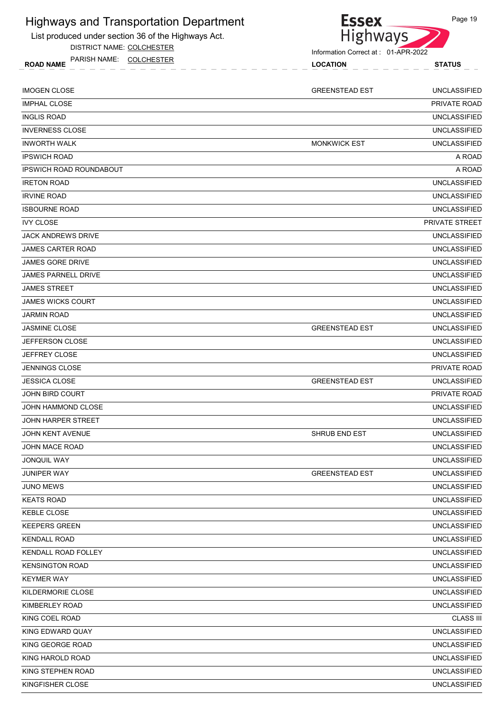List produced under section 36 of the Highways Act.

DISTRICT NAME: COLCHESTER

ROAD NAME LOCATION STATUS PARISH NAME: COLCHESTER



| <b>IMOGEN CLOSE</b>            | <b>GREENSTEAD EST</b> | <b>UNCLASSIFIED</b> |
|--------------------------------|-----------------------|---------------------|
| <b>IMPHAL CLOSE</b>            |                       | PRIVATE ROAD        |
| <b>INGLIS ROAD</b>             |                       | <b>UNCLASSIFIED</b> |
| <b>INVERNESS CLOSE</b>         |                       | <b>UNCLASSIFIED</b> |
| <b>INWORTH WALK</b>            | <b>MONKWICK EST</b>   | <b>UNCLASSIFIED</b> |
| <b>IPSWICH ROAD</b>            |                       | A ROAD              |
| <b>IPSWICH ROAD ROUNDABOUT</b> |                       | A ROAD              |
| <b>IRETON ROAD</b>             |                       | <b>UNCLASSIFIED</b> |
| <b>IRVINE ROAD</b>             |                       | <b>UNCLASSIFIED</b> |
| <b>ISBOURNE ROAD</b>           |                       | <b>UNCLASSIFIED</b> |
| <b>IVY CLOSE</b>               |                       | PRIVATE STREET      |
| <b>JACK ANDREWS DRIVE</b>      |                       | <b>UNCLASSIFIED</b> |
| <b>JAMES CARTER ROAD</b>       |                       | <b>UNCLASSIFIED</b> |
| <b>JAMES GORE DRIVE</b>        |                       | <b>UNCLASSIFIED</b> |
| <b>JAMES PARNELL DRIVE</b>     |                       | <b>UNCLASSIFIED</b> |
| <b>JAMES STREET</b>            |                       | <b>UNCLASSIFIED</b> |
| <b>JAMES WICKS COURT</b>       |                       | <b>UNCLASSIFIED</b> |
| <b>JARMIN ROAD</b>             |                       | <b>UNCLASSIFIED</b> |
| <b>JASMINE CLOSE</b>           | <b>GREENSTEAD EST</b> | <b>UNCLASSIFIED</b> |
| <b>JEFFERSON CLOSE</b>         |                       | <b>UNCLASSIFIED</b> |
| <b>JEFFREY CLOSE</b>           |                       | <b>UNCLASSIFIED</b> |
| <b>JENNINGS CLOSE</b>          |                       | PRIVATE ROAD        |
| <b>JESSICA CLOSE</b>           | <b>GREENSTEAD EST</b> | <b>UNCLASSIFIED</b> |
| <b>JOHN BIRD COURT</b>         |                       | PRIVATE ROAD        |
| JOHN HAMMOND CLOSE             |                       | <b>UNCLASSIFIED</b> |
| <b>JOHN HARPER STREET</b>      |                       | <b>UNCLASSIFIED</b> |
| <b>JOHN KENT AVENUE</b>        | SHRUB END EST         | <b>UNCLASSIFIED</b> |
| <b>JOHN MACE ROAD</b>          |                       | <b>UNCLASSIFIED</b> |
| <b>JONQUIL WAY</b>             |                       | <b>UNCLASSIFIED</b> |
| JUNIPER WAY                    | <b>GREENSTEAD EST</b> | <b>UNCLASSIFIED</b> |
| JUNO MEWS                      |                       | <b>UNCLASSIFIED</b> |
| <b>KEATS ROAD</b>              |                       | <b>UNCLASSIFIED</b> |
| <b>KEBLE CLOSE</b>             |                       | <b>UNCLASSIFIED</b> |
| <b>KEEPERS GREEN</b>           |                       | <b>UNCLASSIFIED</b> |
| <b>KENDALL ROAD</b>            |                       | <b>UNCLASSIFIED</b> |
| KENDALL ROAD FOLLEY            |                       | <b>UNCLASSIFIED</b> |
| <b>KENSINGTON ROAD</b>         |                       | <b>UNCLASSIFIED</b> |
| <b>KEYMER WAY</b>              |                       | <b>UNCLASSIFIED</b> |
| KILDERMORIE CLOSE              |                       | <b>UNCLASSIFIED</b> |
| KIMBERLEY ROAD                 |                       | <b>UNCLASSIFIED</b> |
| KING COEL ROAD                 |                       | <b>CLASS III</b>    |
| KING EDWARD QUAY               |                       | <b>UNCLASSIFIED</b> |
| KING GEORGE ROAD               |                       | <b>UNCLASSIFIED</b> |
| KING HAROLD ROAD               |                       | <b>UNCLASSIFIED</b> |
| KING STEPHEN ROAD              |                       | <b>UNCLASSIFIED</b> |
| KINGFISHER CLOSE               |                       | <b>UNCLASSIFIED</b> |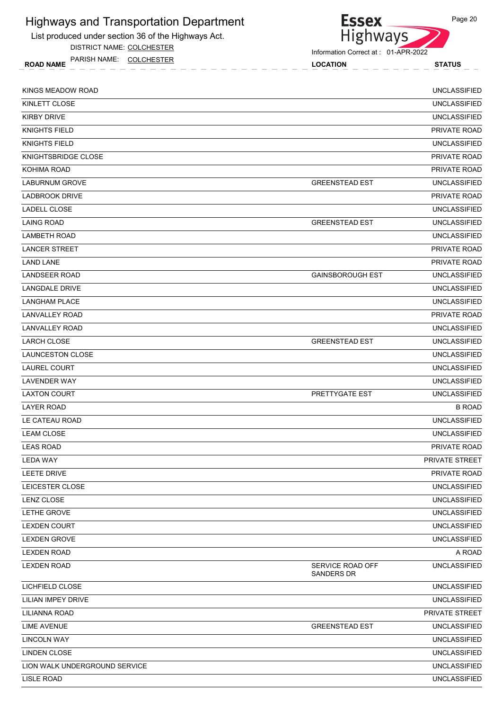

DISTRICT NAME: COLCHESTER

ROAD NAME LOCATION STATUS PARISH NAME: COLCHESTER



Information Correct at : 01-APR-2022

| KINGS MEADOW ROAD             |                                       | <b>UNCLASSIFIED</b>   |
|-------------------------------|---------------------------------------|-----------------------|
| KINLETT CLOSE                 |                                       | <b>UNCLASSIFIED</b>   |
| <b>KIRBY DRIVE</b>            |                                       | <b>UNCLASSIFIED</b>   |
| <b>KNIGHTS FIELD</b>          |                                       | PRIVATE ROAD          |
| <b>KNIGHTS FIELD</b>          |                                       | <b>UNCLASSIFIED</b>   |
| KNIGHTSBRIDGE CLOSE           |                                       | PRIVATE ROAD          |
| KOHIMA ROAD                   |                                       | PRIVATE ROAD          |
| <b>LABURNUM GROVE</b>         | <b>GREENSTEAD EST</b>                 | <b>UNCLASSIFIED</b>   |
| <b>LADBROOK DRIVE</b>         |                                       | PRIVATE ROAD          |
| LADELL CLOSE                  |                                       | <b>UNCLASSIFIED</b>   |
| LAING ROAD                    | <b>GREENSTEAD EST</b>                 | <b>UNCLASSIFIED</b>   |
| <b>LAMBETH ROAD</b>           |                                       | <b>UNCLASSIFIED</b>   |
| <b>LANCER STREET</b>          |                                       | PRIVATE ROAD          |
| LAND LANE                     |                                       | PRIVATE ROAD          |
| <b>LANDSEER ROAD</b>          | <b>GAINSBOROUGH EST</b>               | <b>UNCLASSIFIED</b>   |
| LANGDALE DRIVE                |                                       | <b>UNCLASSIFIED</b>   |
| <b>LANGHAM PLACE</b>          |                                       | <b>UNCLASSIFIED</b>   |
| LANVALLEY ROAD                |                                       | PRIVATE ROAD          |
| <b>LANVALLEY ROAD</b>         |                                       | <b>UNCLASSIFIED</b>   |
| <b>LARCH CLOSE</b>            | <b>GREENSTEAD EST</b>                 | <b>UNCLASSIFIED</b>   |
| <b>LAUNCESTON CLOSE</b>       |                                       | <b>UNCLASSIFIED</b>   |
| LAUREL COURT                  |                                       | <b>UNCLASSIFIED</b>   |
| LAVENDER WAY                  |                                       | <b>UNCLASSIFIED</b>   |
| <b>LAXTON COURT</b>           | PRETTYGATE EST                        | <b>UNCLASSIFIED</b>   |
| <b>LAYER ROAD</b>             |                                       | <b>B ROAD</b>         |
| LE CATEAU ROAD                |                                       | <b>UNCLASSIFIED</b>   |
| <b>LEAM CLOSE</b>             |                                       | <b>UNCLASSIFIED</b>   |
| <b>LEAS ROAD</b>              |                                       | PRIVATE ROAD          |
| <b>LEDA WAY</b>               |                                       | <b>PRIVATE STREET</b> |
| <b>LEETE DRIVE</b>            |                                       | PRIVATE ROAD          |
| LEICESTER CLOSE               |                                       | <b>UNCLASSIFIED</b>   |
| LENZ CLOSE                    |                                       | <b>UNCLASSIFIED</b>   |
| LETHE GROVE                   |                                       | <b>UNCLASSIFIED</b>   |
| <b>LEXDEN COURT</b>           |                                       | <b>UNCLASSIFIED</b>   |
| <b>LEXDEN GROVE</b>           |                                       | <b>UNCLASSIFIED</b>   |
| <b>LEXDEN ROAD</b>            |                                       | A ROAD                |
| <b>LEXDEN ROAD</b>            | SERVICE ROAD OFF<br><b>SANDERS DR</b> | <b>UNCLASSIFIED</b>   |
| LICHFIELD CLOSE               |                                       | <b>UNCLASSIFIED</b>   |
| <b>LILIAN IMPEY DRIVE</b>     |                                       | <b>UNCLASSIFIED</b>   |
| LILIANNA ROAD                 |                                       | PRIVATE STREET        |
| LIME AVENUE                   | <b>GREENSTEAD EST</b>                 | <b>UNCLASSIFIED</b>   |
| <b>LINCOLN WAY</b>            |                                       | <b>UNCLASSIFIED</b>   |
| <b>LINDEN CLOSE</b>           |                                       | <b>UNCLASSIFIED</b>   |
| LION WALK UNDERGROUND SERVICE |                                       | <b>UNCLASSIFIED</b>   |
| LISLE ROAD                    |                                       | <b>UNCLASSIFIED</b>   |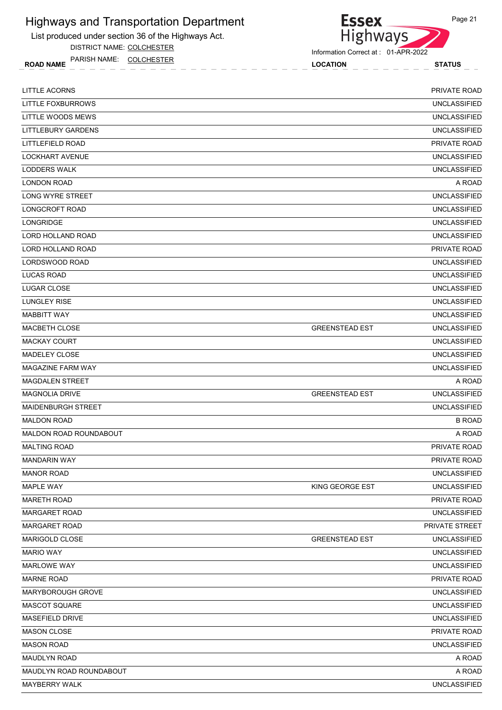List produced under section 36 of the Highways Act.

DISTRICT NAME: COLCHESTER

ROAD NAME LOCATION STATUS PARISH NAME: COLCHESTER



Information Correct at : 01-APR-2022

| LITTLE ACORNS             |                       | <b>PRIVATE ROAD</b> |
|---------------------------|-----------------------|---------------------|
| LITTLE FOXBURROWS         |                       | <b>UNCLASSIFIED</b> |
| LITTLE WOODS MEWS         |                       | <b>UNCLASSIFIED</b> |
| <b>LITTLEBURY GARDENS</b> |                       | <b>UNCLASSIFIED</b> |
| LITTLEFIELD ROAD          |                       | <b>PRIVATE ROAD</b> |
| <b>LOCKHART AVENUE</b>    |                       | <b>UNCLASSIFIED</b> |
| LODDERS WALK              |                       | <b>UNCLASSIFIED</b> |
| <b>LONDON ROAD</b>        |                       | A ROAD              |
| LONG WYRE STREET          |                       | <b>UNCLASSIFIED</b> |
| LONGCROFT ROAD            |                       | <b>UNCLASSIFIED</b> |
| LONGRIDGE                 |                       | <b>UNCLASSIFIED</b> |
| LORD HOLLAND ROAD         |                       | <b>UNCLASSIFIED</b> |
| LORD HOLLAND ROAD         |                       | PRIVATE ROAD        |
| LORDSWOOD ROAD            |                       | <b>UNCLASSIFIED</b> |
| <b>LUCAS ROAD</b>         |                       | <b>UNCLASSIFIED</b> |
| LUGAR CLOSE               |                       | <b>UNCLASSIFIED</b> |
| LUNGLEY RISE              |                       | <b>UNCLASSIFIED</b> |
| <b>MABBITT WAY</b>        |                       | <b>UNCLASSIFIED</b> |
| MACBETH CLOSE             | <b>GREENSTEAD EST</b> | <b>UNCLASSIFIED</b> |
| <b>MACKAY COURT</b>       |                       | <b>UNCLASSIFIED</b> |
| MADELEY CLOSE             |                       | <b>UNCLASSIFIED</b> |
| <b>MAGAZINE FARM WAY</b>  |                       | <b>UNCLASSIFIED</b> |
| <b>MAGDALEN STREET</b>    |                       | A ROAD              |
| <b>MAGNOLIA DRIVE</b>     | <b>GREENSTEAD EST</b> | <b>UNCLASSIFIED</b> |
| <b>MAIDENBURGH STREET</b> |                       | <b>UNCLASSIFIED</b> |
| <b>MALDON ROAD</b>        |                       | <b>B ROAD</b>       |
| MALDON ROAD ROUNDABOUT    |                       | A ROAD              |
| <b>MALTING ROAD</b>       |                       | PRIVATE ROAD        |
| <b>MANDARIN WAY</b>       |                       | <b>PRIVATE ROAD</b> |
| <b>MANOR ROAD</b>         |                       | <b>UNCLASSIFIED</b> |
| MAPLE WAY                 | KING GEORGE EST       | <b>UNCLASSIFIED</b> |
| <b>MARETH ROAD</b>        |                       | PRIVATE ROAD        |
| <b>MARGARET ROAD</b>      |                       | <b>UNCLASSIFIED</b> |
| <b>MARGARET ROAD</b>      |                       | PRIVATE STREET      |
| MARIGOLD CLOSE            | <b>GREENSTEAD EST</b> | <b>UNCLASSIFIED</b> |
| <b>MARIO WAY</b>          |                       | <b>UNCLASSIFIED</b> |
| MARLOWE WAY               |                       | <b>UNCLASSIFIED</b> |
| <b>MARNE ROAD</b>         |                       | PRIVATE ROAD        |
| MARYBOROUGH GROVE         |                       | <b>UNCLASSIFIED</b> |
| MASCOT SQUARE             |                       | <b>UNCLASSIFIED</b> |
| MASEFIELD DRIVE           |                       | <b>UNCLASSIFIED</b> |
| MASON CLOSE               |                       | PRIVATE ROAD        |
| <b>MASON ROAD</b>         |                       | <b>UNCLASSIFIED</b> |
| MAUDLYN ROAD              |                       | A ROAD              |
| MAUDLYN ROAD ROUNDABOUT   |                       | A ROAD              |
| MAYBERRY WALK             |                       | <b>UNCLASSIFIED</b> |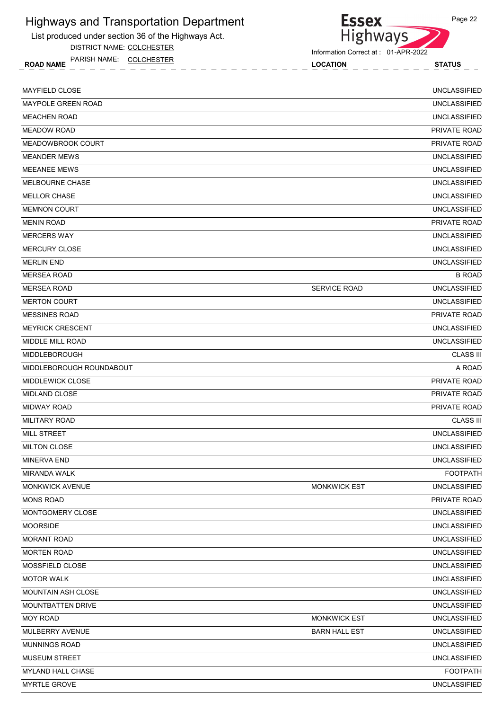List produced under section 36 of the Highways Act.

DISTRICT NAME: COLCHESTER

ROAD NAME LOCATION STATUS PARISH NAME: COLCHESTER



Information Correct at : 01-APR-2022

| <b>MAYFIELD CLOSE</b>     |                      | <b>UNCLASSIFIED</b> |
|---------------------------|----------------------|---------------------|
| <b>MAYPOLE GREEN ROAD</b> |                      | <b>UNCLASSIFIED</b> |
| <b>MEACHEN ROAD</b>       |                      | <b>UNCLASSIFIED</b> |
| <b>MEADOW ROAD</b>        |                      | PRIVATE ROAD        |
| MEADOWBROOK COURT         |                      | PRIVATE ROAD        |
| <b>MEANDER MEWS</b>       |                      | <b>UNCLASSIFIED</b> |
| <b>MEEANEE MEWS</b>       |                      | <b>UNCLASSIFIED</b> |
| <b>MELBOURNE CHASE</b>    |                      | <b>UNCLASSIFIED</b> |
| <b>MELLOR CHASE</b>       |                      | <b>UNCLASSIFIED</b> |
| <b>MEMNON COURT</b>       |                      | <b>UNCLASSIFIED</b> |
| <b>MENIN ROAD</b>         |                      | <b>PRIVATE ROAD</b> |
| <b>MERCERS WAY</b>        |                      | <b>UNCLASSIFIED</b> |
| <b>MERCURY CLOSE</b>      |                      | <b>UNCLASSIFIED</b> |
| <b>MERLIN END</b>         |                      | <b>UNCLASSIFIED</b> |
| <b>MERSEA ROAD</b>        |                      | <b>B ROAD</b>       |
| <b>MERSEA ROAD</b>        | <b>SERVICE ROAD</b>  | <b>UNCLASSIFIED</b> |
| <b>MERTON COURT</b>       |                      | <b>UNCLASSIFIED</b> |
| <b>MESSINES ROAD</b>      |                      | PRIVATE ROAD        |
| <b>MEYRICK CRESCENT</b>   |                      | <b>UNCLASSIFIED</b> |
| MIDDLE MILL ROAD          |                      | <b>UNCLASSIFIED</b> |
| <b>MIDDLEBOROUGH</b>      |                      | <b>CLASS III</b>    |
| MIDDLEBOROUGH ROUNDABOUT  |                      | A ROAD              |
| <b>MIDDLEWICK CLOSE</b>   |                      | <b>PRIVATE ROAD</b> |
| <b>MIDLAND CLOSE</b>      |                      | <b>PRIVATE ROAD</b> |
| <b>MIDWAY ROAD</b>        |                      | PRIVATE ROAD        |
| <b>MILITARY ROAD</b>      |                      | <b>CLASS III</b>    |
| <b>MILL STREET</b>        |                      | <b>UNCLASSIFIED</b> |
| <b>MILTON CLOSE</b>       |                      | <b>UNCLASSIFIED</b> |
| <b>MINERVA END</b>        |                      | <b>UNCLASSIFIED</b> |
| MIRANDA WALK              |                      | <b>FOOTPATH</b>     |
| <b>MONKWICK AVENUE</b>    | <b>MONKWICK EST</b>  | <b>UNCLASSIFIED</b> |
| <b>MONS ROAD</b>          |                      | PRIVATE ROAD        |
| MONTGOMERY CLOSE          |                      | <b>UNCLASSIFIED</b> |
| <b>MOORSIDE</b>           |                      | <b>UNCLASSIFIED</b> |
| MORANT ROAD               |                      | <b>UNCLASSIFIED</b> |
| <b>MORTEN ROAD</b>        |                      | <b>UNCLASSIFIED</b> |
| MOSSFIELD CLOSE           |                      | <b>UNCLASSIFIED</b> |
| <b>MOTOR WALK</b>         |                      | <b>UNCLASSIFIED</b> |
| MOUNTAIN ASH CLOSE        |                      | <b>UNCLASSIFIED</b> |
| MOUNTBATTEN DRIVE         |                      | <b>UNCLASSIFIED</b> |
| <b>MOY ROAD</b>           | <b>MONKWICK EST</b>  | UNCLASSIFIED        |
| MULBERRY AVENUE           | <b>BARN HALL EST</b> | <b>UNCLASSIFIED</b> |
| <b>MUNNINGS ROAD</b>      |                      | <b>UNCLASSIFIED</b> |
| <b>MUSEUM STREET</b>      |                      | <b>UNCLASSIFIED</b> |
| MYLAND HALL CHASE         |                      | <b>FOOTPATH</b>     |
| <b>MYRTLE GROVE</b>       |                      | <b>UNCLASSIFIED</b> |
|                           |                      |                     |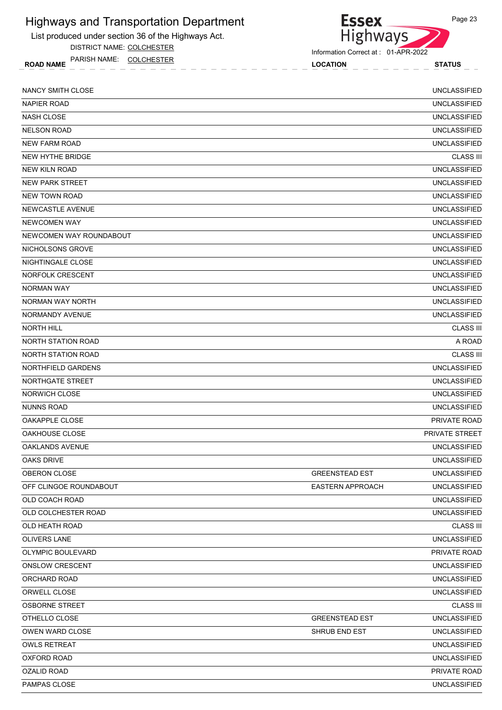List produced under section 36 of the Highways Act.

DISTRICT NAME: COLCHESTER

ROAD NAME LOCATION STATUS PARISH NAME: COLCHESTER

Essex<br>Highways

| <b>NANCY SMITH CLOSE</b>  |                         | <b>UNCLASSIFIED</b> |
|---------------------------|-------------------------|---------------------|
| <b>NAPIER ROAD</b>        |                         | <b>UNCLASSIFIED</b> |
| <b>NASH CLOSE</b>         |                         | <b>UNCLASSIFIED</b> |
| <b>NELSON ROAD</b>        |                         | <b>UNCLASSIFIED</b> |
| NEW FARM ROAD             |                         | <b>UNCLASSIFIED</b> |
| NEW HYTHE BRIDGE          |                         | <b>CLASS III</b>    |
| <b>NEW KILN ROAD</b>      |                         | <b>UNCLASSIFIED</b> |
| <b>NEW PARK STREET</b>    |                         | <b>UNCLASSIFIED</b> |
| <b>NEW TOWN ROAD</b>      |                         | <b>UNCLASSIFIED</b> |
| NEWCASTLE AVENUE          |                         | <b>UNCLASSIFIED</b> |
| <b>NEWCOMEN WAY</b>       |                         | <b>UNCLASSIFIED</b> |
| NEWCOMEN WAY ROUNDABOUT   |                         | <b>UNCLASSIFIED</b> |
| NICHOLSONS GROVE          |                         | <b>UNCLASSIFIED</b> |
| NIGHTINGALE CLOSE         |                         | <b>UNCLASSIFIED</b> |
| NORFOLK CRESCENT          |                         | <b>UNCLASSIFIED</b> |
| NORMAN WAY                |                         | <b>UNCLASSIFIED</b> |
| NORMAN WAY NORTH          |                         | <b>UNCLASSIFIED</b> |
| NORMANDY AVENUE           |                         | <b>UNCLASSIFIED</b> |
| <b>NORTH HILL</b>         |                         | <b>CLASS III</b>    |
| <b>NORTH STATION ROAD</b> |                         | A ROAD              |
| <b>NORTH STATION ROAD</b> |                         | <b>CLASS III</b>    |
| NORTHFIELD GARDENS        |                         | <b>UNCLASSIFIED</b> |
| NORTHGATE STREET          |                         | <b>UNCLASSIFIED</b> |
| <b>NORWICH CLOSE</b>      |                         | <b>UNCLASSIFIED</b> |
| <b>NUNNS ROAD</b>         |                         | <b>UNCLASSIFIED</b> |
| OAKAPPLE CLOSE            |                         | <b>PRIVATE ROAD</b> |
| OAKHOUSE CLOSE            |                         | PRIVATE STREET      |
| <b>OAKLANDS AVENUE</b>    |                         | <b>UNCLASSIFIED</b> |
| OAKS DRIVE                |                         | <b>UNCLASSIFIED</b> |
| OBERON CLOSE              | <b>GREENSTEAD EST</b>   | <b>UNCLASSIFIED</b> |
| OFF CLINGOE ROUNDABOUT    | <b>EASTERN APPROACH</b> | <b>UNCLASSIFIED</b> |
| OLD COACH ROAD            |                         | <b>UNCLASSIFIED</b> |
| OLD COLCHESTER ROAD       |                         | <b>UNCLASSIFIED</b> |
| OLD HEATH ROAD            |                         | <b>CLASS III</b>    |
| <b>OLIVERS LANE</b>       |                         | <b>UNCLASSIFIED</b> |
| OLYMPIC BOULEVARD         |                         | PRIVATE ROAD        |
| <b>ONSLOW CRESCENT</b>    |                         | <b>UNCLASSIFIED</b> |
| ORCHARD ROAD              |                         | <b>UNCLASSIFIED</b> |
| ORWELL CLOSE              |                         | <b>UNCLASSIFIED</b> |
| <b>OSBORNE STREET</b>     |                         | <b>CLASS III</b>    |
| OTHELLO CLOSE             | <b>GREENSTEAD EST</b>   | <b>UNCLASSIFIED</b> |
| OWEN WARD CLOSE           | SHRUB END EST           | <b>UNCLASSIFIED</b> |
| <b>OWLS RETREAT</b>       |                         | <b>UNCLASSIFIED</b> |
| <b>OXFORD ROAD</b>        |                         | <b>UNCLASSIFIED</b> |
| <b>OZALID ROAD</b>        |                         | PRIVATE ROAD        |
| PAMPAS CLOSE              |                         | UNCLASSIFIED        |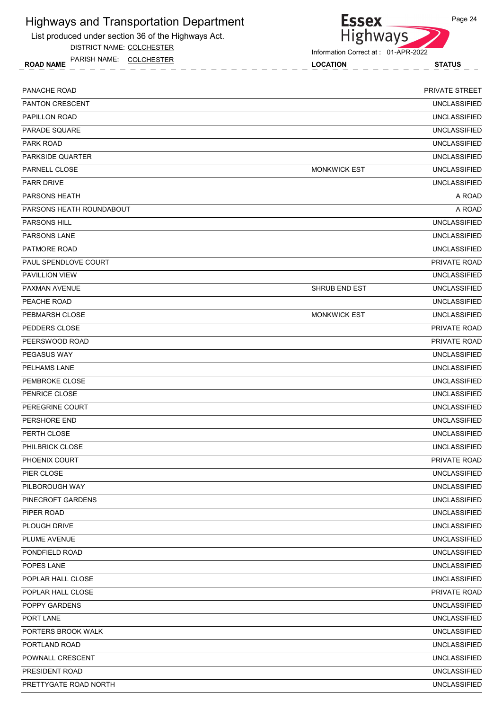List produced under section 36 of the Highways Act.

DISTRICT NAME: COLCHESTER

ROAD NAME LOCATION STATUS PARISH NAME: COLCHESTER



Information Correct at : 01-APR-2022

| PANACHE ROAD             |                      | PRIVATE STREET      |
|--------------------------|----------------------|---------------------|
| <b>PANTON CRESCENT</b>   |                      | <b>UNCLASSIFIED</b> |
| PAPILLON ROAD            |                      | <b>UNCLASSIFIED</b> |
| PARADE SQUARE            |                      | <b>UNCLASSIFIED</b> |
| PARK ROAD                |                      | <b>UNCLASSIFIED</b> |
| PARKSIDE QUARTER         |                      | <b>UNCLASSIFIED</b> |
| PARNELL CLOSE            | <b>MONKWICK EST</b>  | <b>UNCLASSIFIED</b> |
| <b>PARR DRIVE</b>        |                      | <b>UNCLASSIFIED</b> |
| <b>PARSONS HEATH</b>     |                      | A ROAD              |
| PARSONS HEATH ROUNDABOUT |                      | A ROAD              |
| <b>PARSONS HILL</b>      |                      | <b>UNCLASSIFIED</b> |
| <b>PARSONS LANE</b>      |                      | <b>UNCLASSIFIED</b> |
| PATMORE ROAD             |                      | <b>UNCLASSIFIED</b> |
| PAUL SPENDLOVE COURT     |                      | <b>PRIVATE ROAD</b> |
| PAVILLION VIEW           |                      | <b>UNCLASSIFIED</b> |
| PAXMAN AVENUE            | <b>SHRUB END EST</b> | <b>UNCLASSIFIED</b> |
| PEACHE ROAD              |                      | <b>UNCLASSIFIED</b> |
| PEBMARSH CLOSE           | <b>MONKWICK EST</b>  | <b>UNCLASSIFIED</b> |
| PEDDERS CLOSE            |                      | PRIVATE ROAD        |
| PEERSWOOD ROAD           |                      | PRIVATE ROAD        |
| <b>PEGASUS WAY</b>       |                      | <b>UNCLASSIFIED</b> |
| PELHAMS LANE             |                      | <b>UNCLASSIFIED</b> |
| PEMBROKE CLOSE           |                      | <b>UNCLASSIFIED</b> |
| PENRICE CLOSE            |                      | <b>UNCLASSIFIED</b> |
| PEREGRINE COURT          |                      | <b>UNCLASSIFIED</b> |
| PERSHORE END             |                      | <b>UNCLASSIFIED</b> |
| PERTH CLOSE              |                      | <b>UNCLASSIFIED</b> |
| <b>PHILBRICK CLOSE</b>   |                      | <b>UNCLASSIFIED</b> |
| PHOENIX COURT            |                      | PRIVATE ROAD        |
| PIER CLOSE               |                      | <b>UNCLASSIFIED</b> |
| PILBOROUGH WAY           |                      | <b>UNCLASSIFIED</b> |
| PINECROFT GARDENS        |                      | <b>UNCLASSIFIED</b> |
| PIPER ROAD               |                      | <b>UNCLASSIFIED</b> |
| PLOUGH DRIVE             |                      | <b>UNCLASSIFIED</b> |
| PLUME AVENUE             |                      | <b>UNCLASSIFIED</b> |
| PONDFIELD ROAD           |                      | UNCLASSIFIED        |
| POPES LANE               |                      | <b>UNCLASSIFIED</b> |
| POPLAR HALL CLOSE        |                      | <b>UNCLASSIFIED</b> |
| POPLAR HALL CLOSE        |                      | PRIVATE ROAD        |
| POPPY GARDENS            |                      | <b>UNCLASSIFIED</b> |
| PORT LANE                |                      | UNCLASSIFIED        |
| PORTERS BROOK WALK       |                      | <b>UNCLASSIFIED</b> |
| PORTLAND ROAD            |                      | <b>UNCLASSIFIED</b> |
| POWNALL CRESCENT         |                      | <b>UNCLASSIFIED</b> |
| PRESIDENT ROAD           |                      | <b>UNCLASSIFIED</b> |
| PRETTYGATE ROAD NORTH    |                      | <b>UNCLASSIFIED</b> |
|                          |                      |                     |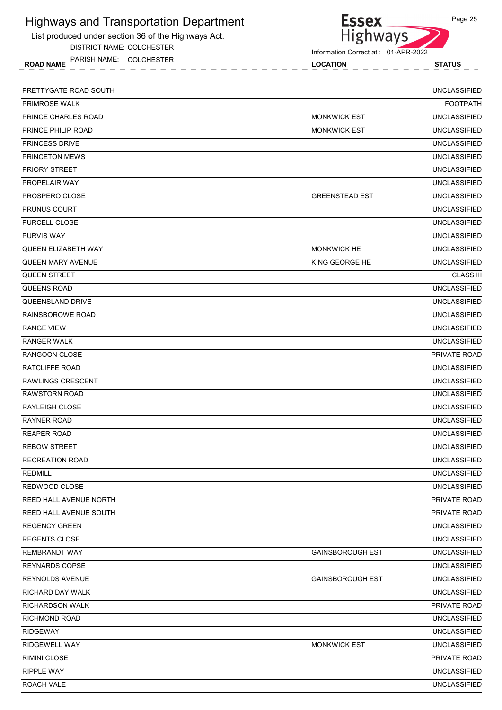List produced under section 36 of the Highways Act.

DISTRICT NAME: COLCHESTER

ROAD NAME LOCATION STATUS PARISH NAME: COLCHESTER



| <b>PRIMROSE WALK</b>       |                         |                     |
|----------------------------|-------------------------|---------------------|
|                            |                         | <b>FOOTPATH</b>     |
| PRINCE CHARLES ROAD        | <b>MONKWICK EST</b>     | <b>UNCLASSIFIED</b> |
| PRINCE PHILIP ROAD         | <b>MONKWICK EST</b>     | <b>UNCLASSIFIED</b> |
| <b>PRINCESS DRIVE</b>      |                         | <b>UNCLASSIFIED</b> |
| PRINCETON MEWS             |                         | <b>UNCLASSIFIED</b> |
| PRIORY STREET              |                         | <b>UNCLASSIFIED</b> |
| PROPELAIR WAY              |                         | <b>UNCLASSIFIED</b> |
| PROSPERO CLOSE             | <b>GREENSTEAD EST</b>   | <b>UNCLASSIFIED</b> |
| <b>PRUNUS COURT</b>        |                         | <b>UNCLASSIFIED</b> |
| PURCELL CLOSE              |                         | <b>UNCLASSIFIED</b> |
| <b>PURVIS WAY</b>          |                         | <b>UNCLASSIFIED</b> |
| <b>QUEEN ELIZABETH WAY</b> | <b>MONKWICK HE</b>      | <b>UNCLASSIFIED</b> |
| <b>QUEEN MARY AVENUE</b>   | KING GEORGE HE          | <b>UNCLASSIFIED</b> |
| <b>QUEEN STREET</b>        |                         | <b>CLASS III</b>    |
| QUEENS ROAD                |                         | <b>UNCLASSIFIED</b> |
| QUEENSLAND DRIVE           |                         | <b>UNCLASSIFIED</b> |
| RAINSBOROWE ROAD           |                         | <b>UNCLASSIFIED</b> |
| <b>RANGE VIEW</b>          |                         | <b>UNCLASSIFIED</b> |
| <b>RANGER WALK</b>         |                         | <b>UNCLASSIFIED</b> |
| RANGOON CLOSE              |                         | PRIVATE ROAD        |
| RATCLIFFE ROAD             |                         | <b>UNCLASSIFIED</b> |
| <b>RAWLINGS CRESCENT</b>   |                         | <b>UNCLASSIFIED</b> |
| <b>RAWSTORN ROAD</b>       |                         | <b>UNCLASSIFIED</b> |
| <b>RAYLEIGH CLOSE</b>      |                         | <b>UNCLASSIFIED</b> |
| <b>RAYNER ROAD</b>         |                         | <b>UNCLASSIFIED</b> |
| <b>REAPER ROAD</b>         |                         | <b>UNCLASSIFIED</b> |
| <b>REBOW STREET</b>        |                         | <b>UNCLASSIFIED</b> |
| <b>RECREATION ROAD</b>     |                         | <b>UNCLASSIFIED</b> |
| <b>REDMILL</b>             |                         | <b>UNCLASSIFIED</b> |
| REDWOOD CLOSE              |                         | <b>UNCLASSIFIED</b> |
| REED HALL AVENUE NORTH     |                         | PRIVATE ROAD        |
| REED HALL AVENUE SOUTH     |                         | PRIVATE ROAD        |
| <b>REGENCY GREEN</b>       |                         | <b>UNCLASSIFIED</b> |
| <b>REGENTS CLOSE</b>       |                         | <b>UNCLASSIFIED</b> |
| <b>REMBRANDT WAY</b>       | <b>GAINSBOROUGH EST</b> | <b>UNCLASSIFIED</b> |
| <b>REYNARDS COPSE</b>      |                         | <b>UNCLASSIFIED</b> |
| <b>REYNOLDS AVENUE</b>     | <b>GAINSBOROUGH EST</b> | <b>UNCLASSIFIED</b> |
| RICHARD DAY WALK           |                         | <b>UNCLASSIFIED</b> |
| <b>RICHARDSON WALK</b>     |                         | PRIVATE ROAD        |
| <b>RICHMOND ROAD</b>       |                         | UNCLASSIFIED        |
| <b>RIDGEWAY</b>            |                         | <b>UNCLASSIFIED</b> |
| RIDGEWELL WAY              | <b>MONKWICK EST</b>     | <b>UNCLASSIFIED</b> |
| <b>RIMINI CLOSE</b>        |                         | PRIVATE ROAD        |
| <b>RIPPLE WAY</b>          |                         | <b>UNCLASSIFIED</b> |
| ROACH VALE                 |                         | <b>UNCLASSIFIED</b> |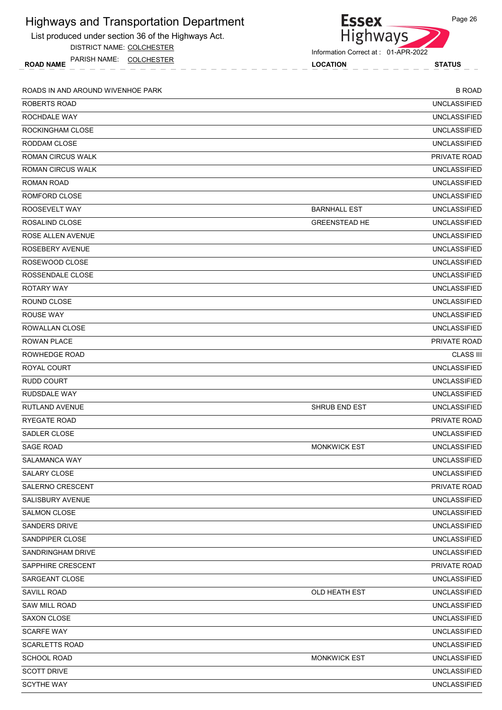| <b>Highways and Transportation Department</b>       | <b>Essex</b>                        | Page 26             |
|-----------------------------------------------------|-------------------------------------|---------------------|
| List produced under section 36 of the Highways Act. | <b>Highways</b>                     |                     |
| DISTRICT NAME: COLCHESTER                           | Information Correct at: 01-APR-2022 |                     |
| PARISH NAME: COLCHESTER<br><b>ROAD NAME</b>         | <b>LOCATION</b>                     | <b>STATUS</b>       |
| ROADS IN AND AROUND WIVENHOE PARK                   |                                     | <b>B ROAD</b>       |
| ROBERTS ROAD                                        |                                     | <b>UNCLASSIFIED</b> |
| ROCHDALE WAY                                        |                                     | <b>UNCLASSIFIED</b> |
| ROCKINGHAM CLOSE                                    |                                     | <b>UNCLASSIFIED</b> |
| RODDAM CLOSE                                        |                                     | <b>UNCLASSIFIED</b> |
| ROMAN CIRCUS WALK                                   |                                     | PRIVATE ROAD        |
| ROMAN CIRCUS WALK                                   |                                     | <b>UNCLASSIFIED</b> |
| ROMAN ROAD                                          |                                     | <b>UNCLASSIFIED</b> |
| ROMFORD CLOSE                                       |                                     | <b>UNCLASSIFIED</b> |
| ROOSEVELT WAY                                       | <b>BARNHALL EST</b>                 | <b>UNCLASSIFIED</b> |
| ROSALIND CLOSE                                      | <b>GREENSTEAD HE</b>                | <b>UNCLASSIFIED</b> |
| <b>ROSE ALLEN AVENUE</b>                            |                                     | <b>UNCLASSIFIED</b> |
| ROSEBERY AVENUE                                     |                                     | <b>UNCLASSIFIED</b> |
| ROSEWOOD CLOSE                                      |                                     | <b>UNCLASSIFIED</b> |
| ROSSENDALE CLOSE                                    |                                     | <b>UNCLASSIFIED</b> |
| <b>ROTARY WAY</b>                                   |                                     | <b>UNCLASSIFIED</b> |
| ROUND CLOSE                                         |                                     | <b>UNCLASSIFIED</b> |
| <b>ROUSE WAY</b>                                    |                                     | <b>UNCLASSIFIED</b> |
| ROWALLAN CLOSE                                      |                                     | <b>UNCLASSIFIED</b> |
| <b>ROWAN PLACE</b>                                  |                                     | PRIVATE ROAD        |
| <b>ROWHEDGE ROAD</b>                                |                                     | <b>CLASS III</b>    |
| ROYAL COURT                                         |                                     | <b>UNCLASSIFIED</b> |
| <b>RUDD COURT</b>                                   |                                     | <b>UNCLASSIFIED</b> |
| RUDSDALE WAY                                        |                                     | <b>UNCLASSIFIED</b> |
| <b>RUTLAND AVENUE</b>                               | <b>SHRUB END EST</b>                | <b>UNCLASSIFIED</b> |
| RYEGATE ROAD                                        |                                     | PRIVATE ROAD        |
| SADLER CLOSE                                        |                                     | <b>UNCLASSIFIED</b> |
| <b>SAGE ROAD</b>                                    | <b>MONKWICK EST</b>                 | <b>UNCLASSIFIED</b> |
| SALAMANCA WAY                                       |                                     | <b>UNCLASSIFIED</b> |
| SALARY CLOSE                                        |                                     | <b>UNCLASSIFIED</b> |
| <b>SALERNO CRESCENT</b>                             |                                     | PRIVATE ROAD        |
| SALISBURY AVENUE                                    |                                     | <b>UNCLASSIFIED</b> |
| <b>SALMON CLOSE</b>                                 |                                     | <b>UNCLASSIFIED</b> |
| <b>SANDERS DRIVE</b>                                |                                     | <b>UNCLASSIFIED</b> |
| SANDPIPER CLOSE                                     |                                     | <b>UNCLASSIFIED</b> |
| SANDRINGHAM DRIVE                                   |                                     | <b>UNCLASSIFIED</b> |
| SAPPHIRE CRESCENT                                   |                                     | PRIVATE ROAD        |
| SARGEANT CLOSE                                      |                                     | <b>UNCLASSIFIED</b> |
| <b>SAVILL ROAD</b>                                  | OLD HEATH EST                       | <b>UNCLASSIFIED</b> |
| <b>SAW MILL ROAD</b>                                |                                     | <b>UNCLASSIFIED</b> |
| SAXON CLOSE                                         |                                     | <b>UNCLASSIFIED</b> |
| <b>SCARFE WAY</b>                                   |                                     | <b>UNCLASSIFIED</b> |
| <b>SCARLETTS ROAD</b>                               |                                     | <b>UNCLASSIFIED</b> |
| <b>SCHOOL ROAD</b>                                  | <b>MONKWICK EST</b>                 | <b>UNCLASSIFIED</b> |
| <b>SCOTT DRIVE</b>                                  |                                     | <b>UNCLASSIFIED</b> |
| <b>SCYTHE WAY</b>                                   |                                     | <b>UNCLASSIFIED</b> |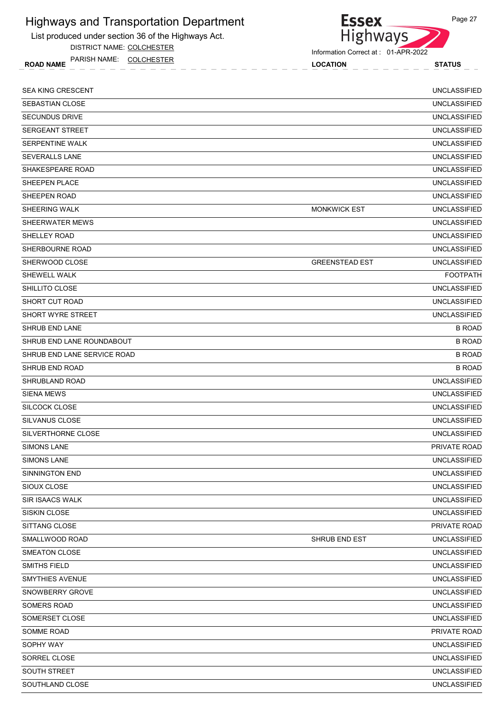List produced under section 36 of the Highways Act.

DISTRICT NAME: COLCHESTER

ROAD NAME LOCATION STATUS PARISH NAME: COLCHESTER



| <b>SEA KING CRESCENT</b>    |                       | <b>UNCLASSIFIED</b> |
|-----------------------------|-----------------------|---------------------|
| SEBASTIAN CLOSE             |                       | <b>UNCLASSIFIED</b> |
| <b>SECUNDUS DRIVE</b>       |                       | <b>UNCLASSIFIED</b> |
| <b>SERGEANT STREET</b>      |                       | <b>UNCLASSIFIED</b> |
| SERPENTINE WALK             |                       | <b>UNCLASSIFIED</b> |
| <b>SEVERALLS LANE</b>       |                       | <b>UNCLASSIFIED</b> |
| SHAKESPEARE ROAD            |                       | <b>UNCLASSIFIED</b> |
| SHEEPEN PLACE               |                       | <b>UNCLASSIFIED</b> |
| SHEEPEN ROAD                |                       | <b>UNCLASSIFIED</b> |
| SHEERING WALK               | <b>MONKWICK EST</b>   | <b>UNCLASSIFIED</b> |
| SHEERWATER MEWS             |                       | <b>UNCLASSIFIED</b> |
| <b>SHELLEY ROAD</b>         |                       | <b>UNCLASSIFIED</b> |
| SHERBOURNE ROAD             |                       | <b>UNCLASSIFIED</b> |
| SHERWOOD CLOSE              | <b>GREENSTEAD EST</b> | <b>UNCLASSIFIED</b> |
| SHEWELL WALK                |                       | <b>FOOTPATH</b>     |
| SHILLITO CLOSE              |                       | <b>UNCLASSIFIED</b> |
| SHORT CUT ROAD              |                       | <b>UNCLASSIFIED</b> |
| <b>SHORT WYRE STREET</b>    |                       | <b>UNCLASSIFIED</b> |
| SHRUB END LANE              |                       | <b>B ROAD</b>       |
| SHRUB END LANE ROUNDABOUT   |                       | <b>B ROAD</b>       |
| SHRUB END LANE SERVICE ROAD |                       | <b>B ROAD</b>       |
| SHRUB END ROAD              |                       | <b>B ROAD</b>       |
| SHRUBLAND ROAD              |                       | <b>UNCLASSIFIED</b> |
| <b>SIENA MEWS</b>           |                       | <b>UNCLASSIFIED</b> |
| SILCOCK CLOSE               |                       | <b>UNCLASSIFIED</b> |
| SILVANUS CLOSE              |                       | <b>UNCLASSIFIED</b> |
| SILVERTHORNE CLOSE          |                       | <b>UNCLASSIFIED</b> |
| <b>SIMONS LANE</b>          |                       | PRIVATE ROAD        |
| SIMONS LANE                 |                       | UNCLASSIFIED        |
| <b>SINNINGTON END</b>       |                       | <b>UNCLASSIFIED</b> |
| SIOUX CLOSE                 |                       | <b>UNCLASSIFIED</b> |
| <b>SIR ISAACS WALK</b>      |                       | <b>UNCLASSIFIED</b> |
| SISKIN CLOSE                |                       | <b>UNCLASSIFIED</b> |
| SITTANG CLOSE               |                       | PRIVATE ROAD        |
| SMALLWOOD ROAD              | SHRUB END EST         | <b>UNCLASSIFIED</b> |
| SMEATON CLOSE               |                       | <b>UNCLASSIFIED</b> |
| SMITHS FIELD                |                       | <b>UNCLASSIFIED</b> |
| <b>SMYTHIES AVENUE</b>      |                       | <b>UNCLASSIFIED</b> |
| SNOWBERRY GROVE             |                       | <b>UNCLASSIFIED</b> |
| SOMERS ROAD                 |                       | <b>UNCLASSIFIED</b> |
| SOMERSET CLOSE              |                       | <b>UNCLASSIFIED</b> |
| SOMME ROAD                  |                       | PRIVATE ROAD        |
| SOPHY WAY                   |                       | <b>UNCLASSIFIED</b> |
| SORREL CLOSE                |                       | <b>UNCLASSIFIED</b> |
| SOUTH STREET                |                       | <b>UNCLASSIFIED</b> |
| SOUTHLAND CLOSE             |                       | <b>UNCLASSIFIED</b> |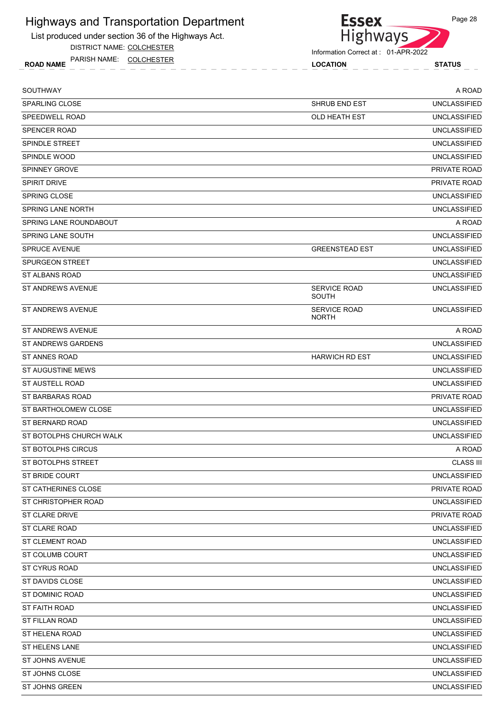List produced under section 36 of the Highways Act.

DISTRICT NAME: COLCHESTER

ROAD NAME LOCATION STATUS PARISH NAME: COLCHESTER



| SOUTHWAY                   |                                     | A ROAD              |
|----------------------------|-------------------------------------|---------------------|
| <b>SPARLING CLOSE</b>      | <b>SHRUB END EST</b>                | <b>UNCLASSIFIED</b> |
| SPEEDWELL ROAD             | OLD HEATH EST                       | <b>UNCLASSIFIED</b> |
| <b>SPENCER ROAD</b>        |                                     | <b>UNCLASSIFIED</b> |
| <b>SPINDLE STREET</b>      |                                     | <b>UNCLASSIFIED</b> |
| SPINDLE WOOD               |                                     | <b>UNCLASSIFIED</b> |
| <b>SPINNEY GROVE</b>       |                                     | PRIVATE ROAD        |
| <b>SPIRIT DRIVE</b>        |                                     | PRIVATE ROAD        |
| <b>SPRING CLOSE</b>        |                                     | <b>UNCLASSIFIED</b> |
| <b>SPRING LANE NORTH</b>   |                                     | <b>UNCLASSIFIED</b> |
| SPRING LANE ROUNDABOUT     |                                     | A ROAD              |
| SPRING LANE SOUTH          |                                     | <b>UNCLASSIFIED</b> |
| <b>SPRUCE AVENUE</b>       | <b>GREENSTEAD EST</b>               | <b>UNCLASSIFIED</b> |
| <b>SPURGEON STREET</b>     |                                     | <b>UNCLASSIFIED</b> |
| ST ALBANS ROAD             |                                     | <b>UNCLASSIFIED</b> |
| ST ANDREWS AVENUE          | <b>SERVICE ROAD</b><br>SOUTH        | <b>UNCLASSIFIED</b> |
| ST ANDREWS AVENUE          | <b>SERVICE ROAD</b><br><b>NORTH</b> | <b>UNCLASSIFIED</b> |
| <b>ST ANDREWS AVENUE</b>   |                                     | A ROAD              |
| <b>ST ANDREWS GARDENS</b>  |                                     | <b>UNCLASSIFIED</b> |
| ST ANNES ROAD              | <b>HARWICH RD EST</b>               | <b>UNCLASSIFIED</b> |
| ST AUGUSTINE MEWS          |                                     | <b>UNCLASSIFIED</b> |
| ST AUSTELL ROAD            |                                     | <b>UNCLASSIFIED</b> |
| ST BARBARAS ROAD           |                                     | PRIVATE ROAD        |
| ST BARTHOLOMEW CLOSE       |                                     | <b>UNCLASSIFIED</b> |
| ST BERNARD ROAD            |                                     | <b>UNCLASSIFIED</b> |
| ST BOTOLPHS CHURCH WALK    |                                     | <b>UNCLASSIFIED</b> |
| ST BOTOLPHS CIRCUS         |                                     | A ROAD              |
| ST BOTOLPHS STREET         |                                     | <b>CLASS III</b>    |
| ST BRIDE COURT             |                                     | UNCLASSIFIED        |
| <b>ST CATHERINES CLOSE</b> |                                     | PRIVATE ROAD        |
| ST CHRISTOPHER ROAD        |                                     | UNCLASSIFIED        |
| ST CLARE DRIVE             |                                     | PRIVATE ROAD        |
| ST CLARE ROAD              |                                     | <b>UNCLASSIFIED</b> |
| ST CLEMENT ROAD            |                                     | <b>UNCLASSIFIED</b> |
| ST COLUMB COURT            |                                     | <b>UNCLASSIFIED</b> |
| ST CYRUS ROAD              |                                     | <b>UNCLASSIFIED</b> |
| ST DAVIDS CLOSE            |                                     | <b>UNCLASSIFIED</b> |
| ST DOMINIC ROAD            |                                     | <b>UNCLASSIFIED</b> |
| ST FAITH ROAD              |                                     | <b>UNCLASSIFIED</b> |
| ST FILLAN ROAD             |                                     | <b>UNCLASSIFIED</b> |
| ST HELENA ROAD             |                                     | <b>UNCLASSIFIED</b> |
| ST HELENS LANE             |                                     | <b>UNCLASSIFIED</b> |
| ST JOHNS AVENUE            |                                     | <b>UNCLASSIFIED</b> |
| ST JOHNS CLOSE             |                                     | <b>UNCLASSIFIED</b> |
| ST JOHNS GREEN             |                                     | <b>UNCLASSIFIED</b> |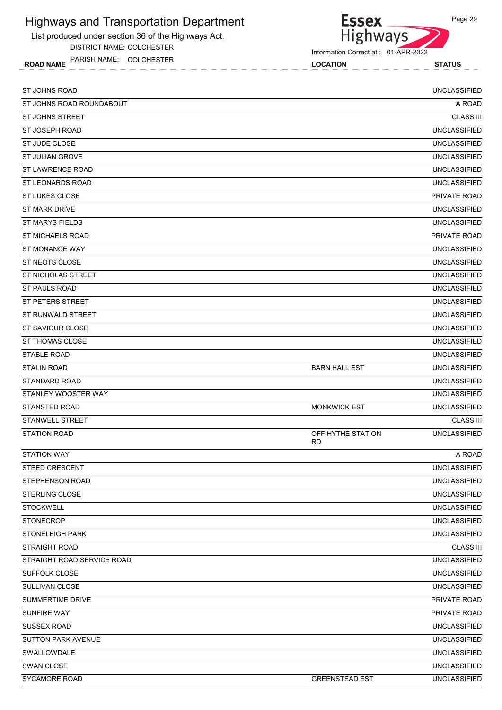List produced under section 36 of the Highways Act.

DISTRICT NAME: COLCHESTER

ROAD NAME LOCATION STATUS PARISH NAME: COLCHESTER



Information Correct at : 01-APR-2022

| ST JOHNS ROAD              |                                | <b>UNCLASSIFIED</b> |
|----------------------------|--------------------------------|---------------------|
| ST JOHNS ROAD ROUNDABOUT   |                                | A ROAD              |
| <b>ST JOHNS STREET</b>     |                                | <b>CLASS III</b>    |
| ST JOSEPH ROAD             |                                | <b>UNCLASSIFIED</b> |
| ST JUDE CLOSE              |                                | <b>UNCLASSIFIED</b> |
| ST JULIAN GROVE            |                                | <b>UNCLASSIFIED</b> |
| ST LAWRENCE ROAD           |                                | <b>UNCLASSIFIED</b> |
| <b>ST LEONARDS ROAD</b>    |                                | <b>UNCLASSIFIED</b> |
| ST LUKES CLOSE             |                                | PRIVATE ROAD        |
| <b>ST MARK DRIVE</b>       |                                | <b>UNCLASSIFIED</b> |
| <b>ST MARYS FIELDS</b>     |                                | <b>UNCLASSIFIED</b> |
| <b>ST MICHAELS ROAD</b>    |                                | PRIVATE ROAD        |
| ST MONANCE WAY             |                                | <b>UNCLASSIFIED</b> |
| ST NEOTS CLOSE             |                                | <b>UNCLASSIFIED</b> |
| ST NICHOLAS STREET         |                                | <b>UNCLASSIFIED</b> |
| <b>ST PAULS ROAD</b>       |                                | <b>UNCLASSIFIED</b> |
| ST PETERS STREET           |                                | <b>UNCLASSIFIED</b> |
| <b>ST RUNWALD STREET</b>   |                                | <b>UNCLASSIFIED</b> |
| ST SAVIOUR CLOSE           |                                | <b>UNCLASSIFIED</b> |
| ST THOMAS CLOSE            |                                | <b>UNCLASSIFIED</b> |
| <b>STABLE ROAD</b>         |                                | <b>UNCLASSIFIED</b> |
| <b>STALIN ROAD</b>         | <b>BARN HALL EST</b>           | <b>UNCLASSIFIED</b> |
| STANDARD ROAD              |                                | <b>UNCLASSIFIED</b> |
| STANLEY WOOSTER WAY        |                                | <b>UNCLASSIFIED</b> |
| <b>STANSTED ROAD</b>       | <b>MONKWICK EST</b>            | <b>UNCLASSIFIED</b> |
| STANWELL STREET            |                                | <b>CLASS III</b>    |
| <b>STATION ROAD</b>        | OFF HYTHE STATION<br><b>RD</b> | <b>UNCLASSIFIED</b> |
| <b>STATION WAY</b>         |                                | A ROAD              |
| STEED CRESCENT             |                                | <b>UNCLASSIFIED</b> |
| STEPHENSON ROAD            |                                | <b>UNCLASSIFIED</b> |
| <b>STERLING CLOSE</b>      |                                | <b>UNCLASSIFIED</b> |
| <b>STOCKWELL</b>           |                                | <b>UNCLASSIFIED</b> |
| <b>STONECROP</b>           |                                | <b>UNCLASSIFIED</b> |
| <b>STONELEIGH PARK</b>     |                                | <b>UNCLASSIFIED</b> |
| <b>STRAIGHT ROAD</b>       |                                | <b>CLASS III</b>    |
| STRAIGHT ROAD SERVICE ROAD |                                | <b>UNCLASSIFIED</b> |
| SUFFOLK CLOSE              |                                | <b>UNCLASSIFIED</b> |
| SULLIVAN CLOSE             |                                | <b>UNCLASSIFIED</b> |
| SUMMERTIME DRIVE           |                                | PRIVATE ROAD        |
| SUNFIRE WAY                |                                | PRIVATE ROAD        |
| <b>SUSSEX ROAD</b>         |                                | <b>UNCLASSIFIED</b> |
| <b>SUTTON PARK AVENUE</b>  |                                | <b>UNCLASSIFIED</b> |
| SWALLOWDALE                |                                | <b>UNCLASSIFIED</b> |
| SWAN CLOSE                 |                                | <b>UNCLASSIFIED</b> |
| <b>SYCAMORE ROAD</b>       | <b>GREENSTEAD EST</b>          | <b>UNCLASSIFIED</b> |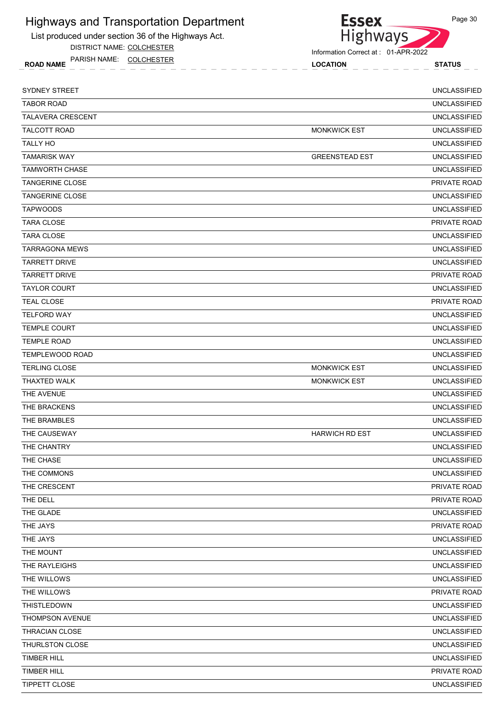List produced under section 36 of the Highways Act.

DISTRICT NAME: COLCHESTER

ROAD NAME LOCATION STATUS PARISH NAME: COLCHESTER



| <b>SYDNEY STREET</b>     |                       | <b>UNCLASSIFIED</b> |
|--------------------------|-----------------------|---------------------|
| <b>TABOR ROAD</b>        |                       | <b>UNCLASSIFIED</b> |
| <b>TALAVERA CRESCENT</b> |                       | <b>UNCLASSIFIED</b> |
| TALCOTT ROAD             | <b>MONKWICK EST</b>   | <b>UNCLASSIFIED</b> |
| <b>TALLY HO</b>          |                       | <b>UNCLASSIFIED</b> |
| <b>TAMARISK WAY</b>      | <b>GREENSTEAD EST</b> | <b>UNCLASSIFIED</b> |
| <b>TAMWORTH CHASE</b>    |                       | <b>UNCLASSIFIED</b> |
| <b>TANGERINE CLOSE</b>   |                       | PRIVATE ROAD        |
| <b>TANGERINE CLOSE</b>   |                       | <b>UNCLASSIFIED</b> |
| <b>TAPWOODS</b>          |                       | <b>UNCLASSIFIED</b> |
| <b>TARA CLOSE</b>        |                       | <b>PRIVATE ROAD</b> |
| <b>TARA CLOSE</b>        |                       | <b>UNCLASSIFIED</b> |
| <b>TARRAGONA MEWS</b>    |                       | <b>UNCLASSIFIED</b> |
| <b>TARRETT DRIVE</b>     |                       | <b>UNCLASSIFIED</b> |
| <b>TARRETT DRIVE</b>     |                       | <b>PRIVATE ROAD</b> |
| <b>TAYLOR COURT</b>      |                       | <b>UNCLASSIFIED</b> |
| <b>TEAL CLOSE</b>        |                       | PRIVATE ROAD        |
| <b>TELFORD WAY</b>       |                       | <b>UNCLASSIFIED</b> |
| <b>TEMPLE COURT</b>      |                       | <b>UNCLASSIFIED</b> |
| <b>TEMPLE ROAD</b>       |                       | <b>UNCLASSIFIED</b> |
| <b>TEMPLEWOOD ROAD</b>   |                       | <b>UNCLASSIFIED</b> |
| <b>TERLING CLOSE</b>     | <b>MONKWICK EST</b>   | <b>UNCLASSIFIED</b> |
| THAXTED WALK             | <b>MONKWICK EST</b>   | <b>UNCLASSIFIED</b> |
| THE AVENUE               |                       | <b>UNCLASSIFIED</b> |
| THE BRACKENS             |                       | <b>UNCLASSIFIED</b> |
| THE BRAMBLES             |                       | <b>UNCLASSIFIED</b> |
| THE CAUSEWAY             | <b>HARWICH RD EST</b> | <b>UNCLASSIFIED</b> |
| THE CHANTRY              |                       | <b>UNCLASSIFIED</b> |
| THE CHASE                |                       | <b>UNCLASSIFIED</b> |
| THE COMMONS              |                       | <b>UNCLASSIFIED</b> |
| THE CRESCENT             |                       | PRIVATE ROAD        |
| THE DELL                 |                       | PRIVATE ROAD        |
| THE GLADE                |                       | <b>UNCLASSIFIED</b> |
| THE JAYS                 |                       | PRIVATE ROAD        |
| THE JAYS                 |                       | <b>UNCLASSIFIED</b> |
| THE MOUNT                |                       | UNCLASSIFIED        |
| THE RAYLEIGHS            |                       | <b>UNCLASSIFIED</b> |
| THE WILLOWS              |                       | <b>UNCLASSIFIED</b> |
| THE WILLOWS              |                       | PRIVATE ROAD        |
| THISTLEDOWN              |                       | <b>UNCLASSIFIED</b> |
| THOMPSON AVENUE          |                       | <b>UNCLASSIFIED</b> |
| THRACIAN CLOSE           |                       | <b>UNCLASSIFIED</b> |
| THURLSTON CLOSE          |                       | <b>UNCLASSIFIED</b> |
| <b>TIMBER HILL</b>       |                       | <b>UNCLASSIFIED</b> |
| <b>TIMBER HILL</b>       |                       | PRIVATE ROAD        |
| TIPPETT CLOSE            |                       | <b>UNCLASSIFIED</b> |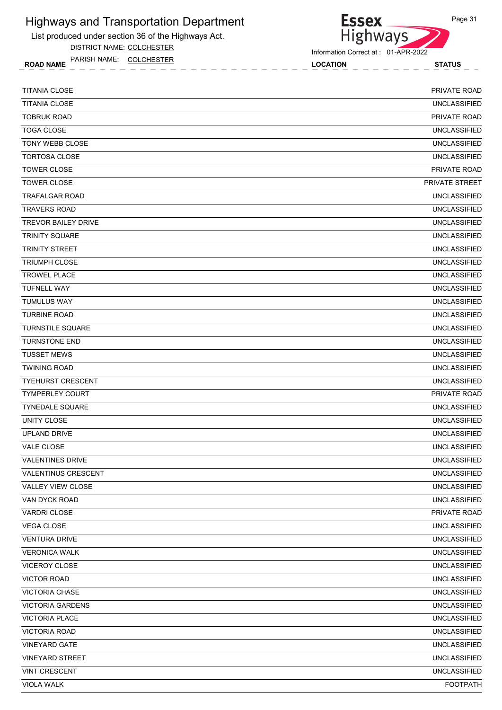List produced under section 36 of the Highways Act.

DISTRICT NAME: COLCHESTER

ROAD NAME LOCATION STATUS PARISH NAME: COLCHESTER



| <b>TITANIA CLOSE</b>       | PRIVATE ROAD          |
|----------------------------|-----------------------|
| <b>TITANIA CLOSE</b>       | <b>UNCLASSIFIED</b>   |
| <b>TOBRUK ROAD</b>         | PRIVATE ROAD          |
| <b>TOGA CLOSE</b>          | <b>UNCLASSIFIED</b>   |
| TONY WEBB CLOSE            | <b>UNCLASSIFIED</b>   |
| <b>TORTOSA CLOSE</b>       | <b>UNCLASSIFIED</b>   |
| <b>TOWER CLOSE</b>         | PRIVATE ROAD          |
| <b>TOWER CLOSE</b>         | <b>PRIVATE STREET</b> |
| <b>TRAFALGAR ROAD</b>      | <b>UNCLASSIFIED</b>   |
| <b>TRAVERS ROAD</b>        | <b>UNCLASSIFIED</b>   |
| <b>TREVOR BAILEY DRIVE</b> | <b>UNCLASSIFIED</b>   |
| <b>TRINITY SQUARE</b>      | <b>UNCLASSIFIED</b>   |
| <b>TRINITY STREET</b>      | <b>UNCLASSIFIED</b>   |
| <b>TRIUMPH CLOSE</b>       | <b>UNCLASSIFIED</b>   |
| <b>TROWEL PLACE</b>        | <b>UNCLASSIFIED</b>   |
| <b>TUFNELL WAY</b>         | <b>UNCLASSIFIED</b>   |
| <b>TUMULUS WAY</b>         | <b>UNCLASSIFIED</b>   |
| <b>TURBINE ROAD</b>        | <b>UNCLASSIFIED</b>   |
| <b>TURNSTILE SQUARE</b>    | <b>UNCLASSIFIED</b>   |
| <b>TURNSTONE END</b>       | <b>UNCLASSIFIED</b>   |
| <b>TUSSET MEWS</b>         | <b>UNCLASSIFIED</b>   |
| <b>TWINING ROAD</b>        | <b>UNCLASSIFIED</b>   |
| <b>TYEHURST CRESCENT</b>   | <b>UNCLASSIFIED</b>   |
| <b>TYMPERLEY COURT</b>     | PRIVATE ROAD          |
| <b>TYNEDALE SQUARE</b>     | <b>UNCLASSIFIED</b>   |
| UNITY CLOSE                | <b>UNCLASSIFIED</b>   |
| UPLAND DRIVE               | <b>UNCLASSIFIED</b>   |
| <b>VALE CLOSE</b>          | <b>UNCLASSIFIED</b>   |
| <b>VALENTINES DRIVE</b>    | <b>UNCLASSIFIED</b>   |
| VALENTINUS CRESCENT        | <b>UNCLASSIFIED</b>   |
| VALLEY VIEW CLOSE          | <b>UNCLASSIFIED</b>   |
| VAN DYCK ROAD              | <b>UNCLASSIFIED</b>   |
| <b>VARDRI CLOSE</b>        | PRIVATE ROAD          |
| <b>VEGA CLOSE</b>          | <b>UNCLASSIFIED</b>   |
| <b>VENTURA DRIVE</b>       | <b>UNCLASSIFIED</b>   |
| <b>VERONICA WALK</b>       | <b>UNCLASSIFIED</b>   |
| VICEROY CLOSE              | <b>UNCLASSIFIED</b>   |
| <b>VICTOR ROAD</b>         | <b>UNCLASSIFIED</b>   |
| <b>VICTORIA CHASE</b>      | <b>UNCLASSIFIED</b>   |
| <b>VICTORIA GARDENS</b>    | <b>UNCLASSIFIED</b>   |
| <b>VICTORIA PLACE</b>      | UNCLASSIFIED          |
| <b>VICTORIA ROAD</b>       | <b>UNCLASSIFIED</b>   |
| <b>VINEYARD GATE</b>       | <b>UNCLASSIFIED</b>   |
| <b>VINEYARD STREET</b>     | <b>UNCLASSIFIED</b>   |
| <b>VINT CRESCENT</b>       | <b>UNCLASSIFIED</b>   |
| <b>VIOLA WALK</b>          | <b>FOOTPATH</b>       |
|                            |                       |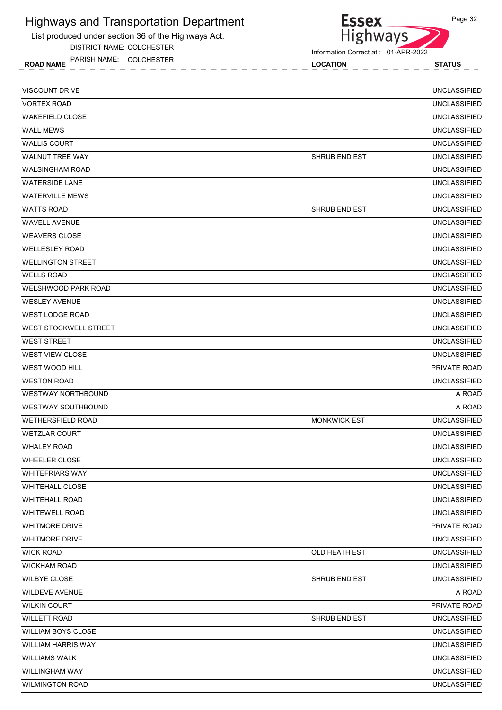List produced under section 36 of the Highways Act.

DISTRICT NAME: COLCHESTER

ROAD NAME LOCATION STATUS PARISH NAME: COLCHESTER



| <b>VISCOUNT DRIVE</b>        |                      | <b>UNCLASSIFIED</b> |
|------------------------------|----------------------|---------------------|
| <b>VORTEX ROAD</b>           |                      | <b>UNCLASSIFIED</b> |
| <b>WAKEFIELD CLOSE</b>       |                      | <b>UNCLASSIFIED</b> |
| <b>WALL MEWS</b>             |                      | <b>UNCLASSIFIED</b> |
| <b>WALLIS COURT</b>          |                      | <b>UNCLASSIFIED</b> |
| <b>WALNUT TREE WAY</b>       | <b>SHRUB END EST</b> | <b>UNCLASSIFIED</b> |
| <b>WALSINGHAM ROAD</b>       |                      | <b>UNCLASSIFIED</b> |
| <b>WATERSIDE LANE</b>        |                      | <b>UNCLASSIFIED</b> |
| <b>WATERVILLE MEWS</b>       |                      | <b>UNCLASSIFIED</b> |
| <b>WATTS ROAD</b>            | SHRUB END EST        | <b>UNCLASSIFIED</b> |
| <b>WAVELL AVENUE</b>         |                      | <b>UNCLASSIFIED</b> |
| <b>WEAVERS CLOSE</b>         |                      | <b>UNCLASSIFIED</b> |
| <b>WELLESLEY ROAD</b>        |                      | <b>UNCLASSIFIED</b> |
| <b>WELLINGTON STREET</b>     |                      | <b>UNCLASSIFIED</b> |
| <b>WELLS ROAD</b>            |                      | <b>UNCLASSIFIED</b> |
| <b>WELSHWOOD PARK ROAD</b>   |                      | <b>UNCLASSIFIED</b> |
| <b>WESLEY AVENUE</b>         |                      | <b>UNCLASSIFIED</b> |
| <b>WEST LODGE ROAD</b>       |                      | <b>UNCLASSIFIED</b> |
| <b>WEST STOCKWELL STREET</b> |                      | <b>UNCLASSIFIED</b> |
| <b>WEST STREET</b>           |                      | <b>UNCLASSIFIED</b> |
| <b>WEST VIEW CLOSE</b>       |                      | <b>UNCLASSIFIED</b> |
| <b>WEST WOOD HILL</b>        |                      | PRIVATE ROAD        |
| <b>WESTON ROAD</b>           |                      | <b>UNCLASSIFIED</b> |
| <b>WESTWAY NORTHBOUND</b>    |                      | A ROAD              |
| <b>WESTWAY SOUTHBOUND</b>    |                      | A ROAD              |
| <b>WETHERSFIELD ROAD</b>     | <b>MONKWICK EST</b>  | <b>UNCLASSIFIED</b> |
| <b>WETZLAR COURT</b>         |                      | <b>UNCLASSIFIED</b> |
| <b>WHALEY ROAD</b>           |                      | <b>UNCLASSIFIED</b> |
| <b>WHEELER CLOSE</b>         |                      | <b>UNCLASSIFIED</b> |
| <b>WHITEFRIARS WAY</b>       |                      | <b>UNCLASSIFIED</b> |
| <b>WHITEHALL CLOSE</b>       |                      | <b>UNCLASSIFIED</b> |
| <b>WHITEHALL ROAD</b>        |                      | <b>UNCLASSIFIED</b> |
| <b>WHITEWELL ROAD</b>        |                      | <b>UNCLASSIFIED</b> |
| <b>WHITMORE DRIVE</b>        |                      | PRIVATE ROAD        |
| <b>WHITMORE DRIVE</b>        |                      | <b>UNCLASSIFIED</b> |
| <b>WICK ROAD</b>             | OLD HEATH EST        | <b>UNCLASSIFIED</b> |
| <b>WICKHAM ROAD</b>          |                      | <b>UNCLASSIFIED</b> |
| WILBYE CLOSE                 | SHRUB END EST        | <b>UNCLASSIFIED</b> |
| <b>WILDEVE AVENUE</b>        |                      | A ROAD              |
| <b>WILKIN COURT</b>          |                      | PRIVATE ROAD        |
| <b>WILLETT ROAD</b>          | SHRUB END EST        | UNCLASSIFIED        |
| WILLIAM BOYS CLOSE           |                      | <b>UNCLASSIFIED</b> |
| <b>WILLIAM HARRIS WAY</b>    |                      | <b>UNCLASSIFIED</b> |
| <b>WILLIAMS WALK</b>         |                      | <b>UNCLASSIFIED</b> |
| WILLINGHAM WAY               |                      | <b>UNCLASSIFIED</b> |
| <b>WILMINGTON ROAD</b>       |                      | <b>UNCLASSIFIED</b> |

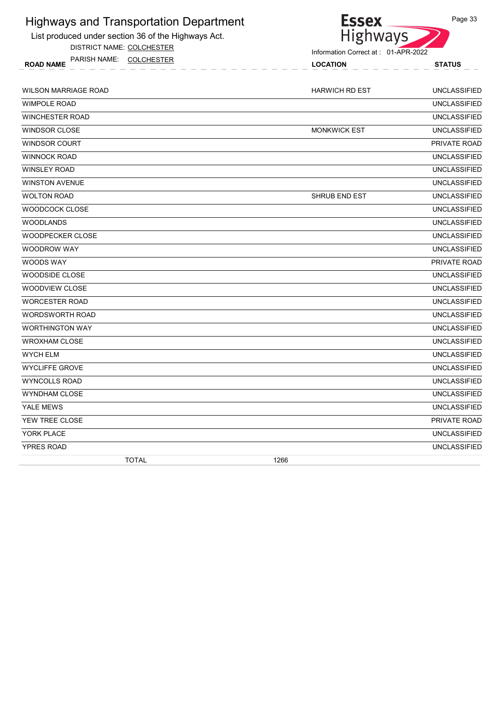List produced under section 36 of the Highways Act.

DISTRICT NAME: COLCHESTER



| PARISH<br>AME<br><b>ROAD NAME</b> |  |  |  |  |  |  |  |  | <b>OCATION</b> |  |  |  |  |  |  |  |  | ~-<br>. |  |  |  |  |  |  |  |  |  |  |  |  |  |  |
|-----------------------------------|--|--|--|--|--|--|--|--|----------------|--|--|--|--|--|--|--|--|---------|--|--|--|--|--|--|--|--|--|--|--|--|--|--|
|                                   |  |  |  |  |  |  |  |  |                |  |  |  |  |  |  |  |  |         |  |  |  |  |  |  |  |  |  |  |  |  |  |  |

| <b>WILSON MARRIAGE ROAD</b> | <b>HARWICH RD EST</b> | <b>UNCLASSIFIED</b> |
|-----------------------------|-----------------------|---------------------|
| <b>WIMPOLE ROAD</b>         |                       | <b>UNCLASSIFIED</b> |
| <b>WINCHESTER ROAD</b>      |                       | <b>UNCLASSIFIED</b> |
| <b>WINDSOR CLOSE</b>        | <b>MONKWICK EST</b>   | <b>UNCLASSIFIED</b> |
| <b>WINDSOR COURT</b>        |                       | <b>PRIVATE ROAD</b> |
| <b>WINNOCK ROAD</b>         |                       | <b>UNCLASSIFIED</b> |
| <b>WINSLEY ROAD</b>         |                       | <b>UNCLASSIFIED</b> |
| <b>WINSTON AVENUE</b>       |                       | <b>UNCLASSIFIED</b> |
| <b>WOLTON ROAD</b>          | SHRUB END EST         | <b>UNCLASSIFIED</b> |
| <b>WOODCOCK CLOSE</b>       |                       | <b>UNCLASSIFIED</b> |
| <b>WOODLANDS</b>            |                       | <b>UNCLASSIFIED</b> |
| <b>WOODPECKER CLOSE</b>     |                       | <b>UNCLASSIFIED</b> |
| <b>WOODROW WAY</b>          |                       | <b>UNCLASSIFIED</b> |
| <b>WOODS WAY</b>            |                       | PRIVATE ROAD        |
| WOODSIDE CLOSE              |                       | <b>UNCLASSIFIED</b> |
| <b>WOODVIEW CLOSE</b>       |                       | <b>UNCLASSIFIED</b> |
| <b>WORCESTER ROAD</b>       |                       | <b>UNCLASSIFIED</b> |
| <b>WORDSWORTH ROAD</b>      |                       | <b>UNCLASSIFIED</b> |
| <b>WORTHINGTON WAY</b>      |                       | <b>UNCLASSIFIED</b> |
| <b>WROXHAM CLOSE</b>        |                       | <b>UNCLASSIFIED</b> |
| <b>WYCH ELM</b>             |                       | <b>UNCLASSIFIED</b> |
| <b>WYCLIFFE GROVE</b>       |                       | <b>UNCLASSIFIED</b> |
| <b>WYNCOLLS ROAD</b>        |                       | <b>UNCLASSIFIED</b> |
| <b>WYNDHAM CLOSE</b>        |                       | <b>UNCLASSIFIED</b> |
| YALE MEWS                   |                       | <b>UNCLASSIFIED</b> |
| YEW TREE CLOSE              |                       | PRIVATE ROAD        |
| YORK PLACE                  |                       | <b>UNCLASSIFIED</b> |
| <b>YPRES ROAD</b>           |                       | <b>UNCLASSIFIED</b> |
| <b>TOTAL</b>                | 1266                  |                     |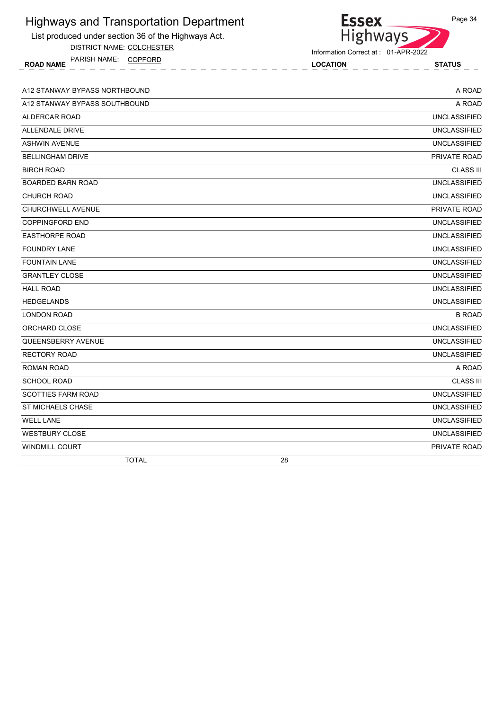| List produced under section 36 of the Highways Act. | Highways                            |
|-----------------------------------------------------|-------------------------------------|
| DISTRICT NAME: COLCHESTER                           | Information Correct at: 01-APR-2022 |
| ROAD NAME PARISH NAME: COPFORD                      | <b>LOCATION</b><br><b>STATUS</b>    |
| A12 STANWAY BYPASS NORTHBOUND                       | A ROAD                              |
| A12 STANWAY BYPASS SOUTHBOUND                       | A ROAD                              |
| ALDERCAR ROAD                                       | <b>UNCLASSIFIED</b>                 |
| ALLENDALE DRIVE                                     | <b>UNCLASSIFIED</b>                 |
| <b>ASHWIN AVENUE</b>                                | <b>UNCLASSIFIED</b>                 |
| <b>BELLINGHAM DRIVE</b>                             | PRIVATE ROAD                        |
| <b>BIRCH ROAD</b>                                   | <b>CLASS III</b>                    |
| <b>BOARDED BARN ROAD</b>                            | <b>UNCLASSIFIED</b>                 |
| <b>CHURCH ROAD</b>                                  | <b>UNCLASSIFIED</b>                 |
| <b>CHURCHWELL AVENUE</b>                            | PRIVATE ROAD                        |
| <b>COPPINGFORD END</b>                              | <b>UNCLASSIFIED</b>                 |
| <b>EASTHORPE ROAD</b>                               | <b>UNCLASSIFIED</b>                 |
| <b>FOUNDRY LANE</b>                                 | <b>UNCLASSIFIED</b>                 |
| <b>FOUNTAIN LANE</b>                                | <b>UNCLASSIFIED</b>                 |
| <b>GRANTLEY CLOSE</b>                               | <b>UNCLASSIFIED</b>                 |
| <b>HALL ROAD</b>                                    | <b>UNCLASSIFIED</b>                 |
| <b>HEDGELANDS</b>                                   | <b>UNCLASSIFIED</b>                 |
| <b>LONDON ROAD</b>                                  | <b>B ROAD</b>                       |
| ORCHARD CLOSE                                       | <b>UNCLASSIFIED</b>                 |
| QUEENSBERRY AVENUE                                  | <b>UNCLASSIFIED</b>                 |
| <b>RECTORY ROAD</b>                                 | <b>UNCLASSIFIED</b>                 |
| <b>ROMAN ROAD</b>                                   | A ROAD                              |
| <b>SCHOOL ROAD</b>                                  | <b>CLASS III</b>                    |
| <b>SCOTTIES FARM ROAD</b>                           | <b>UNCLASSIFIED</b>                 |
| <b>ST MICHAELS CHASE</b>                            | <b>UNCLASSIFIED</b>                 |
| <b>WELL LANE</b>                                    | <b>UNCLASSIFIED</b>                 |
| <b>WESTBURY CLOSE</b>                               | <b>UNCLASSIFIED</b>                 |
| WINDMILL COURT                                      | PRIVATE ROAD                        |
| <b>TOTAL</b>                                        | 28                                  |

Page 34

**Essex** 

Highways and Transportation Department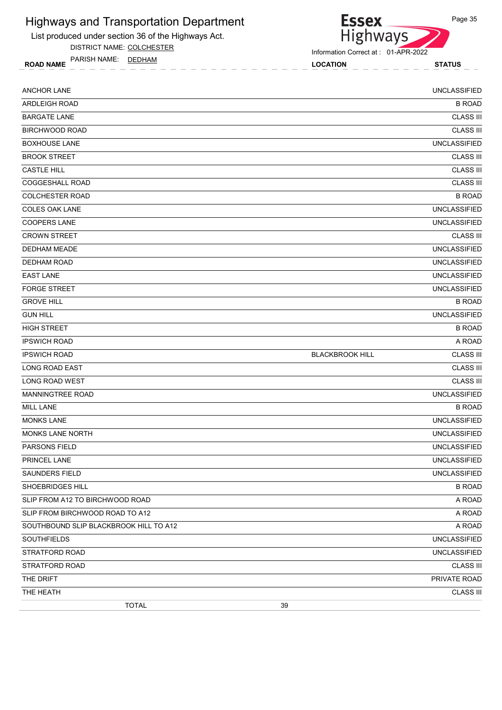

DISTRICT NAME: COLCHESTER

ROAD NAME LOCATION STATUS PARISH NAME: DEDHAM



| <b>ANCHOR LANE</b>                     |                        | <b>UNCLASSIFIED</b> |
|----------------------------------------|------------------------|---------------------|
| ARDLEIGH ROAD                          |                        | <b>B ROAD</b>       |
| <b>BARGATE LANE</b>                    |                        | <b>CLASS III</b>    |
| <b>BIRCHWOOD ROAD</b>                  |                        | <b>CLASS III</b>    |
| <b>BOXHOUSE LANE</b>                   |                        | <b>UNCLASSIFIED</b> |
| <b>BROOK STREET</b>                    |                        | <b>CLASS III</b>    |
| <b>CASTLE HILL</b>                     |                        | <b>CLASS III</b>    |
| COGGESHALL ROAD                        |                        | <b>CLASS III</b>    |
| <b>COLCHESTER ROAD</b>                 |                        | <b>B ROAD</b>       |
| <b>COLES OAK LANE</b>                  |                        | <b>UNCLASSIFIED</b> |
| <b>COOPERS LANE</b>                    |                        | <b>UNCLASSIFIED</b> |
| <b>CROWN STREET</b>                    |                        | <b>CLASS III</b>    |
| <b>DEDHAM MEADE</b>                    |                        | <b>UNCLASSIFIED</b> |
| <b>DEDHAM ROAD</b>                     |                        | <b>UNCLASSIFIED</b> |
| <b>EAST LANE</b>                       |                        | <b>UNCLASSIFIED</b> |
| <b>FORGE STREET</b>                    |                        | <b>UNCLASSIFIED</b> |
| <b>GROVE HILL</b>                      |                        | <b>B ROAD</b>       |
| <b>GUN HILL</b>                        |                        | <b>UNCLASSIFIED</b> |
| <b>HIGH STREET</b>                     |                        | <b>B ROAD</b>       |
| <b>IPSWICH ROAD</b>                    |                        | A ROAD              |
| <b>IPSWICH ROAD</b>                    | <b>BLACKBROOK HILL</b> | <b>CLASS III</b>    |
| LONG ROAD EAST                         |                        | <b>CLASS III</b>    |
| LONG ROAD WEST                         |                        | <b>CLASS III</b>    |
| MANNINGTREE ROAD                       |                        | <b>UNCLASSIFIED</b> |
| <b>MILL LANE</b>                       |                        | <b>B ROAD</b>       |
| <b>MONKS LANE</b>                      |                        | <b>UNCLASSIFIED</b> |
| MONKS LANE NORTH                       |                        | <b>UNCLASSIFIED</b> |
| PARSONS FIELD                          |                        | <b>UNCLASSIFIED</b> |
| PRINCEL LANE                           |                        | <b>UNCLASSIFIED</b> |
| <b>SAUNDERS FIELD</b>                  |                        | <b>UNCLASSIFIED</b> |
| SHOEBRIDGES HILL                       |                        | <b>B ROAD</b>       |
| SLIP FROM A12 TO BIRCHWOOD ROAD        |                        | A ROAD              |
| SLIP FROM BIRCHWOOD ROAD TO A12        |                        | A ROAD              |
| SOUTHBOUND SLIP BLACKBROOK HILL TO A12 |                        | A ROAD              |
| SOUTHFIELDS                            |                        | <b>UNCLASSIFIED</b> |
| STRATFORD ROAD                         |                        | <b>UNCLASSIFIED</b> |
| STRATFORD ROAD                         |                        | <b>CLASS III</b>    |
| THE DRIFT                              |                        | PRIVATE ROAD        |
| THE HEATH                              |                        | <b>CLASS III</b>    |
| <b>TOTAL</b>                           | 39                     |                     |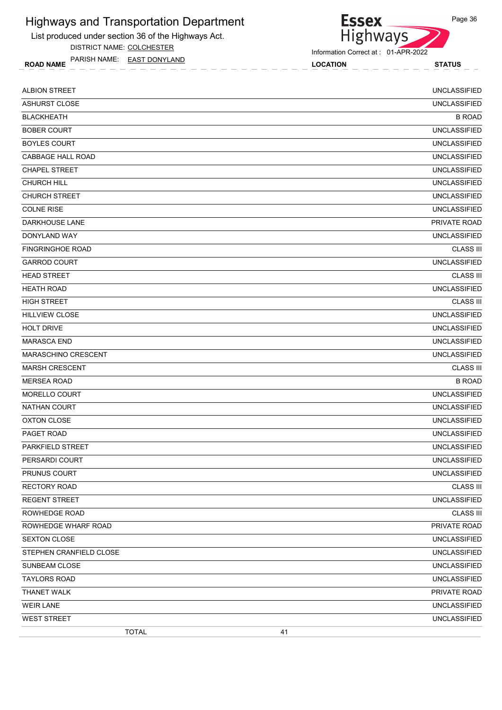List produced under section 36 of the Highways Act.

DISTRICT NAME: COLCHESTER

ROAD NAME LOCATION STATUS PARISH NAME: EAST DONYLAND



Information Correct at : 01-APR-2022

| <b>ALBION STREET</b>    | <b>UNCLASSIFIED</b> |  |
|-------------------------|---------------------|--|
| <b>ASHURST CLOSE</b>    | <b>UNCLASSIFIED</b> |  |
| <b>BLACKHEATH</b>       | <b>B ROAD</b>       |  |
| <b>BOBER COURT</b>      | <b>UNCLASSIFIED</b> |  |
| <b>BOYLES COURT</b>     | <b>UNCLASSIFIED</b> |  |
| CABBAGE HALL ROAD       | <b>UNCLASSIFIED</b> |  |
| <b>CHAPEL STREET</b>    | <b>UNCLASSIFIED</b> |  |
| <b>CHURCH HILL</b>      | <b>UNCLASSIFIED</b> |  |
| <b>CHURCH STREET</b>    | <b>UNCLASSIFIED</b> |  |
| <b>COLNE RISE</b>       | <b>UNCLASSIFIED</b> |  |
| <b>DARKHOUSE LANE</b>   | PRIVATE ROAD        |  |
| DONYLAND WAY            | <b>UNCLASSIFIED</b> |  |
| <b>FINGRINGHOE ROAD</b> | <b>CLASS III</b>    |  |
| <b>GARROD COURT</b>     | <b>UNCLASSIFIED</b> |  |
| <b>HEAD STREET</b>      | <b>CLASS III</b>    |  |
| <b>HEATH ROAD</b>       | <b>UNCLASSIFIED</b> |  |
| <b>HIGH STREET</b>      | <b>CLASS III</b>    |  |
| <b>HILLVIEW CLOSE</b>   | <b>UNCLASSIFIED</b> |  |
| <b>HOLT DRIVE</b>       | <b>UNCLASSIFIED</b> |  |
| <b>MARASCA END</b>      | <b>UNCLASSIFIED</b> |  |
| MARASCHINO CRESCENT     | <b>UNCLASSIFIED</b> |  |
| <b>MARSH CRESCENT</b>   | <b>CLASS III</b>    |  |
| <b>MERSEA ROAD</b>      | <b>B ROAD</b>       |  |
| MORELLO COURT           | <b>UNCLASSIFIED</b> |  |
| NATHAN COURT            | <b>UNCLASSIFIED</b> |  |
| <b>OXTON CLOSE</b>      | <b>UNCLASSIFIED</b> |  |
| PAGET ROAD              | <b>UNCLASSIFIED</b> |  |
| PARKFIELD STREET        | <b>UNCLASSIFIED</b> |  |
| PERSARDI COURT          | <b>UNCLASSIFIED</b> |  |
| PRUNUS COURT            | <b>UNCLASSIFIED</b> |  |
| <b>RECTORY ROAD</b>     | <b>CLASS III</b>    |  |
| <b>REGENT STREET</b>    | <b>UNCLASSIFIED</b> |  |
| ROWHEDGE ROAD           | <b>CLASS III</b>    |  |
| ROWHEDGE WHARF ROAD     | PRIVATE ROAD        |  |
| <b>SEXTON CLOSE</b>     | <b>UNCLASSIFIED</b> |  |
| STEPHEN CRANFIELD CLOSE | <b>UNCLASSIFIED</b> |  |
| SUNBEAM CLOSE           | <b>UNCLASSIFIED</b> |  |
| <b>TAYLORS ROAD</b>     | <b>UNCLASSIFIED</b> |  |
| <b>THANET WALK</b>      | PRIVATE ROAD        |  |
| <b>WEIR LANE</b>        | <b>UNCLASSIFIED</b> |  |
| <b>WEST STREET</b>      | <b>UNCLASSIFIED</b> |  |
| <b>TOTAL</b>            | 41                  |  |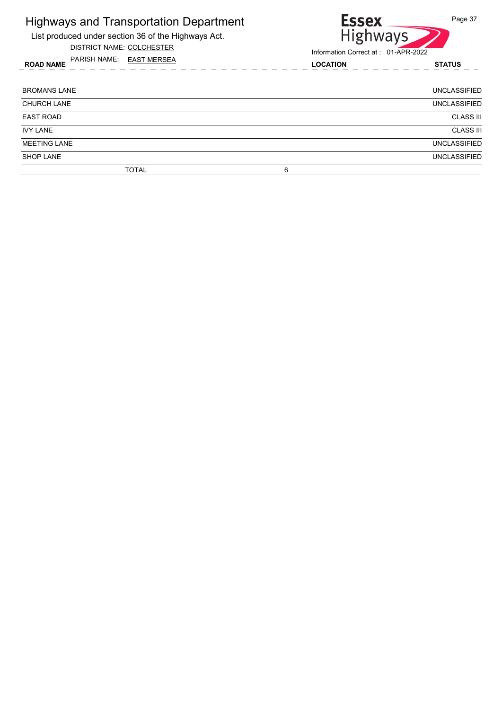List produced under section 36 of the Highways Act.

DISTRICT NAME: COLCHESTER





| <b>BROMANS LANE</b> |              |   | UNCLASSIFIED        |
|---------------------|--------------|---|---------------------|
| <b>CHURCH LANE</b>  |              |   | <b>UNCLASSIFIED</b> |
| <b>EAST ROAD</b>    |              |   | <b>CLASS III</b>    |
| <b>IVY LANE</b>     |              |   | <b>CLASS III</b>    |
| <b>MEETING LANE</b> |              |   | <b>UNCLASSIFIED</b> |
| <b>SHOP LANE</b>    |              |   | <b>UNCLASSIFIED</b> |
|                     | <b>TOTAL</b> | 6 |                     |
|                     |              |   |                     |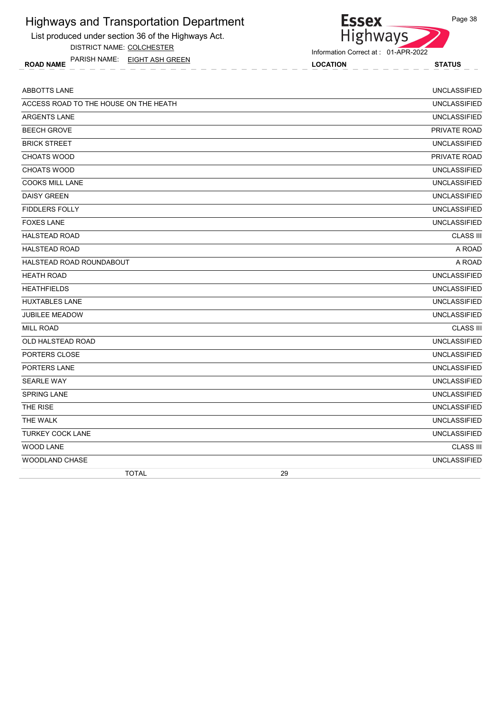List produced under section 36 of the Highways Act.

DISTRICT NAME: COLCHESTER

ROAD NAME LOCATION STATUS PARISH NAME: EIGHT ASH GREEN

#### Information Correct at : 01-APR-2022

Essex<br>Highways

| <b>ABBOTTS LANE</b>                   |    | <b>UNCLASSIFIED</b> |
|---------------------------------------|----|---------------------|
| ACCESS ROAD TO THE HOUSE ON THE HEATH |    | <b>UNCLASSIFIED</b> |
| <b>ARGENTS LANE</b>                   |    | <b>UNCLASSIFIED</b> |
| <b>BEECH GROVE</b>                    |    | PRIVATE ROAD        |
| <b>BRICK STREET</b>                   |    | <b>UNCLASSIFIED</b> |
| CHOATS WOOD                           |    | PRIVATE ROAD        |
| <b>CHOATS WOOD</b>                    |    | <b>UNCLASSIFIED</b> |
| <b>COOKS MILL LANE</b>                |    | <b>UNCLASSIFIED</b> |
| <b>DAISY GREEN</b>                    |    | <b>UNCLASSIFIED</b> |
| <b>FIDDLERS FOLLY</b>                 |    | <b>UNCLASSIFIED</b> |
| <b>FOXES LANE</b>                     |    | <b>UNCLASSIFIED</b> |
| <b>HALSTEAD ROAD</b>                  |    | <b>CLASS III</b>    |
| <b>HALSTEAD ROAD</b>                  |    | A ROAD              |
| HALSTEAD ROAD ROUNDABOUT              |    | A ROAD              |
| <b>HEATH ROAD</b>                     |    | <b>UNCLASSIFIED</b> |
| <b>HEATHFIELDS</b>                    |    | <b>UNCLASSIFIED</b> |
| <b>HUXTABLES LANE</b>                 |    | <b>UNCLASSIFIED</b> |
| <b>JUBILEE MEADOW</b>                 |    | <b>UNCLASSIFIED</b> |
| <b>MILL ROAD</b>                      |    | <b>CLASS III</b>    |
| <b>OLD HALSTEAD ROAD</b>              |    | <b>UNCLASSIFIED</b> |
| PORTERS CLOSE                         |    | <b>UNCLASSIFIED</b> |
| PORTERS LANE                          |    | <b>UNCLASSIFIED</b> |
| <b>SEARLE WAY</b>                     |    | <b>UNCLASSIFIED</b> |
| <b>SPRING LANE</b>                    |    | <b>UNCLASSIFIED</b> |
| THE RISE                              |    | <b>UNCLASSIFIED</b> |
| THE WALK                              |    | <b>UNCLASSIFIED</b> |
| <b>TURKEY COCK LANE</b>               |    | <b>UNCLASSIFIED</b> |
| <b>WOOD LANE</b>                      |    | <b>CLASS III</b>    |
| WOODLAND CHASE                        |    | <b>UNCLASSIFIED</b> |
| <b>TOTAL</b>                          | 29 |                     |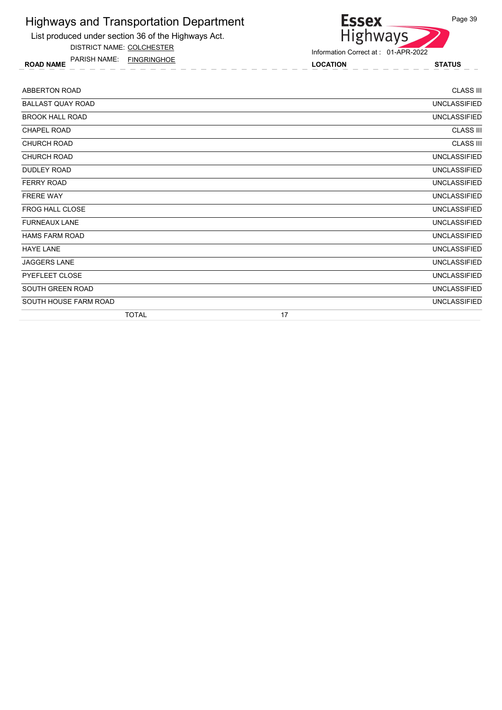List produced under section 36 of the Highways Act.

DISTRICT NAME: COLCHESTER

ROAD NAME LOCATION STATUS PARISH NAME: FINGRINGHOE



| <b>ABBERTON ROAD</b>     | <b>CLASS III</b>    |
|--------------------------|---------------------|
| <b>BALLAST QUAY ROAD</b> | <b>UNCLASSIFIED</b> |
| <b>BROOK HALL ROAD</b>   | <b>UNCLASSIFIED</b> |
| <b>CHAPEL ROAD</b>       | <b>CLASS III</b>    |
| <b>CHURCH ROAD</b>       | <b>CLASS III</b>    |
| CHURCH ROAD              | <b>UNCLASSIFIED</b> |
| DUDLEY ROAD              | <b>UNCLASSIFIED</b> |
| <b>FERRY ROAD</b>        | <b>UNCLASSIFIED</b> |
| <b>FRERE WAY</b>         | <b>UNCLASSIFIED</b> |
| <b>FROG HALL CLOSE</b>   | <b>UNCLASSIFIED</b> |
| <b>FURNEAUX LANE</b>     | <b>UNCLASSIFIED</b> |
| <b>HAMS FARM ROAD</b>    | <b>UNCLASSIFIED</b> |
| <b>HAYE LANE</b>         | <b>UNCLASSIFIED</b> |
| <b>JAGGERS LANE</b>      | <b>UNCLASSIFIED</b> |
| PYEFLEET CLOSE           | <b>UNCLASSIFIED</b> |
| SOUTH GREEN ROAD         | <b>UNCLASSIFIED</b> |
| SOUTH HOUSE FARM ROAD    | <b>UNCLASSIFIED</b> |
| <b>TOTAL</b>             | 17                  |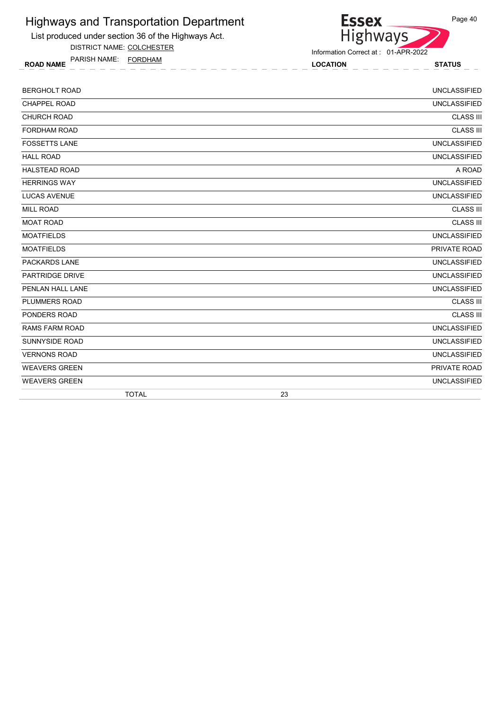

List produced under section 36 of the Highways Act. DISTRICT NAME: COLCHESTER

ROAD NAME LOCATION STATUS PARISH NAME: FORDHAM

Information Correct at : 01-APR-2022

| <b>TOTAL</b>           | 23                  |
|------------------------|---------------------|
| <b>WEAVERS GREEN</b>   | <b>UNCLASSIFIED</b> |
| <b>WEAVERS GREEN</b>   | PRIVATE ROAD        |
| <b>VERNONS ROAD</b>    | <b>UNCLASSIFIED</b> |
| <b>SUNNYSIDE ROAD</b>  | <b>UNCLASSIFIED</b> |
| <b>RAMS FARM ROAD</b>  | <b>UNCLASSIFIED</b> |
| PONDERS ROAD           | <b>CLASS III</b>    |
| PLUMMERS ROAD          | <b>CLASS III</b>    |
| PENLAN HALL LANE       | <b>UNCLASSIFIED</b> |
| <b>PARTRIDGE DRIVE</b> | <b>UNCLASSIFIED</b> |
| <b>PACKARDS LANE</b>   | <b>UNCLASSIFIED</b> |
| <b>MOATFIELDS</b>      | PRIVATE ROAD        |
| <b>MOATFIELDS</b>      | <b>UNCLASSIFIED</b> |
| <b>MOAT ROAD</b>       | <b>CLASS III</b>    |
| <b>MILL ROAD</b>       | <b>CLASS III</b>    |
| <b>LUCAS AVENUE</b>    | <b>UNCLASSIFIED</b> |
| <b>HERRINGS WAY</b>    | <b>UNCLASSIFIED</b> |
| <b>HALSTEAD ROAD</b>   | A ROAD              |
| <b>HALL ROAD</b>       | <b>UNCLASSIFIED</b> |
| <b>FOSSETTS LANE</b>   | <b>UNCLASSIFIED</b> |
| <b>FORDHAM ROAD</b>    | <b>CLASS III</b>    |
| <b>CHURCH ROAD</b>     | <b>CLASS III</b>    |
| <b>CHAPPEL ROAD</b>    | <b>UNCLASSIFIED</b> |
| <b>BERGHOLT ROAD</b>   | <b>UNCLASSIFIED</b> |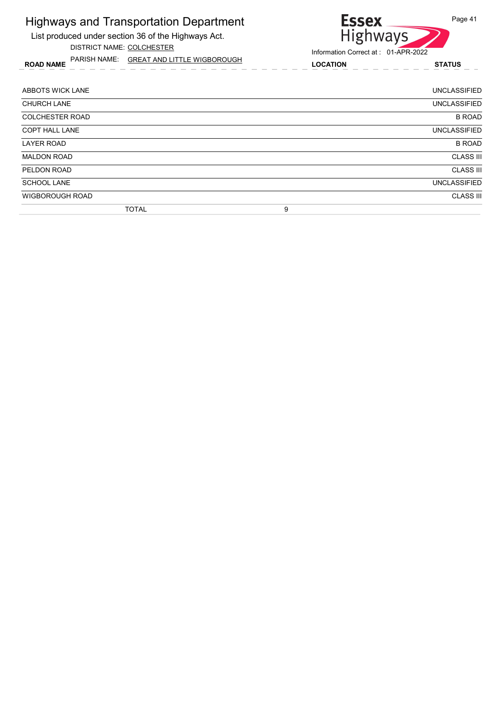| Highways and Transportation Department<br>List produced under section 36 of the Highways Act.<br>DISTRICT NAME: COLCHESTER | <b>Essex</b><br>Page 41<br><b>Highways</b><br>Information Correct at: 01-APR-2022 |
|----------------------------------------------------------------------------------------------------------------------------|-----------------------------------------------------------------------------------|
| PARISH NAME: GREAT AND LITTLE WIGBOROUGH<br><b>ROAD NAME</b>                                                               | <b>LOCATION</b><br><b>STATUS</b>                                                  |
| ABBOTS WICK LANE                                                                                                           | <b>UNCLASSIFIED</b>                                                               |
| <b>CHURCH LANE</b>                                                                                                         | <b>UNCLASSIFIED</b>                                                               |
| <b>COLCHESTER ROAD</b>                                                                                                     | <b>B ROAD</b>                                                                     |
| <b>COPT HALL LANE</b>                                                                                                      | <b>UNCLASSIFIED</b>                                                               |
| <b>LAYER ROAD</b>                                                                                                          | <b>B ROAD</b>                                                                     |
| <b>MALDON ROAD</b>                                                                                                         | <b>CLASS III</b>                                                                  |
| PELDON ROAD                                                                                                                | <b>CLASS III</b>                                                                  |
| <b>SCHOOL LANE</b>                                                                                                         | <b>UNCLASSIFIED</b>                                                               |
| <b>WIGBOROUGH ROAD</b>                                                                                                     | <b>CLASS III</b>                                                                  |
| <b>TOTAL</b>                                                                                                               | 9                                                                                 |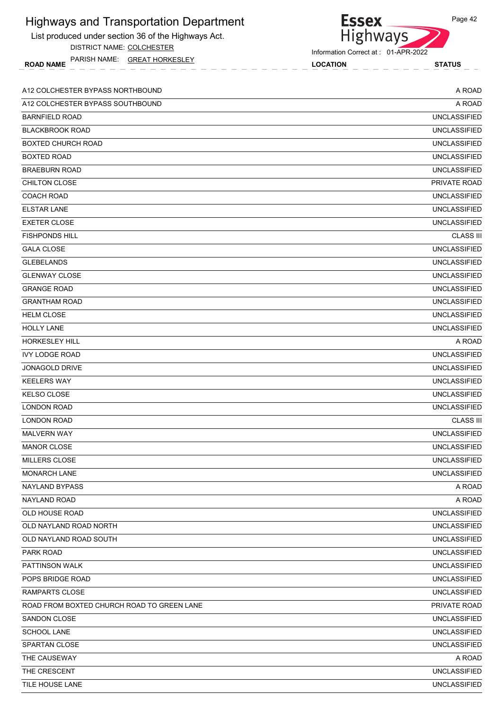| <b>Highways and Transportation Department</b><br>List produced under section 36 of the Highways Act.<br>DISTRICT NAME: COLCHESTER | Page 42<br><b>Essex</b><br>Highways                                     |
|-----------------------------------------------------------------------------------------------------------------------------------|-------------------------------------------------------------------------|
| PARISH NAME: GREAT HORKESLEY<br><b>ROAD NAME</b>                                                                                  | Information Correct at: 01-APR-2022<br><b>LOCATION</b><br><b>STATUS</b> |
| A12 COLCHESTER BYPASS NORTHBOUND                                                                                                  | A ROAD                                                                  |
| A12 COLCHESTER BYPASS SOUTHBOUND                                                                                                  | A ROAD                                                                  |
| <b>BARNFIELD ROAD</b>                                                                                                             | <b>UNCLASSIFIED</b>                                                     |
| <b>BLACKBROOK ROAD</b>                                                                                                            | <b>UNCLASSIFIED</b>                                                     |
| <b>BOXTED CHURCH ROAD</b>                                                                                                         | <b>UNCLASSIFIED</b>                                                     |
| <b>BOXTED ROAD</b>                                                                                                                | <b>UNCLASSIFIED</b>                                                     |
| <b>BRAEBURN ROAD</b>                                                                                                              | <b>UNCLASSIFIED</b>                                                     |
| CHILTON CLOSE                                                                                                                     | PRIVATE ROAD                                                            |
| <b>COACH ROAD</b>                                                                                                                 | <b>UNCLASSIFIED</b>                                                     |
| <b>ELSTAR LANE</b>                                                                                                                | <b>UNCLASSIFIED</b>                                                     |
| <b>EXETER CLOSE</b>                                                                                                               | <b>UNCLASSIFIED</b>                                                     |
| <b>FISHPONDS HILL</b>                                                                                                             | <b>CLASS III</b>                                                        |
| <b>GALA CLOSE</b>                                                                                                                 | <b>UNCLASSIFIED</b>                                                     |
| <b>GLEBELANDS</b>                                                                                                                 | <b>UNCLASSIFIED</b>                                                     |
| <b>GLENWAY CLOSE</b>                                                                                                              | <b>UNCLASSIFIED</b>                                                     |
| <b>GRANGE ROAD</b>                                                                                                                | <b>UNCLASSIFIED</b>                                                     |
| <b>GRANTHAM ROAD</b>                                                                                                              | <b>UNCLASSIFIED</b>                                                     |
| <b>HELM CLOSE</b>                                                                                                                 | <b>UNCLASSIFIED</b>                                                     |
| <b>HOLLY LANE</b>                                                                                                                 | <b>UNCLASSIFIED</b>                                                     |
| <b>HORKESLEY HILL</b>                                                                                                             | A ROAD                                                                  |
| <b>IVY LODGE ROAD</b>                                                                                                             | <b>UNCLASSIFIED</b>                                                     |
| JONAGOLD DRIVE                                                                                                                    | <b>UNCLASSIFIED</b>                                                     |
| <b>KEELERS WAY</b>                                                                                                                | <b>UNCLASSIFIED</b>                                                     |
| <b>KELSO CLOSE</b>                                                                                                                | <b>UNCLASSIFIED</b>                                                     |
| <b>LONDON ROAD</b>                                                                                                                | <b>UNCLASSIFIED</b>                                                     |
| <b>LONDON ROAD</b>                                                                                                                | <b>CLASS III</b>                                                        |
| <b>MALVERN WAY</b>                                                                                                                | <b>UNCLASSIFIED</b>                                                     |
| <b>MANOR CLOSE</b>                                                                                                                | <b>UNCLASSIFIED</b>                                                     |
| <b>MILLERS CLOSE</b>                                                                                                              | <b>UNCLASSIFIED</b>                                                     |
| <b>MONARCH LANE</b>                                                                                                               | <b>UNCLASSIFIED</b>                                                     |
| <b>NAYLAND BYPASS</b>                                                                                                             | A ROAD                                                                  |
| NAYLAND ROAD                                                                                                                      | A ROAD                                                                  |
| OLD HOUSE ROAD                                                                                                                    | <b>UNCLASSIFIED</b>                                                     |
| OLD NAYLAND ROAD NORTH                                                                                                            | <b>UNCLASSIFIED</b>                                                     |
| OLD NAYLAND ROAD SOUTH                                                                                                            | <b>UNCLASSIFIED</b>                                                     |
| PARK ROAD                                                                                                                         | <b>UNCLASSIFIED</b>                                                     |
| PATTINSON WALK                                                                                                                    | <b>UNCLASSIFIED</b>                                                     |
| POPS BRIDGE ROAD                                                                                                                  | <b>UNCLASSIFIED</b>                                                     |
| <b>RAMPARTS CLOSE</b>                                                                                                             | <b>UNCLASSIFIED</b>                                                     |
| ROAD FROM BOXTED CHURCH ROAD TO GREEN LANE                                                                                        | PRIVATE ROAD                                                            |
| SANDON CLOSE                                                                                                                      | <b>UNCLASSIFIED</b>                                                     |
| <b>SCHOOL LANE</b>                                                                                                                | <b>UNCLASSIFIED</b>                                                     |
| <b>SPARTAN CLOSE</b>                                                                                                              | <b>UNCLASSIFIED</b>                                                     |
| THE CAUSEWAY                                                                                                                      | A ROAD                                                                  |
| THE CRESCENT                                                                                                                      | <b>UNCLASSIFIED</b>                                                     |

TILE HOUSE LANE UNCLASSIFIED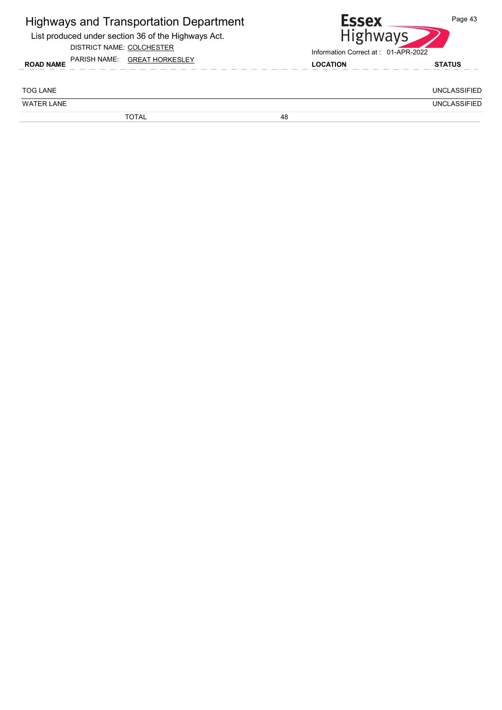| <b>Highways and Transportation Department</b><br>List produced under section 36 of the Highways Act.<br>DISTRICT NAME: COLCHESTER |    | <b>Essex</b><br><b>Highways</b><br>Information Correct at 01-APR-2022 | Page 43             |
|-----------------------------------------------------------------------------------------------------------------------------------|----|-----------------------------------------------------------------------|---------------------|
| PARISH NAME:<br><b>GREAT HORKESLEY</b><br><b>ROAD NAME</b>                                                                        |    | <b>LOCATION</b>                                                       | <b>STATUS</b>       |
| <b>TOG LANE</b>                                                                                                                   |    |                                                                       | <b>UNCLASSIFIED</b> |
| <b>WATER LANE</b>                                                                                                                 |    |                                                                       | <b>UNCLASSIFIED</b> |
| <b>TOTAL</b>                                                                                                                      | 48 |                                                                       |                     |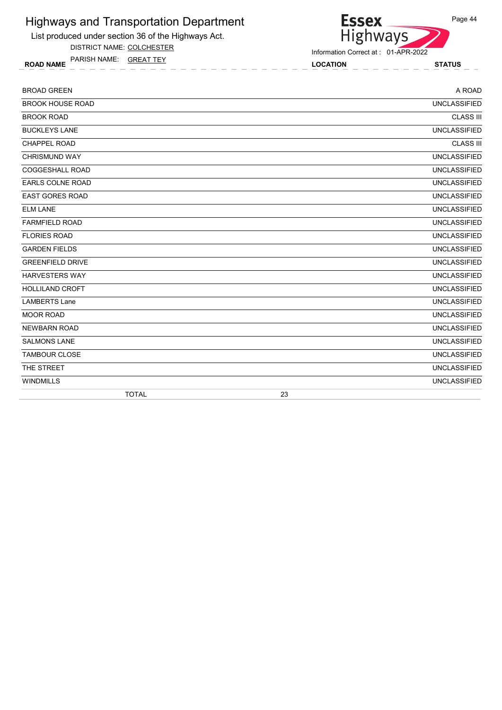

DISTRICT NAME: COLCHESTER

ROAD NAME LOCATION STATUS PARISH NAME: GREAT TEY

Essex<br>Highways

Information Correct at : 01-APR-2022

| <b>BROAD GREEN</b>      | A ROAD              |
|-------------------------|---------------------|
| <b>BROOK HOUSE ROAD</b> | <b>UNCLASSIFIED</b> |
| <b>BROOK ROAD</b>       | <b>CLASS III</b>    |
| <b>BUCKLEYS LANE</b>    | <b>UNCLASSIFIED</b> |
| <b>CHAPPEL ROAD</b>     | <b>CLASS III</b>    |
| <b>CHRISMUND WAY</b>    | <b>UNCLASSIFIED</b> |
| <b>COGGESHALL ROAD</b>  | <b>UNCLASSIFIED</b> |
| <b>EARLS COLNE ROAD</b> | <b>UNCLASSIFIED</b> |
| <b>EAST GORES ROAD</b>  | <b>UNCLASSIFIED</b> |
| <b>ELM LANE</b>         | <b>UNCLASSIFIED</b> |
| <b>FARMFIELD ROAD</b>   | <b>UNCLASSIFIED</b> |
| <b>FLORIES ROAD</b>     | <b>UNCLASSIFIED</b> |
| <b>GARDEN FIELDS</b>    | <b>UNCLASSIFIED</b> |
| <b>GREENFIELD DRIVE</b> | <b>UNCLASSIFIED</b> |
| <b>HARVESTERS WAY</b>   | <b>UNCLASSIFIED</b> |
| <b>HOLLILAND CROFT</b>  | <b>UNCLASSIFIED</b> |
| <b>LAMBERTS Lane</b>    | <b>UNCLASSIFIED</b> |
| <b>MOOR ROAD</b>        | <b>UNCLASSIFIED</b> |
| <b>NEWBARN ROAD</b>     | <b>UNCLASSIFIED</b> |
| <b>SALMONS LANE</b>     | <b>UNCLASSIFIED</b> |
| <b>TAMBOUR CLOSE</b>    | <b>UNCLASSIFIED</b> |
| THE STREET              | <b>UNCLASSIFIED</b> |
| <b>WINDMILLS</b>        | <b>UNCLASSIFIED</b> |
| <b>TOTAL</b>            | 23                  |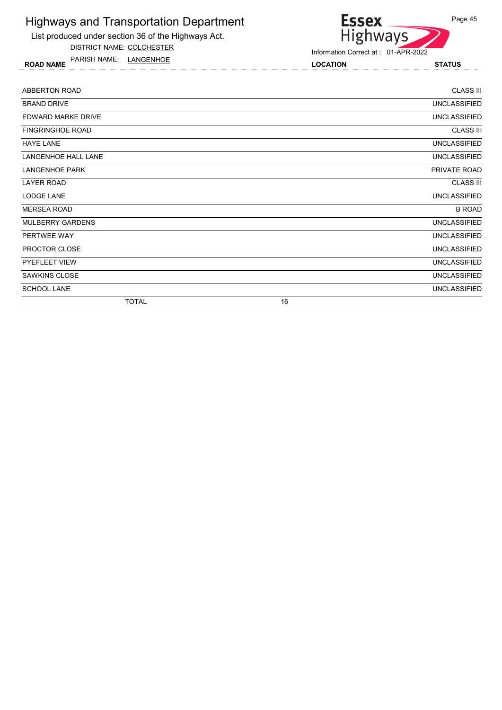List produced under section 36 of the Highways Act.

DISTRICT NAME: COLCHESTER

ROAD NAME LOCATION STATUS PARISH NAME: LANGENHOE

```
Essex
Highways
```
Information Correct at : 01-APR-2022

| ABBERTON ROAD              | <b>CLASS III</b>    |
|----------------------------|---------------------|
| <b>BRAND DRIVE</b>         | <b>UNCLASSIFIED</b> |
| EDWARD MARKE DRIVE         | <b>UNCLASSIFIED</b> |
| <b>FINGRINGHOE ROAD</b>    | <b>CLASS III</b>    |
| <b>HAYE LANE</b>           | <b>UNCLASSIFIED</b> |
| <b>LANGENHOE HALL LANE</b> | <b>UNCLASSIFIED</b> |
| <b>LANGENHOE PARK</b>      | PRIVATE ROAD        |
| LAYER ROAD                 | <b>CLASS III</b>    |
| LODGE LANE                 | <b>UNCLASSIFIED</b> |
| <b>MERSEA ROAD</b>         | <b>B ROAD</b>       |
| MULBERRY GARDENS           | <b>UNCLASSIFIED</b> |
| PERTWEE WAY                | <b>UNCLASSIFIED</b> |
| PROCTOR CLOSE              | <b>UNCLASSIFIED</b> |
| PYEFLEET VIEW              | <b>UNCLASSIFIED</b> |
| <b>SAWKINS CLOSE</b>       | <b>UNCLASSIFIED</b> |
| <b>SCHOOL LANE</b>         | <b>UNCLASSIFIED</b> |
| <b>TOTAL</b>               | 16                  |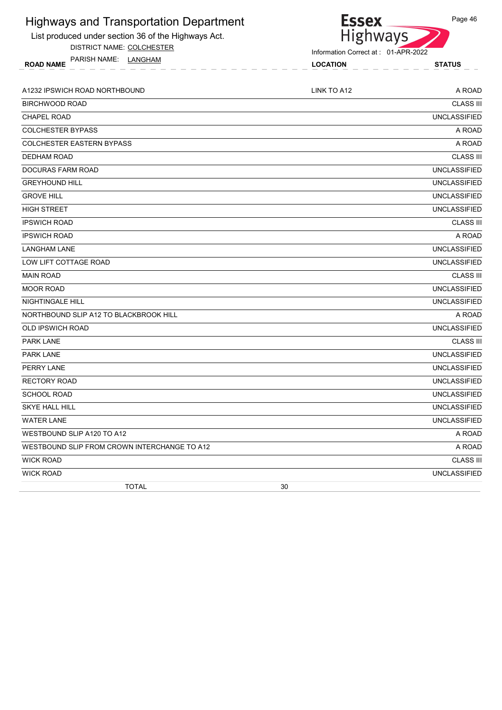| <b>Highways and Transportation Department</b>       | <b>Essex</b>                        | Page 46             |
|-----------------------------------------------------|-------------------------------------|---------------------|
| List produced under section 36 of the Highways Act. | <b>Highways</b>                     |                     |
| DISTRICT NAME: COLCHESTER                           | Information Correct at: 01-APR-2022 |                     |
| PARISH NAME:<br>LANGHAM<br><b>ROAD NAME</b>         | <b>LOCATION</b>                     | <b>STATUS</b>       |
|                                                     |                                     |                     |
| A1232 IPSWICH ROAD NORTHBOUND                       | LINK TO A12                         | A ROAD              |
| <b>BIRCHWOOD ROAD</b>                               |                                     | <b>CLASS III</b>    |
| <b>CHAPEL ROAD</b>                                  |                                     | <b>UNCLASSIFIED</b> |
| <b>COLCHESTER BYPASS</b>                            |                                     | A ROAD              |
| <b>COLCHESTER EASTERN BYPASS</b>                    |                                     | A ROAD              |
| <b>DEDHAM ROAD</b>                                  |                                     | <b>CLASS III</b>    |
| <b>DOCURAS FARM ROAD</b>                            |                                     | <b>UNCLASSIFIED</b> |
| <b>GREYHOUND HILL</b>                               |                                     | <b>UNCLASSIFIED</b> |
| <b>GROVE HILL</b>                                   |                                     | <b>UNCLASSIFIED</b> |
| <b>HIGH STREET</b>                                  |                                     | <b>UNCLASSIFIED</b> |
| <b>IPSWICH ROAD</b>                                 |                                     | <b>CLASS III</b>    |
| <b>IPSWICH ROAD</b>                                 |                                     | A ROAD              |
| <b>LANGHAM LANE</b>                                 |                                     | <b>UNCLASSIFIED</b> |
| LOW LIFT COTTAGE ROAD                               |                                     | <b>UNCLASSIFIED</b> |
| <b>MAIN ROAD</b>                                    |                                     | <b>CLASS III</b>    |
| <b>MOOR ROAD</b>                                    |                                     | <b>UNCLASSIFIED</b> |
| NIGHTINGALE HILL                                    |                                     | <b>UNCLASSIFIED</b> |
| NORTHBOUND SLIP A12 TO BLACKBROOK HILL              |                                     | A ROAD              |
| <b>OLD IPSWICH ROAD</b>                             |                                     | <b>UNCLASSIFIED</b> |
| <b>PARK LANE</b>                                    |                                     | <b>CLASS III</b>    |
| <b>PARK LANE</b>                                    |                                     | <b>UNCLASSIFIED</b> |
| PERRY LANE                                          |                                     | <b>UNCLASSIFIED</b> |
| <b>RECTORY ROAD</b>                                 |                                     | <b>UNCLASSIFIED</b> |
| SCHOOL ROAD                                         |                                     | <b>UNCLASSIFIED</b> |
| <b>SKYE HALL HILL</b>                               |                                     | <b>UNCLASSIFIED</b> |
| <b>WATER LANE</b>                                   |                                     | <b>UNCLASSIFIED</b> |
| WESTBOUND SLIP A120 TO A12                          |                                     | A ROAD              |
| WESTBOUND SLIP FROM CROWN INTERCHANGE TO A12        |                                     | A ROAD              |
| <b>WICK ROAD</b>                                    |                                     | <b>CLASS III</b>    |
| <b>WICK ROAD</b>                                    |                                     | <b>UNCLASSIFIED</b> |
| <b>TOTAL</b>                                        | 30                                  |                     |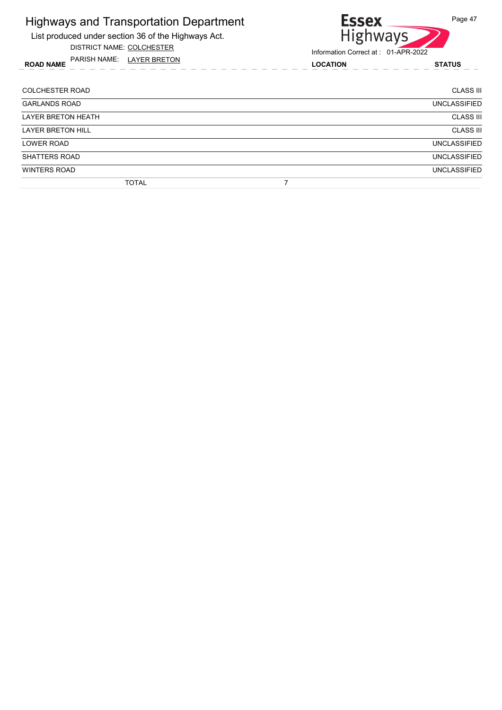List produced under section 36 of the Highways Act.

DISTRICT NAME: COLCHESTER

ROAD NAME LOCATION STATUS PARISH NAME: LAYER BRETON



| <b>COLCHESTER ROAD</b>   | <b>CLASS III</b>    |
|--------------------------|---------------------|
| <b>GARLANDS ROAD</b>     | <b>UNCLASSIFIED</b> |
| LAYER BRETON HEATH       | <b>CLASS III</b>    |
| <b>LAYER BRETON HILL</b> | <b>CLASS III</b>    |
| <b>LOWER ROAD</b>        | <b>UNCLASSIFIED</b> |
| SHATTERS ROAD            | <b>UNCLASSIFIED</b> |
| <b>WINTERS ROAD</b>      | <b>UNCLASSIFIED</b> |
| <b>TOTAL</b>             |                     |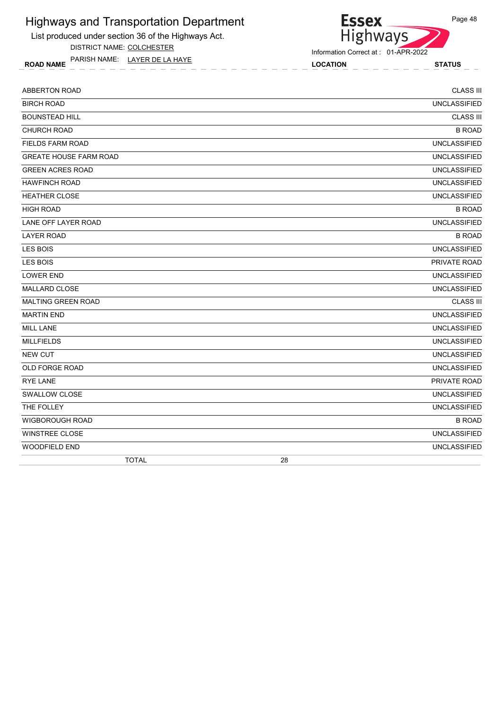List produced under section 36 of the Highways Act.

DISTRICT NAME: COLCHESTER

ROAD NAME LOCATION STATUS PARISH NAME: LAYER DE LA HAYE

Highways Information Correct at : 01-APR-2022

**Essex** 

| ABBERTON ROAD                 | <b>CLASS III</b>    |
|-------------------------------|---------------------|
| <b>BIRCH ROAD</b>             | <b>UNCLASSIFIED</b> |
| <b>BOUNSTEAD HILL</b>         | <b>CLASS III</b>    |
| <b>CHURCH ROAD</b>            | <b>B ROAD</b>       |
| <b>FIELDS FARM ROAD</b>       | <b>UNCLASSIFIED</b> |
| <b>GREATE HOUSE FARM ROAD</b> | <b>UNCLASSIFIED</b> |
| <b>GREEN ACRES ROAD</b>       | <b>UNCLASSIFIED</b> |
| <b>HAWFINCH ROAD</b>          | <b>UNCLASSIFIED</b> |
| <b>HEATHER CLOSE</b>          | <b>UNCLASSIFIED</b> |
| <b>HIGH ROAD</b>              | <b>B ROAD</b>       |
| LANE OFF LAYER ROAD           | <b>UNCLASSIFIED</b> |
| <b>LAYER ROAD</b>             | <b>B ROAD</b>       |
| <b>LES BOIS</b>               | <b>UNCLASSIFIED</b> |
| <b>LES BOIS</b>               | PRIVATE ROAD        |
| LOWER END                     | <b>UNCLASSIFIED</b> |
| MALLARD CLOSE                 | <b>UNCLASSIFIED</b> |
| <b>MALTING GREEN ROAD</b>     | <b>CLASS III</b>    |
| <b>MARTIN END</b>             | <b>UNCLASSIFIED</b> |
| <b>MILL LANE</b>              | <b>UNCLASSIFIED</b> |
| <b>MILLFIELDS</b>             | <b>UNCLASSIFIED</b> |
| <b>NEW CUT</b>                | <b>UNCLASSIFIED</b> |
| OLD FORGE ROAD                | <b>UNCLASSIFIED</b> |
| <b>RYE LANE</b>               | PRIVATE ROAD        |
| <b>SWALLOW CLOSE</b>          | <b>UNCLASSIFIED</b> |
| THE FOLLEY                    | <b>UNCLASSIFIED</b> |
| <b>WIGBOROUGH ROAD</b>        | <b>B ROAD</b>       |
| <b>WINSTREE CLOSE</b>         | <b>UNCLASSIFIED</b> |
| <b>WOODFIELD END</b>          | <b>UNCLASSIFIED</b> |
| <b>TOTAL</b>                  | 28                  |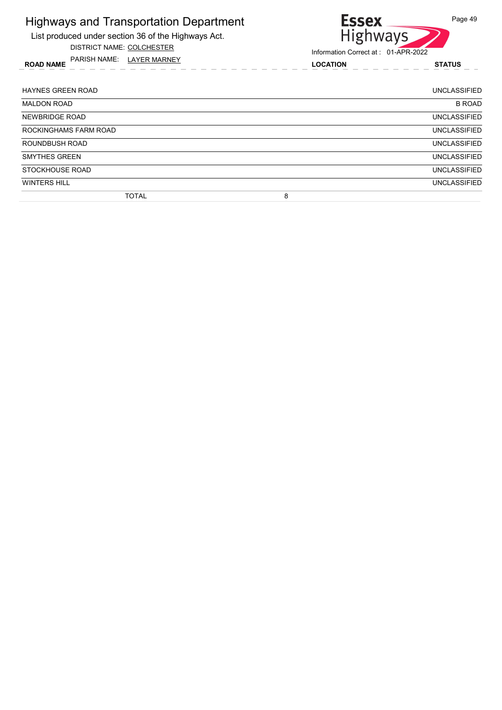List produced under section 36 of the Highways Act.

DISTRICT NAME: COLCHESTER

ROAD NAME LOCATION STATUS PARISH NAME: LAYER MARNEY



| <b>HAYNES GREEN ROAD</b> | <b>UNCLASSIFIED</b> |
|--------------------------|---------------------|
| <b>MALDON ROAD</b>       | <b>B ROAD</b>       |
| NEWBRIDGE ROAD           | <b>UNCLASSIFIED</b> |
| ROCKINGHAMS FARM ROAD    | <b>UNCLASSIFIED</b> |
| ROUNDBUSH ROAD           | <b>UNCLASSIFIED</b> |
| <b>SMYTHES GREEN</b>     | <b>UNCLASSIFIED</b> |
| STOCKHOUSE ROAD          | <b>UNCLASSIFIED</b> |
| <b>WINTERS HILL</b>      | <b>UNCLASSIFIED</b> |
| TOTAL                    | 8                   |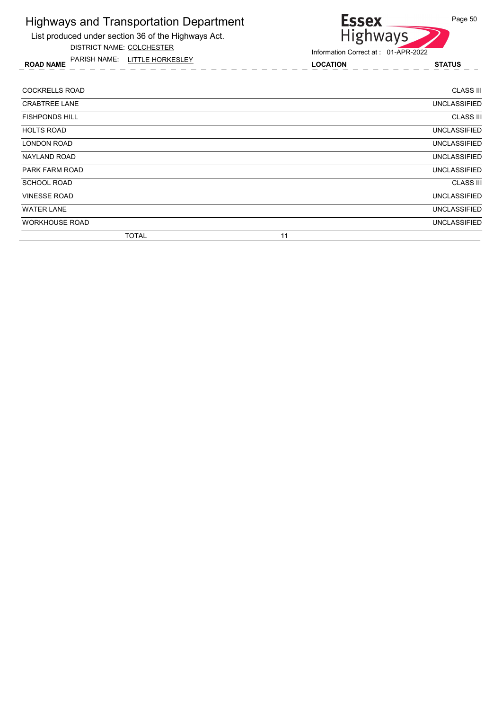List produced under section 36 of the Highways Act. DISTRICT NAME: COLCHESTER

ROAD NAME LOCATION STATUS PARISH NAME: LITTLE HORKESLEY



| <b>UNCLASSIFIED</b> |
|---------------------|
| <b>UNCLASSIFIED</b> |
| <b>UNCLASSIFIED</b> |
| <b>CLASS III</b>    |
| <b>UNCLASSIFIED</b> |
| <b>UNCLASSIFIED</b> |
| <b>UNCLASSIFIED</b> |
| <b>UNCLASSIFIED</b> |
| <b>CLASS III</b>    |
| <b>UNCLASSIFIED</b> |
| <b>CLASS III</b>    |
|                     |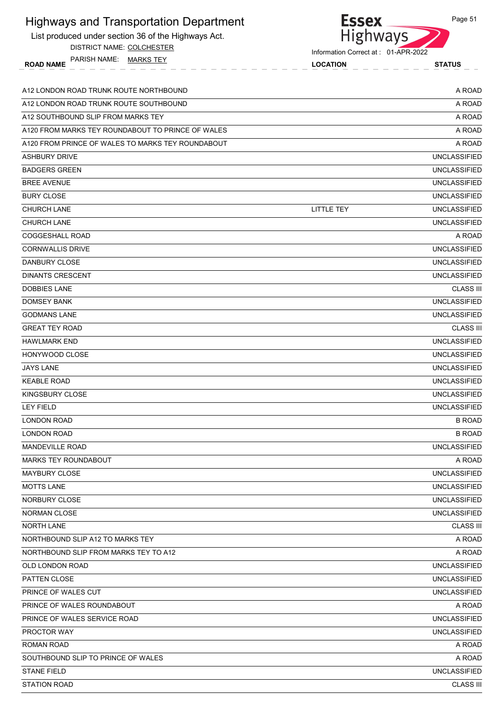| <b>Highways and Transportation Department</b><br>List produced under section 36 of the Highways Act. | <b>Essex</b><br>Highways                               | Page 51             |
|------------------------------------------------------------------------------------------------------|--------------------------------------------------------|---------------------|
| DISTRICT NAME: COLCHESTER<br>PARISH NAME: MARKS TEY<br><b>ROAD NAME</b>                              | Information Correct at: 01-APR-2022<br><b>LOCATION</b> | <b>STATUS</b>       |
| A12 LONDON ROAD TRUNK ROUTE NORTHBOUND                                                               |                                                        | A ROAD              |
| A12 LONDON ROAD TRUNK ROUTE SOUTHBOUND                                                               |                                                        | A ROAD              |
| A12 SOUTHBOUND SLIP FROM MARKS TEY                                                                   |                                                        | A ROAD              |
| A120 FROM MARKS TEY ROUNDABOUT TO PRINCE OF WALES                                                    |                                                        | A ROAD              |
| A120 FROM PRINCE OF WALES TO MARKS TEY ROUNDABOUT                                                    |                                                        | A ROAD              |
| <b>ASHBURY DRIVE</b>                                                                                 |                                                        | <b>UNCLASSIFIED</b> |
| <b>BADGERS GREEN</b>                                                                                 |                                                        | <b>UNCLASSIFIED</b> |
| <b>BREE AVENUE</b>                                                                                   |                                                        | <b>UNCLASSIFIED</b> |
| <b>BURY CLOSE</b>                                                                                    |                                                        | <b>UNCLASSIFIED</b> |
| CHURCH LANE                                                                                          | <b>LITTLE TEY</b>                                      | <b>UNCLASSIFIED</b> |
| <b>CHURCH LANE</b>                                                                                   |                                                        | <b>UNCLASSIFIED</b> |
| <b>COGGESHALL ROAD</b>                                                                               |                                                        | A ROAD              |
| <b>CORNWALLIS DRIVE</b>                                                                              |                                                        | <b>UNCLASSIFIED</b> |
| <b>DANBURY CLOSE</b>                                                                                 |                                                        | <b>UNCLASSIFIED</b> |
| <b>DINANTS CRESCENT</b>                                                                              |                                                        | <b>UNCLASSIFIED</b> |
| <b>DOBBIES LANE</b>                                                                                  |                                                        | <b>CLASS III</b>    |
| <b>DOMSEY BANK</b>                                                                                   |                                                        | <b>UNCLASSIFIED</b> |
| <b>GODMANS LANE</b>                                                                                  |                                                        | <b>UNCLASSIFIED</b> |
| <b>GREAT TEY ROAD</b>                                                                                |                                                        | <b>CLASS III</b>    |
| <b>HAWLMARK END</b>                                                                                  |                                                        | <b>UNCLASSIFIED</b> |
| HONYWOOD CLOSE                                                                                       |                                                        | <b>UNCLASSIFIED</b> |
| <b>JAYS LANE</b>                                                                                     |                                                        | <b>UNCLASSIFIED</b> |
| <b>KEABLE ROAD</b>                                                                                   |                                                        | <b>UNCLASSIFIED</b> |
| <b>KINGSBURY CLOSE</b>                                                                               |                                                        | <b>UNCLASSIFIED</b> |
| <b>LEY FIELD</b>                                                                                     |                                                        | <b>UNCLASSIFIED</b> |
| LONDON ROAD                                                                                          |                                                        | <b>B ROAD</b>       |
| <b>LONDON ROAD</b>                                                                                   |                                                        | <b>B ROAD</b>       |
| <b>MANDEVILLE ROAD</b>                                                                               |                                                        | <b>UNCLASSIFIED</b> |
| <b>MARKS TEY ROUNDABOUT</b>                                                                          |                                                        | A ROAD              |
| <b>MAYBURY CLOSE</b>                                                                                 |                                                        | <b>UNCLASSIFIED</b> |
| <b>MOTTS LANE</b>                                                                                    |                                                        | <b>UNCLASSIFIED</b> |
| NORBURY CLOSE                                                                                        |                                                        | <b>UNCLASSIFIED</b> |
| <b>NORMAN CLOSE</b>                                                                                  |                                                        | <b>UNCLASSIFIED</b> |
| <b>NORTH LANE</b>                                                                                    |                                                        | <b>CLASS III</b>    |
| NORTHBOUND SLIP A12 TO MARKS TEY                                                                     |                                                        | A ROAD              |
| NORTHBOUND SLIP FROM MARKS TEY TO A12                                                                |                                                        | A ROAD              |
| OLD LONDON ROAD                                                                                      |                                                        | <b>UNCLASSIFIED</b> |
| PATTEN CLOSE                                                                                         |                                                        | <b>UNCLASSIFIED</b> |
| PRINCE OF WALES CUT                                                                                  |                                                        | <b>UNCLASSIFIED</b> |
| PRINCE OF WALES ROUNDABOUT                                                                           |                                                        | A ROAD              |
| PRINCE OF WALES SERVICE ROAD                                                                         |                                                        | <b>UNCLASSIFIED</b> |
| PROCTOR WAY                                                                                          |                                                        | <b>UNCLASSIFIED</b> |
| <b>ROMAN ROAD</b>                                                                                    |                                                        | A ROAD              |
| SOUTHBOUND SLIP TO PRINCE OF WALES                                                                   |                                                        | A ROAD              |
| <b>STANE FIELD</b>                                                                                   |                                                        | <b>UNCLASSIFIED</b> |
| <b>STATION ROAD</b>                                                                                  |                                                        | <b>CLASS III</b>    |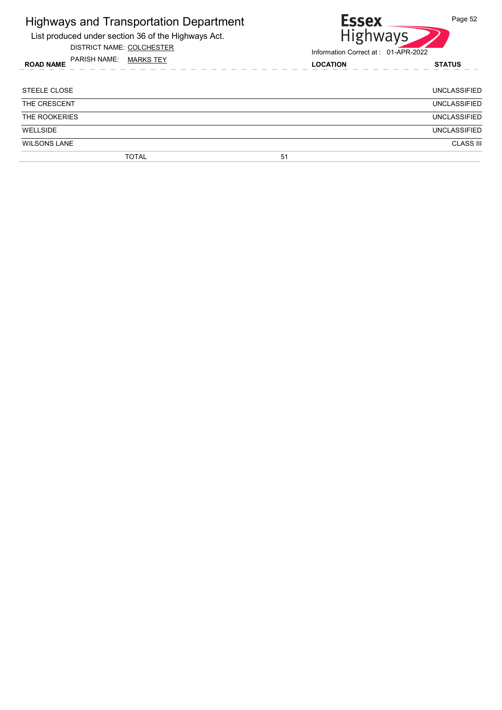| <b>Highways and Transportation Department</b>       | <b>Essex</b>                        | Page 52             |
|-----------------------------------------------------|-------------------------------------|---------------------|
| List produced under section 36 of the Highways Act. | <b>Highways</b>                     |                     |
| DISTRICT NAME: COLCHESTER                           | Information Correct at: 01-APR-2022 |                     |
| PARISH NAME: MARKS TEY<br><b>ROAD NAME</b>          | <b>LOCATION</b>                     | <b>STATUS</b>       |
| STEELE CLOSE                                        |                                     | UNCLASSIFIED        |
| THE CRESCENT                                        |                                     | <b>UNCLASSIFIED</b> |
| THE ROOKERIES                                       |                                     | <b>UNCLASSIFIED</b> |
| <b>WELLSIDE</b>                                     |                                     | <b>UNCLASSIFIED</b> |
| <b>WILSONS LANE</b>                                 |                                     | <b>CLASS III</b>    |
| <b>TOTAL</b>                                        | 51                                  |                     |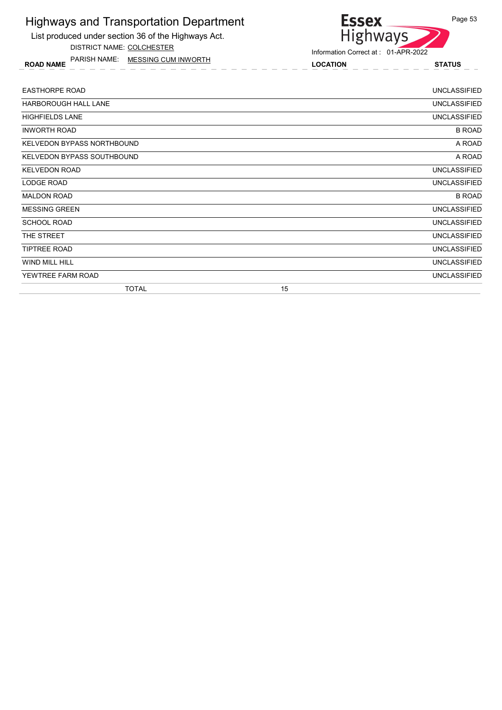List produced under section 36 of the Highways Act. DISTRICT NAME: COLCHESTER

ROAD NAME LOCATION STATUS PARISH NAME: MESSING CUM INWORTH

# Highways Information Correct at : 01-APR-2022

**Essex** 

| <b>EASTHORPE ROAD</b>             |    | <b>UNCLASSIFIED</b> |
|-----------------------------------|----|---------------------|
| HARBOROUGH HALL LANE              |    | <b>UNCLASSIFIED</b> |
| <b>HIGHFIELDS LANE</b>            |    | <b>UNCLASSIFIED</b> |
| <b>INWORTH ROAD</b>               |    | <b>B ROAD</b>       |
| <b>KELVEDON BYPASS NORTHBOUND</b> |    | A ROAD              |
| KELVEDON BYPASS SOUTHBOUND        |    | A ROAD              |
| <b>KELVEDON ROAD</b>              |    | <b>UNCLASSIFIED</b> |
| LODGE ROAD                        |    | <b>UNCLASSIFIED</b> |
| <b>MALDON ROAD</b>                |    | <b>B ROAD</b>       |
| <b>MESSING GREEN</b>              |    | <b>UNCLASSIFIED</b> |
| <b>SCHOOL ROAD</b>                |    | <b>UNCLASSIFIED</b> |
| THE STREET                        |    | <b>UNCLASSIFIED</b> |
| <b>TIPTREE ROAD</b>               |    | <b>UNCLASSIFIED</b> |
| WIND MILL HILL                    |    | <b>UNCLASSIFIED</b> |
| YEWTREE FARM ROAD                 |    | <b>UNCLASSIFIED</b> |
| <b>TOTAL</b>                      | 15 |                     |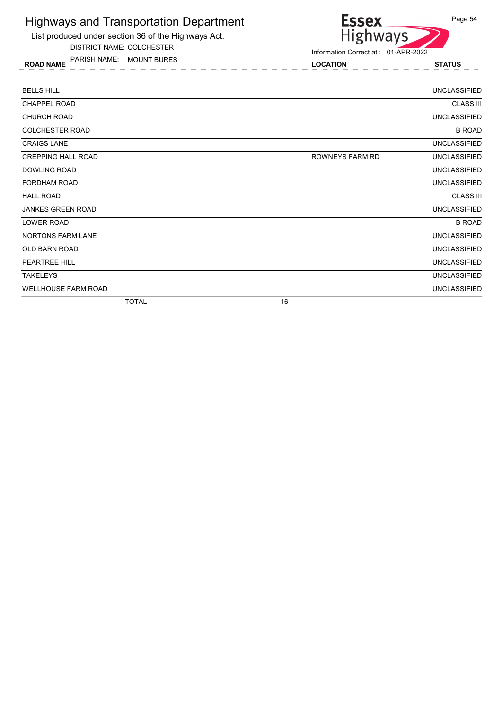List produced under section 36 of the Highways Act.

DISTRICT NAME: COLCHESTER

ROAD NAME LOCATION STATUS PARISH NAME: MOUNT BURES



| <b>BELLS HILL</b>          | <b>UNCLASSIFIED</b>                    |
|----------------------------|----------------------------------------|
| <b>CHAPPEL ROAD</b>        | <b>CLASS III</b>                       |
| <b>CHURCH ROAD</b>         | <b>UNCLASSIFIED</b>                    |
| <b>COLCHESTER ROAD</b>     | <b>B ROAD</b>                          |
| <b>CRAIGS LANE</b>         | <b>UNCLASSIFIED</b>                    |
| <b>CREPPING HALL ROAD</b>  | <b>UNCLASSIFIED</b><br>ROWNEYS FARM RD |
| <b>DOWLING ROAD</b>        | <b>UNCLASSIFIED</b>                    |
| <b>FORDHAM ROAD</b>        | <b>UNCLASSIFIED</b>                    |
| <b>HALL ROAD</b>           | <b>CLASS III</b>                       |
| <b>JANKES GREEN ROAD</b>   | <b>UNCLASSIFIED</b>                    |
| LOWER ROAD                 | <b>B ROAD</b>                          |
| NORTONS FARM LANE          | <b>UNCLASSIFIED</b>                    |
| <b>OLD BARN ROAD</b>       | <b>UNCLASSIFIED</b>                    |
| PEARTREE HILL              | <b>UNCLASSIFIED</b>                    |
| <b>TAKELEYS</b>            | <b>UNCLASSIFIED</b>                    |
| <b>WELLHOUSE FARM ROAD</b> | <b>UNCLASSIFIED</b>                    |
| <b>TOTAL</b>               | 16                                     |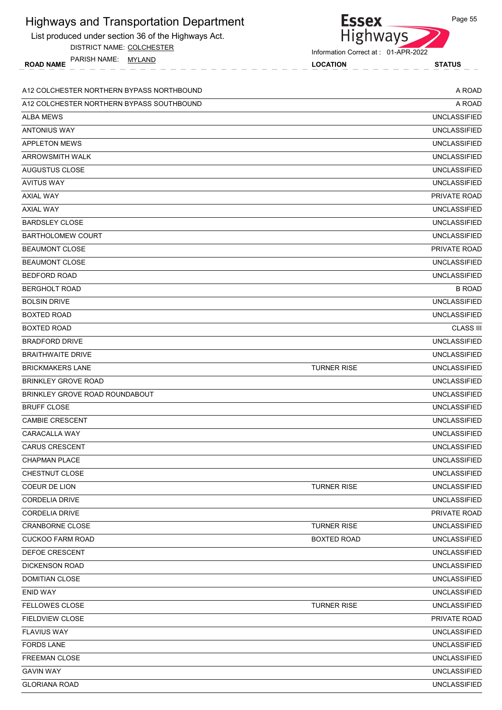List produced under section 36 of the Highways Act.

DISTRICT NAME: COLCHESTER

ROAD NAME LOCATION STATUS PARISH NAME: MYLAND

Information Correct at : 01-APR-2022

Essex<br>Highways

| A12 COLCHESTER NORTHERN BYPASS NORTHBOUND |                    | A ROAD              |
|-------------------------------------------|--------------------|---------------------|
| A12 COLCHESTER NORTHERN BYPASS SOUTHBOUND |                    | A ROAD              |
| <b>ALBA MEWS</b>                          |                    | <b>UNCLASSIFIED</b> |
| <b>ANTONIUS WAY</b>                       |                    | <b>UNCLASSIFIED</b> |
| <b>APPLETON MEWS</b>                      |                    | <b>UNCLASSIFIED</b> |
| <b>ARROWSMITH WALK</b>                    |                    | <b>UNCLASSIFIED</b> |
| <b>AUGUSTUS CLOSE</b>                     |                    | <b>UNCLASSIFIED</b> |
| <b>AVITUS WAY</b>                         |                    | <b>UNCLASSIFIED</b> |
| <b>AXIAL WAY</b>                          |                    | PRIVATE ROAD        |
| <b>AXIAL WAY</b>                          |                    | <b>UNCLASSIFIED</b> |
| <b>BARDSLEY CLOSE</b>                     |                    | <b>UNCLASSIFIED</b> |
| <b>BARTHOLOMEW COURT</b>                  |                    | <b>UNCLASSIFIED</b> |
| <b>BEAUMONT CLOSE</b>                     |                    | PRIVATE ROAD        |
| <b>BEAUMONT CLOSE</b>                     |                    | <b>UNCLASSIFIED</b> |
| <b>BEDFORD ROAD</b>                       |                    | <b>UNCLASSIFIED</b> |
| <b>BERGHOLT ROAD</b>                      |                    | <b>B ROAD</b>       |
| <b>BOLSIN DRIVE</b>                       |                    | <b>UNCLASSIFIED</b> |
| <b>BOXTED ROAD</b>                        |                    | <b>UNCLASSIFIED</b> |
| <b>BOXTED ROAD</b>                        |                    | <b>CLASS III</b>    |
| <b>BRADFORD DRIVE</b>                     |                    | <b>UNCLASSIFIED</b> |
| <b>BRAITHWAITE DRIVE</b>                  |                    | <b>UNCLASSIFIED</b> |
| <b>BRICKMAKERS LANE</b>                   | <b>TURNER RISE</b> | <b>UNCLASSIFIED</b> |
| <b>BRINKLEY GROVE ROAD</b>                |                    | <b>UNCLASSIFIED</b> |
| BRINKLEY GROVE ROAD ROUNDABOUT            |                    | <b>UNCLASSIFIED</b> |
| <b>BRUFF CLOSE</b>                        |                    | <b>UNCLASSIFIED</b> |
| <b>CAMBIE CRESCENT</b>                    |                    | <b>UNCLASSIFIED</b> |
| CARACALLA WAY                             |                    | <b>UNCLASSIFIED</b> |
| <b>CARUS CRESCENT</b>                     |                    | <b>UNCLASSIFIED</b> |
| CHAPMAN PLACE                             |                    | <b>UNCLASSIFIED</b> |
| CHESTNUT CLOSE                            |                    | <b>UNCLASSIFIED</b> |
| COEUR DE LION                             | <b>TURNER RISE</b> | <b>UNCLASSIFIED</b> |
| <b>CORDELIA DRIVE</b>                     |                    | <b>UNCLASSIFIED</b> |
| <b>CORDELIA DRIVE</b>                     |                    | PRIVATE ROAD        |
| <b>CRANBORNE CLOSE</b>                    | <b>TURNER RISE</b> | <b>UNCLASSIFIED</b> |
| <b>CUCKOO FARM ROAD</b>                   | <b>BOXTED ROAD</b> | <b>UNCLASSIFIED</b> |
| DEFOE CRESCENT                            |                    | <b>UNCLASSIFIED</b> |
| <b>DICKENSON ROAD</b>                     |                    | <b>UNCLASSIFIED</b> |
| DOMITIAN CLOSE                            |                    | <b>UNCLASSIFIED</b> |
| <b>ENID WAY</b>                           |                    | <b>UNCLASSIFIED</b> |
| <b>FELLOWES CLOSE</b>                     | <b>TURNER RISE</b> | <b>UNCLASSIFIED</b> |
| <b>FIELDVIEW CLOSE</b>                    |                    | PRIVATE ROAD        |
| <b>FLAVIUS WAY</b>                        |                    | <b>UNCLASSIFIED</b> |
| <b>FORDS LANE</b>                         |                    | <b>UNCLASSIFIED</b> |
| FREEMAN CLOSE                             |                    | <b>UNCLASSIFIED</b> |
| <b>GAVIN WAY</b>                          |                    | <b>UNCLASSIFIED</b> |
| <b>GLORIANA ROAD</b>                      |                    | <b>UNCLASSIFIED</b> |

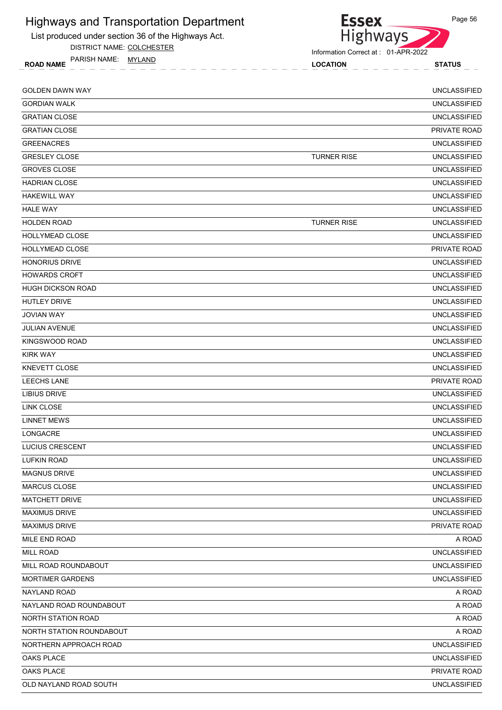

DISTRICT NAME: COLCHESTER



Information Correct at : 01-APR-2022

Page 56

ROAD NAME LOCATION STATUS PARISH NAME: MYLAND

| <b>GOLDEN DAWN WAY</b>   |                    | <b>UNCLASSIFIED</b> |
|--------------------------|--------------------|---------------------|
| <b>GORDIAN WALK</b>      |                    | <b>UNCLASSIFIED</b> |
| <b>GRATIAN CLOSE</b>     |                    | <b>UNCLASSIFIED</b> |
| <b>GRATIAN CLOSE</b>     |                    | PRIVATE ROAD        |
| <b>GREENACRES</b>        |                    | <b>UNCLASSIFIED</b> |
| <b>GRESLEY CLOSE</b>     | <b>TURNER RISE</b> | <b>UNCLASSIFIED</b> |
| <b>GROVES CLOSE</b>      |                    | <b>UNCLASSIFIED</b> |
| <b>HADRIAN CLOSE</b>     |                    | <b>UNCLASSIFIED</b> |
| <b>HAKEWILL WAY</b>      |                    | <b>UNCLASSIFIED</b> |
| <b>HALE WAY</b>          |                    | <b>UNCLASSIFIED</b> |
| <b>HOLDEN ROAD</b>       | <b>TURNER RISE</b> | <b>UNCLASSIFIED</b> |
| HOLLYMEAD CLOSE          |                    | <b>UNCLASSIFIED</b> |
| HOLLYMEAD CLOSE          |                    | PRIVATE ROAD        |
| <b>HONORIUS DRIVE</b>    |                    | <b>UNCLASSIFIED</b> |
| <b>HOWARDS CROFT</b>     |                    | <b>UNCLASSIFIED</b> |
| <b>HUGH DICKSON ROAD</b> |                    | <b>UNCLASSIFIED</b> |
| <b>HUTLEY DRIVE</b>      |                    | <b>UNCLASSIFIED</b> |
| <b>JOVIAN WAY</b>        |                    | <b>UNCLASSIFIED</b> |
| <b>JULIAN AVENUE</b>     |                    | <b>UNCLASSIFIED</b> |
| KINGSWOOD ROAD           |                    | <b>UNCLASSIFIED</b> |
| <b>KIRK WAY</b>          |                    | <b>UNCLASSIFIED</b> |
| <b>KNEVETT CLOSE</b>     |                    | <b>UNCLASSIFIED</b> |
| <b>LEECHS LANE</b>       |                    | PRIVATE ROAD        |
| LIBIUS DRIVE             |                    | <b>UNCLASSIFIED</b> |
| <b>LINK CLOSE</b>        |                    | <b>UNCLASSIFIED</b> |
| <b>LINNET MEWS</b>       |                    | <b>UNCLASSIFIED</b> |
| LONGACRE                 |                    | <b>UNCLASSIFIED</b> |
| <b>LUCIUS CRESCENT</b>   |                    | <b>UNCLASSIFIED</b> |
| LUFKIN ROAD              |                    | <b>UNCLASSIFIED</b> |
| <b>MAGNUS DRIVE</b>      |                    | <b>UNCLASSIFIED</b> |
| MARCUS CLOSE             |                    | <b>UNCLASSIFIED</b> |
| <b>MATCHETT DRIVE</b>    |                    | <b>UNCLASSIFIED</b> |
| <b>MAXIMUS DRIVE</b>     |                    | <b>UNCLASSIFIED</b> |
| <b>MAXIMUS DRIVE</b>     |                    | PRIVATE ROAD        |
| MILE END ROAD            |                    | A ROAD              |
| <b>MILL ROAD</b>         |                    | <b>UNCLASSIFIED</b> |
| MILL ROAD ROUNDABOUT     |                    | <b>UNCLASSIFIED</b> |
| <b>MORTIMER GARDENS</b>  |                    | <b>UNCLASSIFIED</b> |
| NAYLAND ROAD             |                    | A ROAD              |
| NAYLAND ROAD ROUNDABOUT  |                    | A ROAD              |
| NORTH STATION ROAD       |                    | A ROAD              |
| NORTH STATION ROUNDABOUT |                    | A ROAD              |
| NORTHERN APPROACH ROAD   |                    | <b>UNCLASSIFIED</b> |
| OAKS PLACE               |                    | <b>UNCLASSIFIED</b> |
| OAKS PLACE               |                    | PRIVATE ROAD        |
| OLD NAYLAND ROAD SOUTH   |                    | <b>UNCLASSIFIED</b> |
|                          |                    |                     |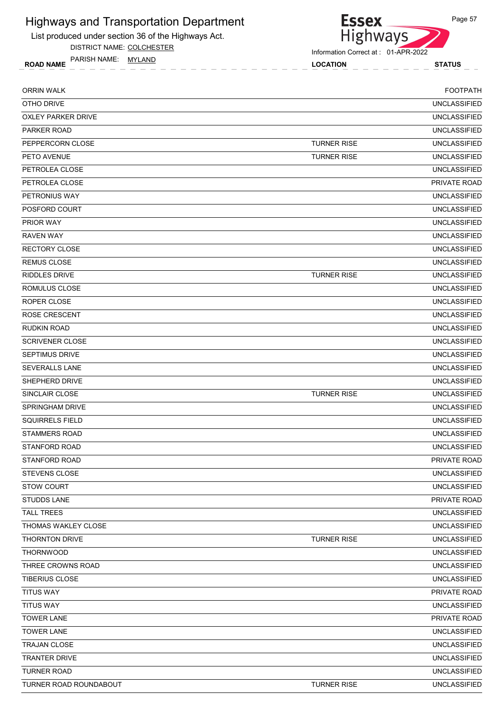List produced under section 36 of the Highways Act.

DISTRICT NAME: COLCHESTER

ROAD NAME TANISH IVAIVIE. <u>IVITLAIND</u><br>COCATION COCATION STATUS PARISH NAME: MYLAND



Information Correct at : 01-APR-2022

ORRIN WALK FOOTPATH OTHO DRIVE UNCLASSIFIED UNCLASSIFIED OXLEY PARKER DRIVE UNCLASSIFIED PARKER ROAD UNCLASSIFIED PEPPERCORN CLOSE UNCLASSIFIED PETO AVENUE TURNER RISE UNCLASSIFIED PETROLEA CLOSE UNCLASSIFIED PETROLEA CLOSE PRIVATE ROAD PETRONIUS WAY UNCLASSIFIED POSFORD COURT UNCLASSIFIED PRIOR WAY UNCLASSIFIED RAVEN WAY UNCLASSIFIED RECTORY CLOSE UNCLASSIFIED REMUS CLOSE UNCLASSIFIED RIDDLES DRIVE UNCLASSIFIED ROMULUS CLOSE UNCLASSIFIED ROPER CLOSE UNCLASSIFIED ROSE CRESCENT **Example 2006** and the contract of the contract of the contract of the contract of the contract of the contract of the contract of the contract of the contract of the contract of the contract of the contract RUDKIN ROAD UNCLASSIFIED SCRIVENER CLOSE UNCLASSIFIED SEPTIMUS DRIVE UNCLASSIFIED SEVERALLS LANE UNCLASSIFIED SHEPHERD DRIVE UNCLASSIFIED SINCLAIR CLOSE UNCLASSIFIED SPRINGHAM DRIVE UNCLASSIFIED SQUIRRELS FIELD UNCLASSIFIED STAMMERS ROAD UNCLASSIFIED STANFORD ROAD UNCLASSIFIED STANFORD ROAD **PRIVATE ROAD PRIVATE ROAD PRIVATE ROAD** STEVENS CLOSE UNCLASSIFIED STOW COURT **UNCLASSIFIED** STUDDS LANE PRIVATE ROAD TALL TREES UNCLASSIFIED THOMAS WAKLEY CLOSE UNCLASSIFIED THORNTON DRIVE TURNER RISE UNCLASSIFIED THORNWOOD UNCLASSIFIED THREE CROWNS ROAD UNCLASSIFIED TIBERIUS CLOSE UNCLASSIFIED TITUS WAY PRIVATE ROAD TITUS WAY UNCLASSIFIED TOWER LANE PRIVATE ROAD AND TOWER LANE AND TOWER LANE AND TOWER LANE PRIVATE ROAD TOWER LANE UNCLASSIFIED TRAJAN CLOSE UNCLASSIFIED TRANTER DRIVE UNCLASSIFIED TURNER ROAD UNCLASSIFIED TURNER ROAD ROUNDABOUT **TURNER RISE** UNCLASSIFIED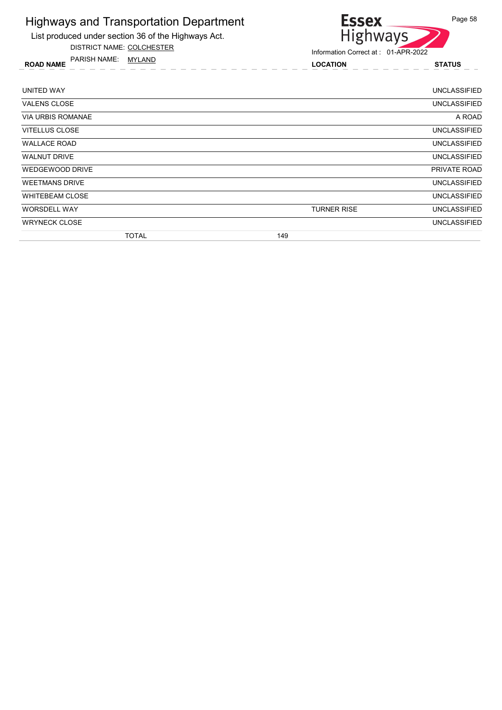

DISTRICT NAME: COLCHESTER

ROAD NAME LOCATION STATUS PARISH NAME: MYLAND

Essex<br>Highways Information Correct at : 01-APR-2022

| <b>TOTAL</b>             | 149                |                     |
|--------------------------|--------------------|---------------------|
| <b>WRYNECK CLOSE</b>     |                    | <b>UNCLASSIFIED</b> |
| <b>WORSDELL WAY</b>      | <b>TURNER RISE</b> | <b>UNCLASSIFIED</b> |
| <b>WHITEBEAM CLOSE</b>   |                    | <b>UNCLASSIFIED</b> |
| <b>WEETMANS DRIVE</b>    |                    | <b>UNCLASSIFIED</b> |
| WEDGEWOOD DRIVE          |                    | PRIVATE ROAD        |
| <b>WALNUT DRIVE</b>      |                    | <b>UNCLASSIFIED</b> |
| <b>WALLACE ROAD</b>      |                    | <b>UNCLASSIFIED</b> |
| VITELLUS CLOSE           |                    | <b>UNCLASSIFIED</b> |
| <b>VIA URBIS ROMANAE</b> |                    | A ROAD              |
| <b>VALENS CLOSE</b>      |                    | <b>UNCLASSIFIED</b> |
| UNITED WAY               |                    | <b>UNCLASSIFIED</b> |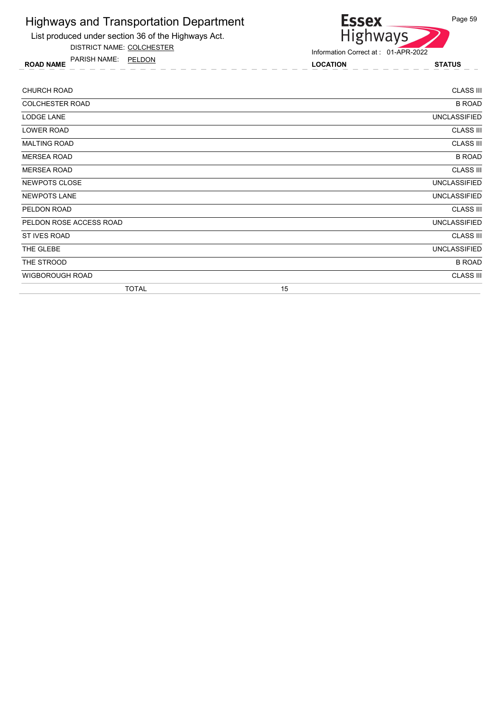

List produced under section 36 of the Highways Act.

DISTRICT NAME: COLCHESTER

ROAD NAME LOCATION STATUS PARISH NAME: PELDON

Information Correct at : 01-APR-2022

| <b>CHURCH ROAD</b>      |    | <b>CLASS III</b>    |
|-------------------------|----|---------------------|
| <b>COLCHESTER ROAD</b>  |    | <b>B ROAD</b>       |
| <b>LODGE LANE</b>       |    | <b>UNCLASSIFIED</b> |
| LOWER ROAD              |    | <b>CLASS III</b>    |
| <b>MALTING ROAD</b>     |    | <b>CLASS III</b>    |
| <b>MERSEA ROAD</b>      |    | <b>B ROAD</b>       |
| <b>MERSEA ROAD</b>      |    | <b>CLASS III</b>    |
| NEWPOTS CLOSE           |    | <b>UNCLASSIFIED</b> |
| <b>NEWPOTS LANE</b>     |    | <b>UNCLASSIFIED</b> |
| PELDON ROAD             |    | <b>CLASS III</b>    |
| PELDON ROSE ACCESS ROAD |    | <b>UNCLASSIFIED</b> |
| ST IVES ROAD            |    | <b>CLASS III</b>    |
| THE GLEBE               |    | <b>UNCLASSIFIED</b> |
| THE STROOD              |    | <b>B ROAD</b>       |
| <b>WIGBOROUGH ROAD</b>  |    | <b>CLASS III</b>    |
| <b>TOTAL</b>            | 15 |                     |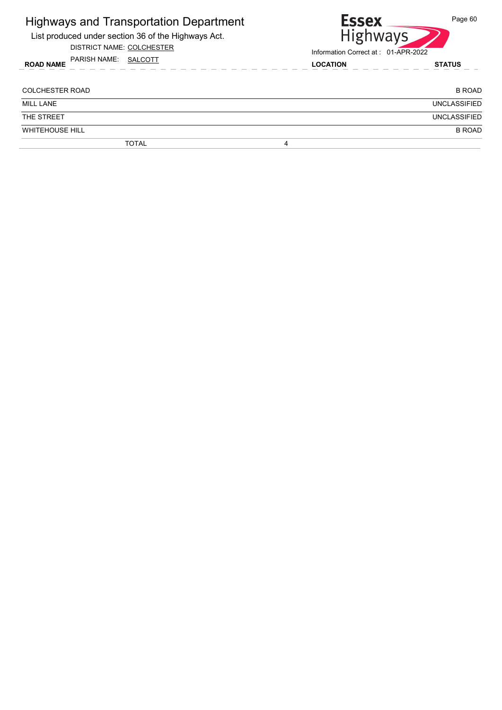| <b>Highways and Transportation Department</b><br>List produced under section 36 of the Highways Act.<br>DISTRICT NAME: COLCHESTER | <b>Essex</b><br>Page 60<br><b>Highways</b><br>Information Correct at: 01-APR-2022 |
|-----------------------------------------------------------------------------------------------------------------------------------|-----------------------------------------------------------------------------------|
| PARISH NAME: SALCOTT<br><b>ROAD NAME</b>                                                                                          | <b>LOCATION</b><br><b>STATUS</b>                                                  |
| COLCHESTER ROAD                                                                                                                   | <b>B ROAD</b>                                                                     |
| <b>MILL LANE</b>                                                                                                                  | <b>UNCLASSIFIED</b>                                                               |
| THE STREET                                                                                                                        | <b>UNCLASSIFIED</b>                                                               |
| <b>WHITEHOUSE HILL</b>                                                                                                            | <b>B ROAD</b>                                                                     |
| <b>TOTAL</b>                                                                                                                      | 4                                                                                 |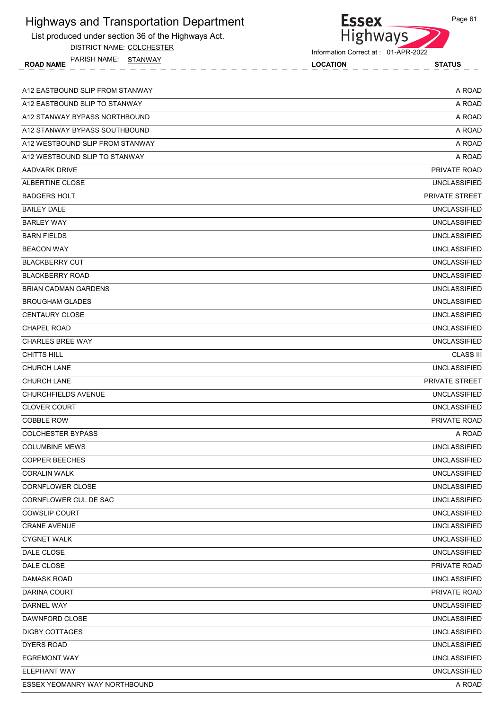| <b>Highways and Transportation Department</b>       | <b>Essex</b>                        | Page 61             |
|-----------------------------------------------------|-------------------------------------|---------------------|
| List produced under section 36 of the Highways Act. | <b>Highways</b>                     |                     |
| DISTRICT NAME: COLCHESTER                           | Information Correct at: 01-APR-2022 |                     |
| PARISH NAME: STANWAY<br><b>ROAD NAME</b>            | <b>LOCATION</b>                     | <b>STATUS</b>       |
|                                                     |                                     |                     |
| A12 EASTBOUND SLIP FROM STANWAY                     |                                     | A ROAD              |
| A12 EASTBOUND SLIP TO STANWAY                       |                                     | A ROAD              |
| A12 STANWAY BYPASS NORTHBOUND                       |                                     | A ROAD              |
| A12 STANWAY BYPASS SOUTHBOUND                       |                                     | A ROAD              |
| A12 WESTBOUND SLIP FROM STANWAY                     |                                     | A ROAD              |
| A12 WESTBOUND SLIP TO STANWAY                       |                                     | A ROAD              |
| AADVARK DRIVE                                       |                                     | PRIVATE ROAD        |
| <b>ALBERTINE CLOSE</b>                              |                                     | <b>UNCLASSIFIED</b> |
| <b>BADGERS HOLT</b>                                 |                                     | PRIVATE STREET      |
| <b>BAILEY DALE</b>                                  |                                     | <b>UNCLASSIFIED</b> |
| <b>BARLEY WAY</b>                                   |                                     | <b>UNCLASSIFIED</b> |
| <b>BARN FIELDS</b>                                  |                                     | <b>UNCLASSIFIED</b> |
| <b>BEACON WAY</b>                                   |                                     | <b>UNCLASSIFIED</b> |
| <b>BLACKBERRY CUT</b>                               |                                     | <b>UNCLASSIFIED</b> |
| <b>BLACKBERRY ROAD</b>                              |                                     | <b>UNCLASSIFIED</b> |
| <b>BRIAN CADMAN GARDENS</b>                         |                                     | <b>UNCLASSIFIED</b> |
| <b>BROUGHAM GLADES</b>                              |                                     | <b>UNCLASSIFIED</b> |
| <b>CENTAURY CLOSE</b>                               |                                     | <b>UNCLASSIFIED</b> |
| <b>CHAPEL ROAD</b>                                  |                                     | <b>UNCLASSIFIED</b> |
| <b>CHARLES BREE WAY</b>                             |                                     | <b>UNCLASSIFIED</b> |
| <b>CHITTS HILL</b>                                  |                                     | <b>CLASS III</b>    |
| <b>CHURCH LANE</b>                                  |                                     | <b>UNCLASSIFIED</b> |
| <b>CHURCH LANE</b>                                  |                                     | PRIVATE STREET      |
| <b>CHURCHFIELDS AVENUE</b>                          |                                     | <b>UNCLASSIFIED</b> |
| <b>CLOVER COURT</b>                                 |                                     | <b>UNCLASSIFIED</b> |
| <b>COBBLE ROW</b>                                   |                                     | PRIVATE ROAD        |
| <b>COLCHESTER BYPASS</b>                            |                                     | A ROAD              |
| <b>COLUMBINE MEWS</b>                               |                                     | <b>UNCLASSIFIED</b> |
| <b>COPPER BEECHES</b>                               |                                     | <b>UNCLASSIFIED</b> |
| <b>CORALIN WALK</b>                                 |                                     | <b>UNCLASSIFIED</b> |
| CORNFLOWER CLOSE                                    |                                     | <b>UNCLASSIFIED</b> |
| CORNFLOWER CUL DE SAC                               |                                     | <b>UNCLASSIFIED</b> |
| <b>COWSLIP COURT</b>                                |                                     | <b>UNCLASSIFIED</b> |
| <b>CRANE AVENUE</b>                                 |                                     | <b>UNCLASSIFIED</b> |
| <b>CYGNET WALK</b>                                  |                                     | <b>UNCLASSIFIED</b> |
| DALE CLOSE                                          |                                     | <b>UNCLASSIFIED</b> |
| DALE CLOSE                                          |                                     | <b>PRIVATE ROAD</b> |
| DAMASK ROAD                                         |                                     | <b>UNCLASSIFIED</b> |
| DARINA COURT                                        |                                     | PRIVATE ROAD        |
| DARNEL WAY                                          |                                     | <b>UNCLASSIFIED</b> |
| DAWNFORD CLOSE                                      |                                     | <b>UNCLASSIFIED</b> |
| <b>DIGBY COTTAGES</b>                               |                                     | <b>UNCLASSIFIED</b> |
| <b>DYERS ROAD</b>                                   |                                     | <b>UNCLASSIFIED</b> |
| <b>EGREMONT WAY</b>                                 |                                     | <b>UNCLASSIFIED</b> |
| <b>ELEPHANT WAY</b>                                 |                                     | <b>UNCLASSIFIED</b> |
| ESSEX YEOMANRY WAY NORTHBOUND                       |                                     | A ROAD              |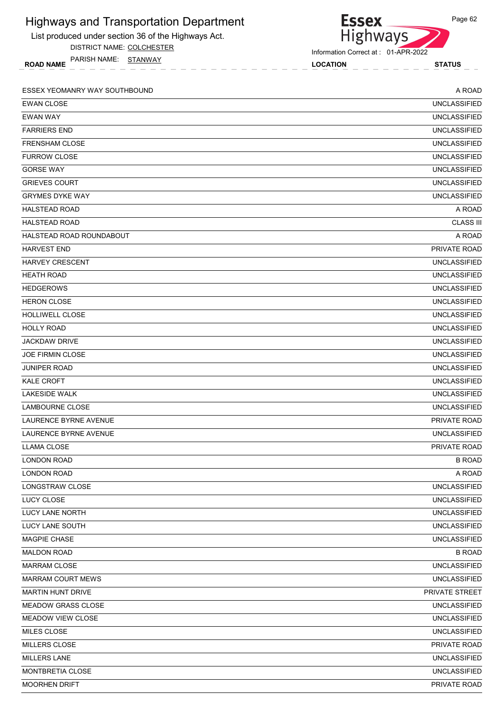| <b>Highways and Transportation Department</b>       | <b>Essex</b>                        | Page 62             |
|-----------------------------------------------------|-------------------------------------|---------------------|
| List produced under section 36 of the Highways Act. | <b>Highways</b>                     |                     |
| DISTRICT NAME: COLCHESTER                           | Information Correct at: 01-APR-2022 |                     |
| PARISH NAME: STANWAY<br><b>ROAD NAME</b>            | <b>LOCATION</b>                     | <b>STATUS</b>       |
|                                                     |                                     |                     |
| ESSEX YEOMANRY WAY SOUTHBOUND                       |                                     | A ROAD              |
| <b>EWAN CLOSE</b>                                   |                                     | <b>UNCLASSIFIED</b> |
| <b>EWAN WAY</b>                                     |                                     | <b>UNCLASSIFIED</b> |
| <b>FARRIERS END</b>                                 |                                     | <b>UNCLASSIFIED</b> |
| <b>FRENSHAM CLOSE</b>                               |                                     | <b>UNCLASSIFIED</b> |
| <b>FURROW CLOSE</b>                                 |                                     | <b>UNCLASSIFIED</b> |
| <b>GORSE WAY</b>                                    |                                     | <b>UNCLASSIFIED</b> |
| <b>GRIEVES COURT</b>                                |                                     | <b>UNCLASSIFIED</b> |
| <b>GRYMES DYKE WAY</b>                              |                                     | <b>UNCLASSIFIED</b> |
| <b>HALSTEAD ROAD</b>                                |                                     | A ROAD              |
| <b>HALSTEAD ROAD</b>                                |                                     | <b>CLASS III</b>    |
| HALSTEAD ROAD ROUNDABOUT                            |                                     | A ROAD              |
| <b>HARVEST END</b>                                  |                                     | PRIVATE ROAD        |
| <b>HARVEY CRESCENT</b>                              |                                     | <b>UNCLASSIFIED</b> |
| <b>HEATH ROAD</b>                                   |                                     | <b>UNCLASSIFIED</b> |
| <b>HEDGEROWS</b>                                    |                                     | <b>UNCLASSIFIED</b> |
| <b>HERON CLOSE</b>                                  |                                     | <b>UNCLASSIFIED</b> |
| HOLLIWELL CLOSE                                     |                                     | <b>UNCLASSIFIED</b> |
| <b>HOLLY ROAD</b>                                   |                                     | <b>UNCLASSIFIED</b> |
| <b>JACKDAW DRIVE</b>                                |                                     | <b>UNCLASSIFIED</b> |
| <b>JOE FIRMIN CLOSE</b>                             |                                     | <b>UNCLASSIFIED</b> |
| <b>JUNIPER ROAD</b>                                 |                                     | <b>UNCLASSIFIED</b> |
| <b>KALE CROFT</b>                                   |                                     | <b>UNCLASSIFIED</b> |
| <b>LAKESIDE WALK</b>                                |                                     | <b>UNCLASSIFIED</b> |
| <b>LAMBOURNE CLOSE</b>                              |                                     | <b>UNCLASSIFIED</b> |
| <b>LAURENCE BYRNE AVENUE</b>                        |                                     | PRIVATE ROAD        |
| LAURENCE BYRNE AVENUE                               |                                     | <b>UNCLASSIFIED</b> |
| LLAMA CLOSE                                         |                                     | <b>PRIVATE ROAD</b> |
| <b>LONDON ROAD</b>                                  |                                     | <b>B ROAD</b>       |
| <b>LONDON ROAD</b>                                  |                                     | A ROAD              |
| <b>LONGSTRAW CLOSE</b>                              |                                     | <b>UNCLASSIFIED</b> |
| LUCY CLOSE                                          |                                     | <b>UNCLASSIFIED</b> |
| LUCY LANE NORTH                                     |                                     | <b>UNCLASSIFIED</b> |
| LUCY LANE SOUTH                                     |                                     | <b>UNCLASSIFIED</b> |
| <b>MAGPIE CHASE</b>                                 |                                     | <b>UNCLASSIFIED</b> |
| <b>MALDON ROAD</b>                                  |                                     | <b>B ROAD</b>       |
| <b>MARRAM CLOSE</b>                                 |                                     | <b>UNCLASSIFIED</b> |
| <b>MARRAM COURT MEWS</b>                            |                                     | <b>UNCLASSIFIED</b> |
| <b>MARTIN HUNT DRIVE</b>                            |                                     | PRIVATE STREET      |
| <b>MEADOW GRASS CLOSE</b>                           |                                     | <b>UNCLASSIFIED</b> |
| <b>MEADOW VIEW CLOSE</b>                            |                                     | <b>UNCLASSIFIED</b> |
| <b>MILES CLOSE</b>                                  |                                     | <b>UNCLASSIFIED</b> |
| MILLERS CLOSE                                       |                                     | PRIVATE ROAD        |
| <b>MILLERS LANE</b>                                 |                                     | <b>UNCLASSIFIED</b> |
| MONTBRETIA CLOSE                                    |                                     | <b>UNCLASSIFIED</b> |
| <b>MOORHEN DRIFT</b>                                |                                     | PRIVATE ROAD        |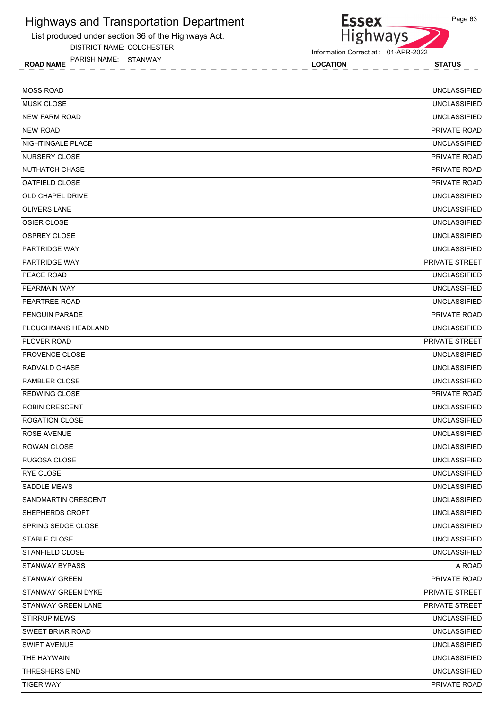

DISTRICT NAME: COLCHESTER

**Essex** Highways

Information Correct at : 01-APR-2022

ROAD NAME LOCATION STATUS PARISH NAME: STANWAY

| <b>MOSS ROAD</b>        | <b>UNCLASSIFIED</b>   |
|-------------------------|-----------------------|
| <b>MUSK CLOSE</b>       | <b>UNCLASSIFIED</b>   |
| <b>NEW FARM ROAD</b>    | <b>UNCLASSIFIED</b>   |
| NEW ROAD                | PRIVATE ROAD          |
| NIGHTINGALE PLACE       | <b>UNCLASSIFIED</b>   |
| NURSERY CLOSE           | <b>PRIVATE ROAD</b>   |
| NUTHATCH CHASE          | PRIVATE ROAD          |
| OATFIELD CLOSE          | PRIVATE ROAD          |
| OLD CHAPEL DRIVE        | <b>UNCLASSIFIED</b>   |
| <b>OLIVERS LANE</b>     | <b>UNCLASSIFIED</b>   |
| <b>OSIER CLOSE</b>      | <b>UNCLASSIFIED</b>   |
| <b>OSPREY CLOSE</b>     | <b>UNCLASSIFIED</b>   |
| <b>PARTRIDGE WAY</b>    | <b>UNCLASSIFIED</b>   |
| <b>PARTRIDGE WAY</b>    | <b>PRIVATE STREET</b> |
| PEACE ROAD              | <b>UNCLASSIFIED</b>   |
| PEARMAIN WAY            | <b>UNCLASSIFIED</b>   |
| PEARTREE ROAD           | <b>UNCLASSIFIED</b>   |
| PENGUIN PARADE          | PRIVATE ROAD          |
| PLOUGHMANS HEADLAND     | <b>UNCLASSIFIED</b>   |
| PLOVER ROAD             | <b>PRIVATE STREET</b> |
| PROVENCE CLOSE          | <b>UNCLASSIFIED</b>   |
| RADVALD CHASE           | <b>UNCLASSIFIED</b>   |
| RAMBLER CLOSE           | <b>UNCLASSIFIED</b>   |
| <b>REDWING CLOSE</b>    | PRIVATE ROAD          |
| <b>ROBIN CRESCENT</b>   | <b>UNCLASSIFIED</b>   |
| <b>ROGATION CLOSE</b>   | <b>UNCLASSIFIED</b>   |
| ROSE AVENUE             | <b>UNCLASSIFIED</b>   |
| ROWAN CLOSE             | <b>UNCLASSIFIED</b>   |
| RUGOSA CLOSE            | <b>UNCLASSIFIED</b>   |
| RYE CLOSE               | UNCLASSIFIED          |
| SADDLE MEWS             | <b>UNCLASSIFIED</b>   |
| SANDMARTIN CRESCENT     | <b>UNCLASSIFIED</b>   |
| SHEPHERDS CROFT         | <b>UNCLASSIFIED</b>   |
| SPRING SEDGE CLOSE      | <b>UNCLASSIFIED</b>   |
| STABLE CLOSE            | <b>UNCLASSIFIED</b>   |
| STANFIELD CLOSE         | <b>UNCLASSIFIED</b>   |
| <b>STANWAY BYPASS</b>   | A ROAD                |
| <b>STANWAY GREEN</b>    | PRIVATE ROAD          |
| STANWAY GREEN DYKE      | PRIVATE STREET        |
| STANWAY GREEN LANE      | PRIVATE STREET        |
| <b>STIRRUP MEWS</b>     | <b>UNCLASSIFIED</b>   |
| <b>SWEET BRIAR ROAD</b> | <b>UNCLASSIFIED</b>   |
| <b>SWIFT AVENUE</b>     | <b>UNCLASSIFIED</b>   |
| THE HAYWAIN             | <b>UNCLASSIFIED</b>   |
| THRESHERS END           | UNCLASSIFIED          |
| <b>TIGER WAY</b>        | PRIVATE ROAD          |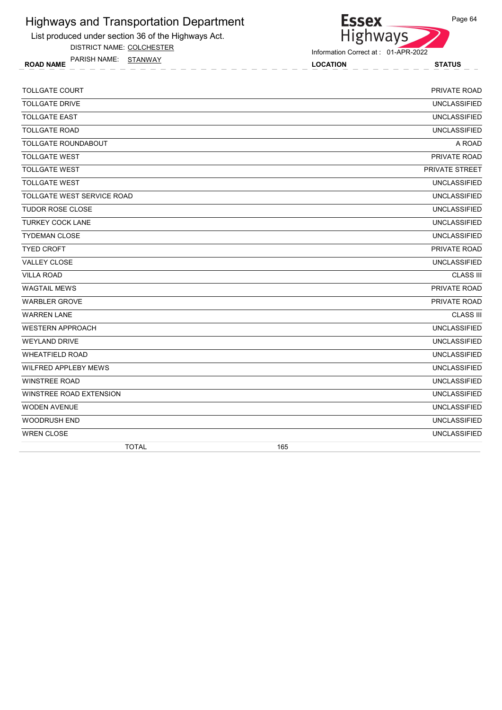

DISTRICT NAME: COLCHESTER

ROAD NAME LOCATION STATUS PARISH NAME: STANWAY



Information Correct at : 01-APR-2022

| <b>TOLLGATE COURT</b>      | PRIVATE ROAD          |
|----------------------------|-----------------------|
| <b>TOLLGATE DRIVE</b>      | <b>UNCLASSIFIED</b>   |
| <b>TOLLGATE EAST</b>       | <b>UNCLASSIFIED</b>   |
| <b>TOLLGATE ROAD</b>       | <b>UNCLASSIFIED</b>   |
| <b>TOLLGATE ROUNDABOUT</b> | A ROAD                |
| <b>TOLLGATE WEST</b>       | PRIVATE ROAD          |
| <b>TOLLGATE WEST</b>       | <b>PRIVATE STREET</b> |
| <b>TOLLGATE WEST</b>       | <b>UNCLASSIFIED</b>   |
| TOLLGATE WEST SERVICE ROAD | <b>UNCLASSIFIED</b>   |
| <b>TUDOR ROSE CLOSE</b>    | <b>UNCLASSIFIED</b>   |
| <b>TURKEY COCK LANE</b>    | <b>UNCLASSIFIED</b>   |
| <b>TYDEMAN CLOSE</b>       | <b>UNCLASSIFIED</b>   |
| <b>TYED CROFT</b>          | PRIVATE ROAD          |
| <b>VALLEY CLOSE</b>        | <b>UNCLASSIFIED</b>   |
| <b>VILLA ROAD</b>          | <b>CLASS III</b>      |
| <b>WAGTAIL MEWS</b>        | PRIVATE ROAD          |
| <b>WARBLER GROVE</b>       | PRIVATE ROAD          |
| <b>WARREN LANE</b>         | <b>CLASS III</b>      |
| <b>WESTERN APPROACH</b>    | <b>UNCLASSIFIED</b>   |
| <b>WEYLAND DRIVE</b>       | <b>UNCLASSIFIED</b>   |
| <b>WHEATFIELD ROAD</b>     | <b>UNCLASSIFIED</b>   |
| WILFRED APPLEBY MEWS       | <b>UNCLASSIFIED</b>   |
| <b>WINSTREE ROAD</b>       | <b>UNCLASSIFIED</b>   |
| WINSTREE ROAD EXTENSION    | <b>UNCLASSIFIED</b>   |
| <b>WODEN AVENUE</b>        | <b>UNCLASSIFIED</b>   |
| <b>WOODRUSH END</b>        | <b>UNCLASSIFIED</b>   |
| <b>WREN CLOSE</b>          | <b>UNCLASSIFIED</b>   |
| <b>TOTAL</b>               | 165                   |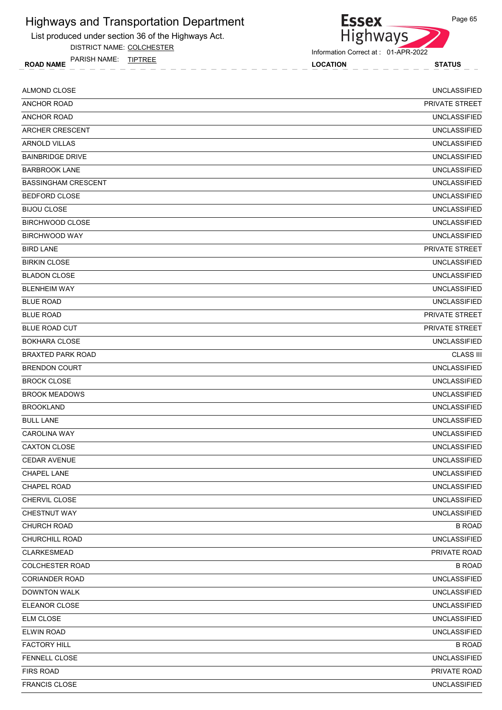

DISTRICT NAME: COLCHESTER

ROAD NAME LOCATION STATUS PARISH NAME: TIPTREE



| ALMOND CLOSE               | <b>UNCLASSIFIED</b>   |
|----------------------------|-----------------------|
| <b>ANCHOR ROAD</b>         | <b>PRIVATE STREET</b> |
| <b>ANCHOR ROAD</b>         | <b>UNCLASSIFIED</b>   |
| ARCHER CRESCENT            | <b>UNCLASSIFIED</b>   |
| <b>ARNOLD VILLAS</b>       | <b>UNCLASSIFIED</b>   |
| <b>BAINBRIDGE DRIVE</b>    | <b>UNCLASSIFIED</b>   |
| <b>BARBROOK LANE</b>       | <b>UNCLASSIFIED</b>   |
| <b>BASSINGHAM CRESCENT</b> | <b>UNCLASSIFIED</b>   |
| <b>BEDFORD CLOSE</b>       | <b>UNCLASSIFIED</b>   |
| <b>BIJOU CLOSE</b>         | <b>UNCLASSIFIED</b>   |
| <b>BIRCHWOOD CLOSE</b>     | <b>UNCLASSIFIED</b>   |
| <b>BIRCHWOOD WAY</b>       | <b>UNCLASSIFIED</b>   |
| <b>BIRD LANE</b>           | PRIVATE STREET        |
| <b>BIRKIN CLOSE</b>        | <b>UNCLASSIFIED</b>   |
| <b>BLADON CLOSE</b>        | <b>UNCLASSIFIED</b>   |
| <b>BLENHEIM WAY</b>        | <b>UNCLASSIFIED</b>   |
| <b>BLUE ROAD</b>           | <b>UNCLASSIFIED</b>   |
| <b>BLUE ROAD</b>           | PRIVATE STREET        |
| BLUE ROAD CUT              | PRIVATE STREET        |
| <b>BOKHARA CLOSE</b>       | <b>UNCLASSIFIED</b>   |
| <b>BRAXTED PARK ROAD</b>   | <b>CLASS III</b>      |
| <b>BRENDON COURT</b>       | <b>UNCLASSIFIED</b>   |
| <b>BROCK CLOSE</b>         | <b>UNCLASSIFIED</b>   |
| <b>BROOK MEADOWS</b>       | <b>UNCLASSIFIED</b>   |
| <b>BROOKLAND</b>           | <b>UNCLASSIFIED</b>   |
| <b>BULL LANE</b>           | <b>UNCLASSIFIED</b>   |
| <b>CAROLINA WAY</b>        | <b>UNCLASSIFIED</b>   |
| <b>CAXTON CLOSE</b>        | <b>UNCLASSIFIED</b>   |
| <b>CEDAR AVENUE</b>        | <b>UNCLASSIFIED</b>   |
| CHAPEL LANE                | <b>UNCLASSIFIED</b>   |
| CHAPEL ROAD                | <b>UNCLASSIFIED</b>   |
| CHERVIL CLOSE              | <b>UNCLASSIFIED</b>   |
| CHESTNUT WAY               | <b>UNCLASSIFIED</b>   |
| CHURCH ROAD                | <b>B ROAD</b>         |
| CHURCHILL ROAD             | <b>UNCLASSIFIED</b>   |
| <b>CLARKESMEAD</b>         | PRIVATE ROAD          |
| <b>COLCHESTER ROAD</b>     | <b>B ROAD</b>         |
| <b>CORIANDER ROAD</b>      | <b>UNCLASSIFIED</b>   |
| <b>DOWNTON WALK</b>        | <b>UNCLASSIFIED</b>   |
| ELEANOR CLOSE              | <b>UNCLASSIFIED</b>   |
| ELM CLOSE                  | <b>UNCLASSIFIED</b>   |
| ELWIN ROAD                 | <b>UNCLASSIFIED</b>   |
| <b>FACTORY HILL</b>        | <b>B ROAD</b>         |
| FENNELL CLOSE              | <b>UNCLASSIFIED</b>   |
| <b>FIRS ROAD</b>           | PRIVATE ROAD          |
| <b>FRANCIS CLOSE</b>       | <b>UNCLASSIFIED</b>   |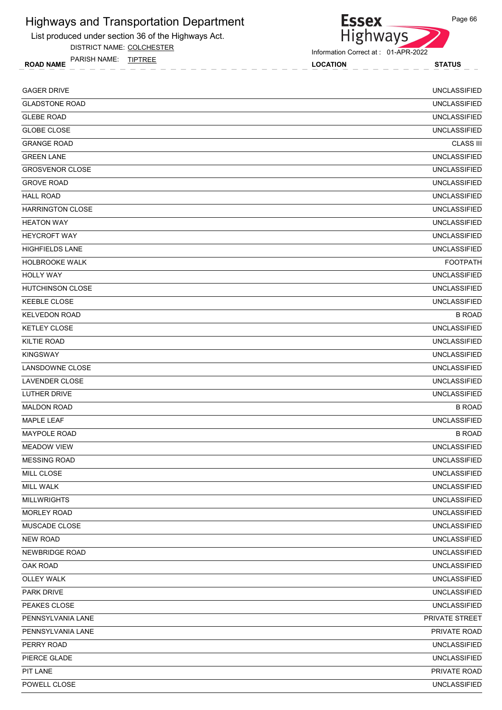

DISTRICT NAME: COLCHESTER

ROAD NAME LOCATION STATUS PARISH NAME: TIPTREE



Information Correct at : 01-APR-2022

**Essex** 

| <b>GAGER DRIVE</b>      | <b>UNCLASSIFIED</b> |
|-------------------------|---------------------|
| <b>GLADSTONE ROAD</b>   | <b>UNCLASSIFIED</b> |
| <b>GLEBE ROAD</b>       | <b>UNCLASSIFIED</b> |
| <b>GLOBE CLOSE</b>      | <b>UNCLASSIFIED</b> |
| <b>GRANGE ROAD</b>      | <b>CLASS III</b>    |
| <b>GREEN LANE</b>       | <b>UNCLASSIFIED</b> |
| <b>GROSVENOR CLOSE</b>  | <b>UNCLASSIFIED</b> |
| <b>GROVE ROAD</b>       | <b>UNCLASSIFIED</b> |
| <b>HALL ROAD</b>        | <b>UNCLASSIFIED</b> |
| <b>HARRINGTON CLOSE</b> | <b>UNCLASSIFIED</b> |
| <b>HEATON WAY</b>       | <b>UNCLASSIFIED</b> |
| <b>HEYCROFT WAY</b>     | <b>UNCLASSIFIED</b> |
| <b>HIGHFIELDS LANE</b>  | <b>UNCLASSIFIED</b> |
| HOLBROOKE WALK          | <b>FOOTPATH</b>     |
| <b>HOLLY WAY</b>        | <b>UNCLASSIFIED</b> |
| <b>HUTCHINSON CLOSE</b> | <b>UNCLASSIFIED</b> |
| <b>KEEBLE CLOSE</b>     | <b>UNCLASSIFIED</b> |
| <b>KELVEDON ROAD</b>    | <b>B ROAD</b>       |
| <b>KETLEY CLOSE</b>     | <b>UNCLASSIFIED</b> |
| <b>KILTIE ROAD</b>      | <b>UNCLASSIFIED</b> |
| <b>KINGSWAY</b>         | <b>UNCLASSIFIED</b> |
| LANSDOWNE CLOSE         | <b>UNCLASSIFIED</b> |
| LAVENDER CLOSE          | <b>UNCLASSIFIED</b> |
| LUTHER DRIVE            | <b>UNCLASSIFIED</b> |
| <b>MALDON ROAD</b>      | <b>B ROAD</b>       |
| <b>MAPLE LEAF</b>       | <b>UNCLASSIFIED</b> |
| <b>MAYPOLE ROAD</b>     | <b>B ROAD</b>       |
| <b>MEADOW VIEW</b>      | <b>UNCLASSIFIED</b> |
| <b>MESSING ROAD</b>     | <b>UNCLASSIFIED</b> |
| MILL CLOSE              | <b>UNCLASSIFIED</b> |
| MILL WALK               | <b>UNCLASSIFIED</b> |
| <b>MILLWRIGHTS</b>      | <b>UNCLASSIFIED</b> |
| <b>MORLEY ROAD</b>      | <b>UNCLASSIFIED</b> |
| MUSCADE CLOSE           | <b>UNCLASSIFIED</b> |
| <b>NEW ROAD</b>         | <b>UNCLASSIFIED</b> |
| <b>NEWBRIDGE ROAD</b>   | <b>UNCLASSIFIED</b> |
| OAK ROAD                | <b>UNCLASSIFIED</b> |
| <b>OLLEY WALK</b>       | <b>UNCLASSIFIED</b> |
| <b>PARK DRIVE</b>       | <b>UNCLASSIFIED</b> |
| PEAKES CLOSE            | <b>UNCLASSIFIED</b> |
| PENNSYLVANIA LANE       | PRIVATE STREET      |
| PENNSYLVANIA LANE       | PRIVATE ROAD        |
| PERRY ROAD              | <b>UNCLASSIFIED</b> |
| PIERCE GLADE            | <b>UNCLASSIFIED</b> |
| PIT LANE                | PRIVATE ROAD        |
| POWELL CLOSE            | <b>UNCLASSIFIED</b> |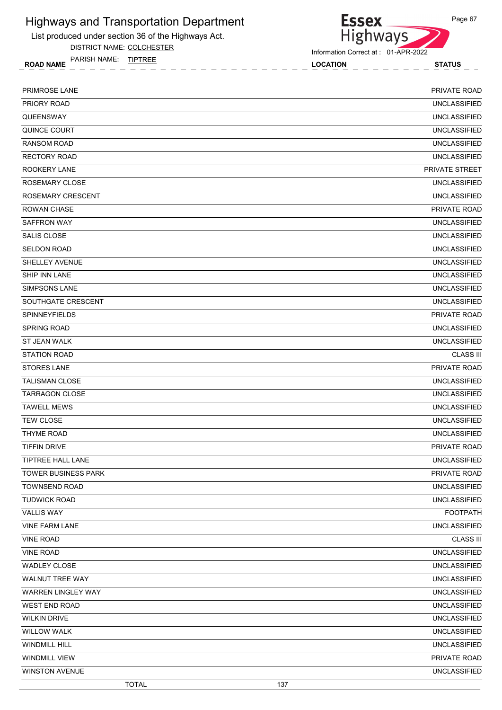

DISTRICT NAME: COLCHESTER

ROAD NAME LOCATION STATUS PARISH NAME: TIPTREE

**Essex** Highways

Information Correct at : 01-APR-2022

| PRIMROSE LANE              | PRIVATE ROAD        |
|----------------------------|---------------------|
| PRIORY ROAD                | <b>UNCLASSIFIED</b> |
| QUEENSWAY                  | <b>UNCLASSIFIED</b> |
| QUINCE COURT               | <b>UNCLASSIFIED</b> |
| <b>RANSOM ROAD</b>         | <b>UNCLASSIFIED</b> |
| <b>RECTORY ROAD</b>        | <b>UNCLASSIFIED</b> |
| <b>ROOKERY LANE</b>        | PRIVATE STREET      |
| <b>ROSEMARY CLOSE</b>      | <b>UNCLASSIFIED</b> |
| <b>ROSEMARY CRESCENT</b>   | <b>UNCLASSIFIED</b> |
| <b>ROWAN CHASE</b>         | <b>PRIVATE ROAD</b> |
| <b>SAFFRON WAY</b>         | <b>UNCLASSIFIED</b> |
| SALIS CLOSE                | <b>UNCLASSIFIED</b> |
| <b>SELDON ROAD</b>         | <b>UNCLASSIFIED</b> |
| SHELLEY AVENUE             | <b>UNCLASSIFIED</b> |
| SHIP INN LANE              | <b>UNCLASSIFIED</b> |
| <b>SIMPSONS LANE</b>       | <b>UNCLASSIFIED</b> |
| SOUTHGATE CRESCENT         | <b>UNCLASSIFIED</b> |
| <b>SPINNEYFIELDS</b>       | PRIVATE ROAD        |
| <b>SPRING ROAD</b>         | <b>UNCLASSIFIED</b> |
| ST JEAN WALK               | <b>UNCLASSIFIED</b> |
| <b>STATION ROAD</b>        | <b>CLASS III</b>    |
| <b>STORES LANE</b>         | PRIVATE ROAD        |
| <b>TALISMAN CLOSE</b>      | <b>UNCLASSIFIED</b> |
| <b>TARRAGON CLOSE</b>      | <b>UNCLASSIFIED</b> |
| <b>TAWELL MEWS</b>         | <b>UNCLASSIFIED</b> |
| <b>TEW CLOSE</b>           | <b>UNCLASSIFIED</b> |
| THYME ROAD                 | <b>UNCLASSIFIED</b> |
| <b>TIFFIN DRIVE</b>        | PRIVATE ROAD        |
| TIPTREE HALL LANE          | <b>UNCLASSIFIED</b> |
| <b>TOWER BUSINESS PARK</b> | PRIVATE ROAD        |
| <b>TOWNSEND ROAD</b>       | <b>UNCLASSIFIED</b> |
| <b>TUDWICK ROAD</b>        | <b>UNCLASSIFIED</b> |
| <b>VALLIS WAY</b>          | <b>FOOTPATH</b>     |
| <b>VINE FARM LANE</b>      | <b>UNCLASSIFIED</b> |
| <b>VINE ROAD</b>           | <b>CLASS III</b>    |
| <b>VINE ROAD</b>           | <b>UNCLASSIFIED</b> |
| <b>WADLEY CLOSE</b>        | <b>UNCLASSIFIED</b> |
| WALNUT TREE WAY            | <b>UNCLASSIFIED</b> |
| <b>WARREN LINGLEY WAY</b>  | <b>UNCLASSIFIED</b> |
| <b>WEST END ROAD</b>       | <b>UNCLASSIFIED</b> |
| <b>WILKIN DRIVE</b>        | <b>UNCLASSIFIED</b> |
| <b>WILLOW WALK</b>         | <b>UNCLASSIFIED</b> |
| WINDMILL HILL              | <b>UNCLASSIFIED</b> |
| <b>WINDMILL VIEW</b>       | PRIVATE ROAD        |
| <b>WINSTON AVENUE</b>      | <b>UNCLASSIFIED</b> |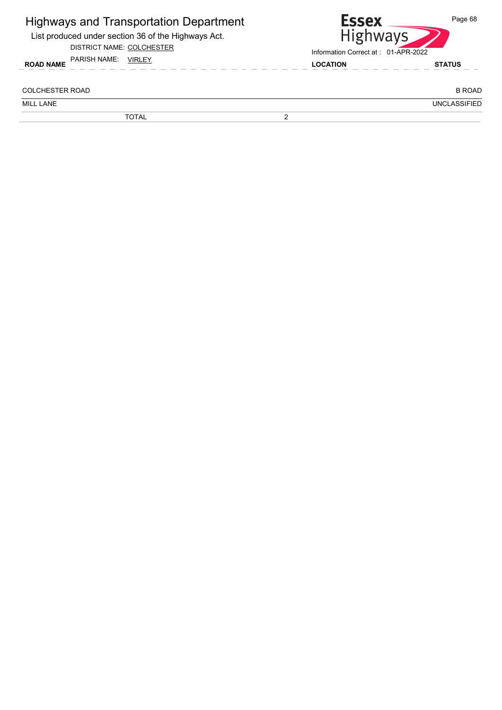| <b>Highways and Transportation Department</b><br>List produced under section 36 of the Highways Act.<br>DISTRICT NAME: COLCHESTER |   | <b>Essex</b><br>Page 68<br><b>Highways</b><br>Information Correct at: 01-APR-2022 |                     |
|-----------------------------------------------------------------------------------------------------------------------------------|---|-----------------------------------------------------------------------------------|---------------------|
| PARISH NAME:<br>VIRLEY<br><b>ROAD NAME</b>                                                                                        |   | <b>LOCATION</b>                                                                   | <b>STATUS</b>       |
| COLCHESTER ROAD                                                                                                                   |   |                                                                                   | <b>B ROAD</b>       |
| MILL LANE                                                                                                                         |   |                                                                                   | <b>UNCLASSIFIED</b> |
| <b>TOTAL</b>                                                                                                                      | ົ |                                                                                   |                     |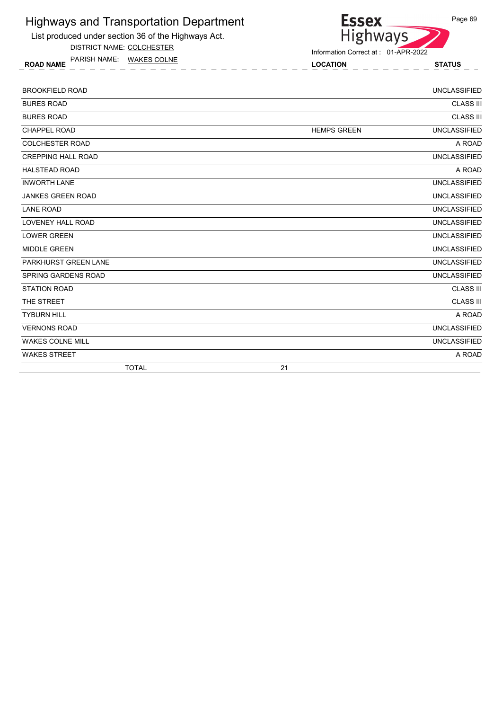List produced under section 36 of the Highways Act.

DISTRICT NAME: COLCHESTER

ROAD NAME LOCATION STATUS PARISH NAME: WAKES COLNE



| <b>BROOKFIELD ROAD</b>     |                    | <b>UNCLASSIFIED</b> |
|----------------------------|--------------------|---------------------|
| <b>BURES ROAD</b>          |                    | <b>CLASS III</b>    |
| <b>BURES ROAD</b>          |                    | <b>CLASS III</b>    |
| <b>CHAPPEL ROAD</b>        | <b>HEMPS GREEN</b> | <b>UNCLASSIFIED</b> |
| <b>COLCHESTER ROAD</b>     |                    | A ROAD              |
| <b>CREPPING HALL ROAD</b>  |                    | <b>UNCLASSIFIED</b> |
| <b>HALSTEAD ROAD</b>       |                    | A ROAD              |
| <b>INWORTH LANE</b>        |                    | <b>UNCLASSIFIED</b> |
| <b>JANKES GREEN ROAD</b>   |                    | <b>UNCLASSIFIED</b> |
| <b>LANE ROAD</b>           |                    | <b>UNCLASSIFIED</b> |
| <b>LOVENEY HALL ROAD</b>   |                    | <b>UNCLASSIFIED</b> |
| <b>LOWER GREEN</b>         |                    | <b>UNCLASSIFIED</b> |
| <b>MIDDLE GREEN</b>        |                    | <b>UNCLASSIFIED</b> |
| PARKHURST GREEN LANE       |                    | <b>UNCLASSIFIED</b> |
| <b>SPRING GARDENS ROAD</b> |                    | <b>UNCLASSIFIED</b> |
| <b>STATION ROAD</b>        |                    | <b>CLASS III</b>    |
| THE STREET                 |                    | <b>CLASS III</b>    |
| <b>TYBURN HILL</b>         |                    | A ROAD              |
| <b>VERNONS ROAD</b>        |                    | <b>UNCLASSIFIED</b> |
| <b>WAKES COLNE MILL</b>    |                    | <b>UNCLASSIFIED</b> |
| <b>WAKES STREET</b>        |                    | A ROAD              |
| <b>TOTAL</b>               | 21                 |                     |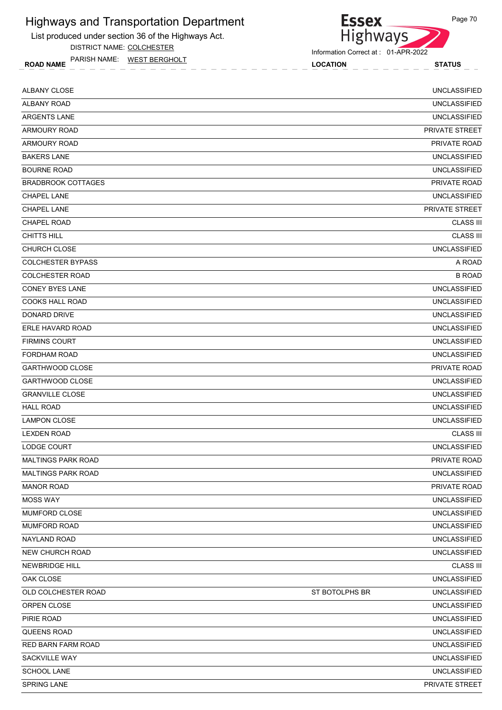List produced under section 36 of the Highways Act.

DISTRICT NAME: COLCHESTER

ROAD NAME LOCATION STATUS PARISH NAME: WEST BERGHOLT



**Essex** 

| <b>ALBANY CLOSE</b>       |                | <b>UNCLASSIFIED</b> |
|---------------------------|----------------|---------------------|
| <b>ALBANY ROAD</b>        |                | <b>UNCLASSIFIED</b> |
| <b>ARGENTS LANE</b>       |                | <b>UNCLASSIFIED</b> |
| <b>ARMOURY ROAD</b>       |                | PRIVATE STREET      |
| <b>ARMOURY ROAD</b>       |                | PRIVATE ROAD        |
| <b>BAKERS LANE</b>        |                | <b>UNCLASSIFIED</b> |
| <b>BOURNE ROAD</b>        |                | <b>UNCLASSIFIED</b> |
| <b>BRADBROOK COTTAGES</b> |                | PRIVATE ROAD        |
| <b>CHAPEL LANE</b>        |                | <b>UNCLASSIFIED</b> |
| <b>CHAPEL LANE</b>        |                | PRIVATE STREET      |
| <b>CHAPEL ROAD</b>        |                | <b>CLASS III</b>    |
| <b>CHITTS HILL</b>        |                | <b>CLASS III</b>    |
| <b>CHURCH CLOSE</b>       |                | <b>UNCLASSIFIED</b> |
| <b>COLCHESTER BYPASS</b>  |                | A ROAD              |
| <b>COLCHESTER ROAD</b>    |                | <b>B ROAD</b>       |
| <b>CONEY BYES LANE</b>    |                | <b>UNCLASSIFIED</b> |
| <b>COOKS HALL ROAD</b>    |                | <b>UNCLASSIFIED</b> |
| DONARD DRIVE              |                | <b>UNCLASSIFIED</b> |
| ERLE HAVARD ROAD          |                | <b>UNCLASSIFIED</b> |
| <b>FIRMINS COURT</b>      |                | <b>UNCLASSIFIED</b> |
| <b>FORDHAM ROAD</b>       |                | <b>UNCLASSIFIED</b> |
| <b>GARTHWOOD CLOSE</b>    |                | PRIVATE ROAD        |
| <b>GARTHWOOD CLOSE</b>    |                | <b>UNCLASSIFIED</b> |
| <b>GRANVILLE CLOSE</b>    |                | <b>UNCLASSIFIED</b> |
| <b>HALL ROAD</b>          |                | <b>UNCLASSIFIED</b> |
| <b>LAMPON CLOSE</b>       |                | <b>UNCLASSIFIED</b> |
| <b>LEXDEN ROAD</b>        |                | <b>CLASS III</b>    |
| LODGE COURT               |                | <b>UNCLASSIFIED</b> |
| <b>MALTINGS PARK ROAD</b> |                | PRIVATE ROAD        |
| MALTINGS PARK ROAD        |                | <b>UNCLASSIFIED</b> |
| <b>MANOR ROAD</b>         |                | PRIVATE ROAD        |
| <b>MOSS WAY</b>           |                | <b>UNCLASSIFIED</b> |
| MUMFORD CLOSE             |                | <b>UNCLASSIFIED</b> |
| MUMFORD ROAD              |                | UNCLASSIFIED        |
| NAYLAND ROAD              |                | <b>UNCLASSIFIED</b> |
| <b>NEW CHURCH ROAD</b>    |                | <b>UNCLASSIFIED</b> |
| <b>NEWBRIDGE HILL</b>     |                | <b>CLASS III</b>    |
| OAK CLOSE                 |                | <b>UNCLASSIFIED</b> |
| OLD COLCHESTER ROAD       | ST BOTOLPHS BR | <b>UNCLASSIFIED</b> |
| ORPEN CLOSE               |                | <b>UNCLASSIFIED</b> |
| PIRIE ROAD                |                | <b>UNCLASSIFIED</b> |
| QUEENS ROAD               |                | <b>UNCLASSIFIED</b> |
| RED BARN FARM ROAD        |                | <b>UNCLASSIFIED</b> |
| SACKVILLE WAY             |                | <b>UNCLASSIFIED</b> |
| SCHOOL LANE               |                | <b>UNCLASSIFIED</b> |
| SPRING LANE               |                | PRIVATE STREET      |
|                           |                |                     |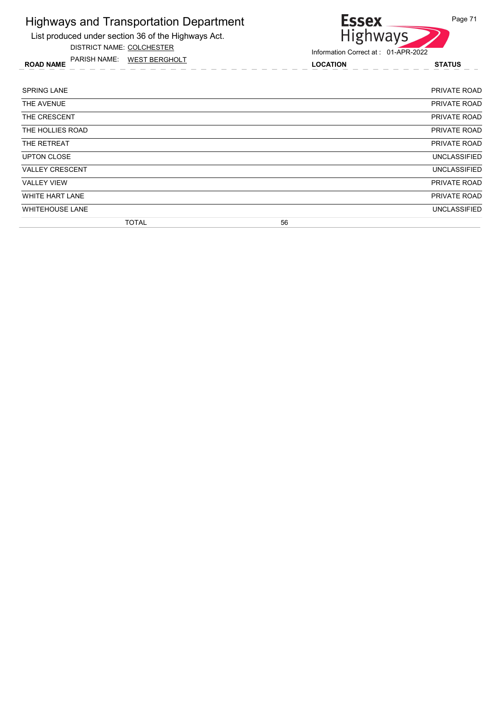List produced under section 36 of the Highways Act.

DISTRICT NAME: COLCHESTER

ROAD NAME LOCATION STATUS PARISH NAME: WEST BERGHOLT

#### **Essex** Page 71 Highways

| <b>SPRING LANE</b>     |              |    | PRIVATE ROAD        |
|------------------------|--------------|----|---------------------|
| THE AVENUE             |              |    | PRIVATE ROAD        |
| THE CRESCENT           |              |    | PRIVATE ROAD        |
| THE HOLLIES ROAD       |              |    | PRIVATE ROAD        |
| THE RETREAT            |              |    | PRIVATE ROAD        |
| <b>UPTON CLOSE</b>     |              |    | <b>UNCLASSIFIED</b> |
| <b>VALLEY CRESCENT</b> |              |    | <b>UNCLASSIFIED</b> |
| <b>VALLEY VIEW</b>     |              |    | PRIVATE ROAD        |
| WHITE HART LANE        |              |    | PRIVATE ROAD        |
| <b>WHITEHOUSE LANE</b> |              |    | <b>UNCLASSIFIED</b> |
|                        | <b>TOTAL</b> | 56 |                     |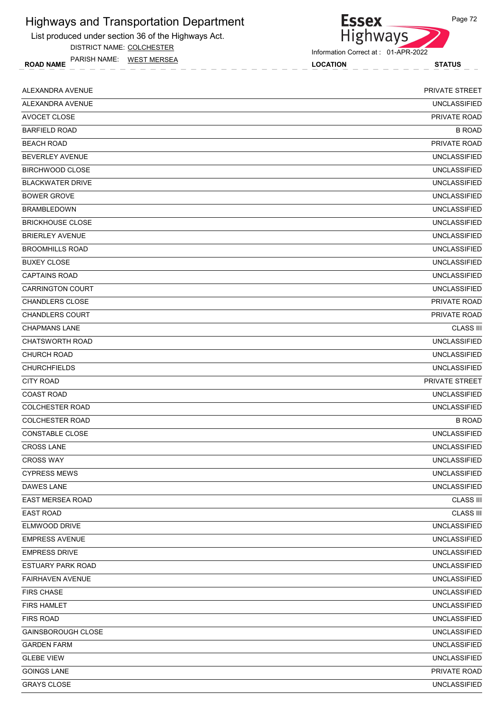List produced under section 36 of the Highways Act.

DISTRICT NAME: COLCHESTER

ROAD NAME LOCATION STATUS PARISH NAME: WEST MERSEA

Information Correct at : 01-APR-2022

Highways

**Essex** 

| ALEXANDRA AVENUE          | PRIVATE STREET      |
|---------------------------|---------------------|
| ALEXANDRA AVENUE          | <b>UNCLASSIFIED</b> |
| AVOCET CLOSE              | <b>PRIVATE ROAD</b> |
| <b>BARFIELD ROAD</b>      | <b>B ROAD</b>       |
| <b>BEACH ROAD</b>         | PRIVATE ROAD        |
| <b>BEVERLEY AVENUE</b>    | <b>UNCLASSIFIED</b> |
| <b>BIRCHWOOD CLOSE</b>    | <b>UNCLASSIFIED</b> |
| <b>BLACKWATER DRIVE</b>   | <b>UNCLASSIFIED</b> |
| <b>BOWER GROVE</b>        | <b>UNCLASSIFIED</b> |
| <b>BRAMBLEDOWN</b>        | <b>UNCLASSIFIED</b> |
| <b>BRICKHOUSE CLOSE</b>   | <b>UNCLASSIFIED</b> |
| <b>BRIERLEY AVENUE</b>    | <b>UNCLASSIFIED</b> |
| <b>BROOMHILLS ROAD</b>    | <b>UNCLASSIFIED</b> |
| <b>BUXEY CLOSE</b>        | <b>UNCLASSIFIED</b> |
| <b>CAPTAINS ROAD</b>      | <b>UNCLASSIFIED</b> |
| <b>CARRINGTON COURT</b>   | <b>UNCLASSIFIED</b> |
| <b>CHANDLERS CLOSE</b>    | PRIVATE ROAD        |
| <b>CHANDLERS COURT</b>    | PRIVATE ROAD        |
| <b>CHAPMANS LANE</b>      | <b>CLASS III</b>    |
| <b>CHATSWORTH ROAD</b>    | <b>UNCLASSIFIED</b> |
| <b>CHURCH ROAD</b>        | <b>UNCLASSIFIED</b> |
| <b>CHURCHFIELDS</b>       | <b>UNCLASSIFIED</b> |
| <b>CITY ROAD</b>          | PRIVATE STREET      |
| <b>COAST ROAD</b>         | <b>UNCLASSIFIED</b> |
| <b>COLCHESTER ROAD</b>    | <b>UNCLASSIFIED</b> |
| <b>COLCHESTER ROAD</b>    | <b>B ROAD</b>       |
| CONSTABLE CLOSE           | <b>UNCLASSIFIED</b> |
| <b>CROSS LANE</b>         | <b>UNCLASSIFIED</b> |
| <b>CROSS WAY</b>          | <b>UNCLASSIFIED</b> |
| <b>CYPRESS MEWS</b>       | <b>UNCLASSIFIED</b> |
| DAWES LANE                | <b>UNCLASSIFIED</b> |
| EAST MERSEA ROAD          | <b>CLASS III</b>    |
| <b>EAST ROAD</b>          | <b>CLASS III</b>    |
| ELMWOOD DRIVE             | <b>UNCLASSIFIED</b> |
| <b>EMPRESS AVENUE</b>     | <b>UNCLASSIFIED</b> |
| <b>EMPRESS DRIVE</b>      | <b>UNCLASSIFIED</b> |
| ESTUARY PARK ROAD         | <b>UNCLASSIFIED</b> |
| <b>FAIRHAVEN AVENUE</b>   | <b>UNCLASSIFIED</b> |
| <b>FIRS CHASE</b>         | <b>UNCLASSIFIED</b> |
| <b>FIRS HAMLET</b>        | <b>UNCLASSIFIED</b> |
| <b>FIRS ROAD</b>          | <b>UNCLASSIFIED</b> |
| <b>GAINSBOROUGH CLOSE</b> | <b>UNCLASSIFIED</b> |
| <b>GARDEN FARM</b>        | <b>UNCLASSIFIED</b> |
| <b>GLEBE VIEW</b>         | <b>UNCLASSIFIED</b> |
| <b>GOINGS LANE</b>        | PRIVATE ROAD        |
| <b>GRAYS CLOSE</b>        | <b>UNCLASSIFIED</b> |
|                           |                     |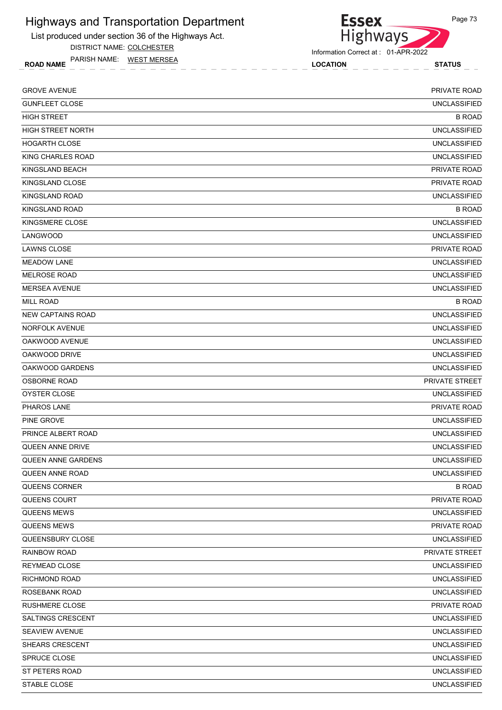List produced under section 36 of the Highways Act.

DISTRICT NAME: COLCHESTER

ROAD NAME LOCATION STATUS PARISH NAME: WEST MERSEA

Information Correct at : 01-APR-2022

Highways

**Essex** 

| <b>GROVE AVENUE</b>       | PRIVATE ROAD        |
|---------------------------|---------------------|
| <b>GUNFLEET CLOSE</b>     | <b>UNCLASSIFIED</b> |
| <b>HIGH STREET</b>        | <b>B ROAD</b>       |
| <b>HIGH STREET NORTH</b>  | <b>UNCLASSIFIED</b> |
| <b>HOGARTH CLOSE</b>      | <b>UNCLASSIFIED</b> |
| KING CHARLES ROAD         | <b>UNCLASSIFIED</b> |
| KINGSLAND BEACH           | PRIVATE ROAD        |
| KINGSLAND CLOSE           | <b>PRIVATE ROAD</b> |
| <b>KINGSLAND ROAD</b>     | <b>UNCLASSIFIED</b> |
| <b>KINGSLAND ROAD</b>     | <b>B ROAD</b>       |
| KINGSMERE CLOSE           | <b>UNCLASSIFIED</b> |
| LANGWOOD                  | <b>UNCLASSIFIED</b> |
| <b>LAWNS CLOSE</b>        | <b>PRIVATE ROAD</b> |
| <b>MEADOW LANE</b>        | <b>UNCLASSIFIED</b> |
| <b>MELROSE ROAD</b>       | <b>UNCLASSIFIED</b> |
| <b>MERSEA AVENUE</b>      | <b>UNCLASSIFIED</b> |
| <b>MILL ROAD</b>          | <b>B ROAD</b>       |
| <b>NEW CAPTAINS ROAD</b>  | <b>UNCLASSIFIED</b> |
| NORFOLK AVENUE            | <b>UNCLASSIFIED</b> |
| OAKWOOD AVENUE            | <b>UNCLASSIFIED</b> |
| OAKWOOD DRIVE             | <b>UNCLASSIFIED</b> |
| OAKWOOD GARDENS           | <b>UNCLASSIFIED</b> |
| <b>OSBORNE ROAD</b>       | PRIVATE STREET      |
| OYSTER CLOSE              | <b>UNCLASSIFIED</b> |
| <b>PHAROS LANE</b>        | PRIVATE ROAD        |
| PINE GROVE                | <b>UNCLASSIFIED</b> |
| PRINCE ALBERT ROAD        | <b>UNCLASSIFIED</b> |
| QUEEN ANNE DRIVE          | <b>UNCLASSIFIED</b> |
| <b>QUEEN ANNE GARDENS</b> | <b>UNCLASSIFIED</b> |
| QUEEN ANNE ROAD           | <b>UNCLASSIFIED</b> |
| QUEENS CORNER             | <b>B ROAD</b>       |
| QUEENS COURT              | PRIVATE ROAD        |
| QUEENS MEWS               | <b>UNCLASSIFIED</b> |
| <b>QUEENS MEWS</b>        | PRIVATE ROAD        |
| QUEENSBURY CLOSE          | <b>UNCLASSIFIED</b> |
| RAINBOW ROAD              | PRIVATE STREET      |
| REYMEAD CLOSE             | <b>UNCLASSIFIED</b> |
| RICHMOND ROAD             | <b>UNCLASSIFIED</b> |
| ROSEBANK ROAD             | <b>UNCLASSIFIED</b> |
| <b>RUSHMERE CLOSE</b>     | PRIVATE ROAD        |
| SALTINGS CRESCENT         | UNCLASSIFIED        |
| SEAVIEW AVENUE            | <b>UNCLASSIFIED</b> |
| SHEARS CRESCENT           | <b>UNCLASSIFIED</b> |
| SPRUCE CLOSE              | <b>UNCLASSIFIED</b> |
| ST PETERS ROAD            | <b>UNCLASSIFIED</b> |
| STABLE CLOSE              | <b>UNCLASSIFIED</b> |
|                           |                     |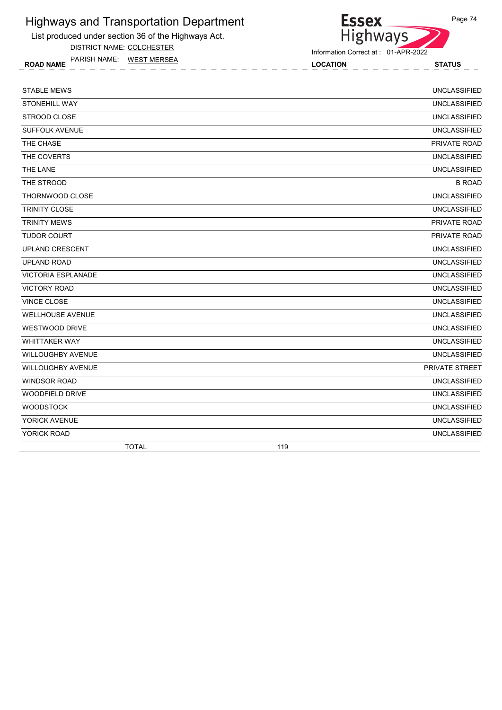List produced under section 36 of the Highways Act.

DISTRICT NAME: COLCHESTER

ROAD NAME LOCATION STATUS PARISH NAME: WEST MERSEA

| <b>STABLE MEWS</b>        | <b>UNCLASSIFIED</b> |
|---------------------------|---------------------|
| <b>STONEHILL WAY</b>      | <b>UNCLASSIFIED</b> |
| STROOD CLOSE              | <b>UNCLASSIFIED</b> |
| <b>SUFFOLK AVENUE</b>     | <b>UNCLASSIFIED</b> |
| THE CHASE                 | PRIVATE ROAD        |
| THE COVERTS               | <b>UNCLASSIFIED</b> |
| THE LANE                  | <b>UNCLASSIFIED</b> |
| THE STROOD                | <b>B ROAD</b>       |
| THORNWOOD CLOSE           | <b>UNCLASSIFIED</b> |
| <b>TRINITY CLOSE</b>      | <b>UNCLASSIFIED</b> |
| <b>TRINITY MEWS</b>       | PRIVATE ROAD        |
| <b>TUDOR COURT</b>        | PRIVATE ROAD        |
| <b>UPLAND CRESCENT</b>    | <b>UNCLASSIFIED</b> |
| <b>UPLAND ROAD</b>        | <b>UNCLASSIFIED</b> |
| <b>VICTORIA ESPLANADE</b> | <b>UNCLASSIFIED</b> |
| <b>VICTORY ROAD</b>       | <b>UNCLASSIFIED</b> |
| <b>VINCE CLOSE</b>        | <b>UNCLASSIFIED</b> |
| <b>WELLHOUSE AVENUE</b>   | <b>UNCLASSIFIED</b> |
| <b>WESTWOOD DRIVE</b>     | <b>UNCLASSIFIED</b> |
| <b>WHITTAKER WAY</b>      | <b>UNCLASSIFIED</b> |
| <b>WILLOUGHBY AVENUE</b>  | <b>UNCLASSIFIED</b> |
| <b>WILLOUGHBY AVENUE</b>  | PRIVATE STREET      |
| <b>WINDSOR ROAD</b>       | <b>UNCLASSIFIED</b> |
| <b>WOODFIELD DRIVE</b>    | <b>UNCLASSIFIED</b> |
| <b>WOODSTOCK</b>          | <b>UNCLASSIFIED</b> |
| YORICK AVENUE             | <b>UNCLASSIFIED</b> |
| YORICK ROAD               | <b>UNCLASSIFIED</b> |
| <b>TOTAL</b>              | 119                 |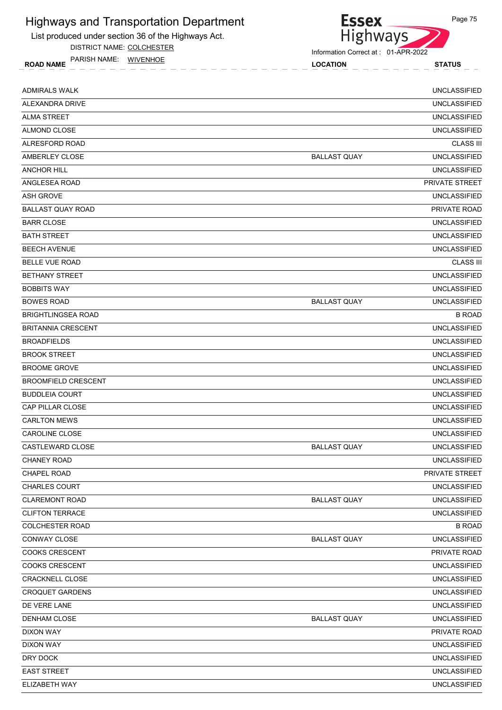

DISTRICT NAME: COLCHESTER

ROAD NAME LOCATION STATUS PARISH NAME: WIVENHOE



Information Correct at : 01-APR-2022

| <b>ADMIRALS WALK</b>       |                     | <b>UNCLASSIFIED</b> |
|----------------------------|---------------------|---------------------|
| ALEXANDRA DRIVE            |                     | <b>UNCLASSIFIED</b> |
| <b>ALMA STREET</b>         |                     | <b>UNCLASSIFIED</b> |
| ALMOND CLOSE               |                     | <b>UNCLASSIFIED</b> |
| ALRESFORD ROAD             |                     | <b>CLASS III</b>    |
| AMBERLEY CLOSE             | <b>BALLAST QUAY</b> | <b>UNCLASSIFIED</b> |
| <b>ANCHOR HILL</b>         |                     | <b>UNCLASSIFIED</b> |
| ANGLESEA ROAD              |                     | PRIVATE STREET      |
| <b>ASH GROVE</b>           |                     | <b>UNCLASSIFIED</b> |
| <b>BALLAST QUAY ROAD</b>   |                     | <b>PRIVATE ROAD</b> |
| <b>BARR CLOSE</b>          |                     | <b>UNCLASSIFIED</b> |
| <b>BATH STREET</b>         |                     | <b>UNCLASSIFIED</b> |
| <b>BEECH AVENUE</b>        |                     | <b>UNCLASSIFIED</b> |
| <b>BELLE VUE ROAD</b>      |                     | <b>CLASS III</b>    |
| <b>BETHANY STREET</b>      |                     | <b>UNCLASSIFIED</b> |
| <b>BOBBITS WAY</b>         |                     | <b>UNCLASSIFIED</b> |
| <b>BOWES ROAD</b>          | <b>BALLAST QUAY</b> | <b>UNCLASSIFIED</b> |
| <b>BRIGHTLINGSEA ROAD</b>  |                     | <b>B ROAD</b>       |
| <b>BRITANNIA CRESCENT</b>  |                     | <b>UNCLASSIFIED</b> |
| <b>BROADFIELDS</b>         |                     | <b>UNCLASSIFIED</b> |
| <b>BROOK STREET</b>        |                     | <b>UNCLASSIFIED</b> |
| <b>BROOME GROVE</b>        |                     | <b>UNCLASSIFIED</b> |
| <b>BROOMFIELD CRESCENT</b> |                     | <b>UNCLASSIFIED</b> |
| <b>BUDDLEIA COURT</b>      |                     | <b>UNCLASSIFIED</b> |
| CAP PILLAR CLOSE           |                     | <b>UNCLASSIFIED</b> |
| <b>CARLTON MEWS</b>        |                     | <b>UNCLASSIFIED</b> |
| <b>CAROLINE CLOSE</b>      |                     | <b>UNCLASSIFIED</b> |
| CASTLEWARD CLOSE           | <b>BALLAST QUAY</b> | <b>UNCLASSIFIED</b> |
| <b>CHANEY ROAD</b>         |                     | <b>UNCLASSIFIED</b> |
| CHAPEL ROAD                |                     | PRIVATE STREET      |
| CHARLES COURT              |                     | <b>UNCLASSIFIED</b> |
| <b>CLAREMONT ROAD</b>      | <b>BALLAST QUAY</b> | <b>UNCLASSIFIED</b> |
| <b>CLIFTON TERRACE</b>     |                     | <b>UNCLASSIFIED</b> |
| <b>COLCHESTER ROAD</b>     |                     | <b>B ROAD</b>       |
| <b>CONWAY CLOSE</b>        | <b>BALLAST QUAY</b> | <b>UNCLASSIFIED</b> |
| <b>COOKS CRESCENT</b>      |                     | PRIVATE ROAD        |
| COOKS CRESCENT             |                     | <b>UNCLASSIFIED</b> |
| CRACKNELL CLOSE            |                     | <b>UNCLASSIFIED</b> |
| <b>CROQUET GARDENS</b>     |                     | <b>UNCLASSIFIED</b> |
| DE VERE LANE               |                     | <b>UNCLASSIFIED</b> |
| <b>DENHAM CLOSE</b>        | <b>BALLAST QUAY</b> | <b>UNCLASSIFIED</b> |
| <b>DIXON WAY</b>           |                     | PRIVATE ROAD        |
| <b>DIXON WAY</b>           |                     | <b>UNCLASSIFIED</b> |
| DRY DOCK                   |                     | <b>UNCLASSIFIED</b> |
| <b>EAST STREET</b>         |                     | <b>UNCLASSIFIED</b> |
| ELIZABETH WAY              |                     | <b>UNCLASSIFIED</b> |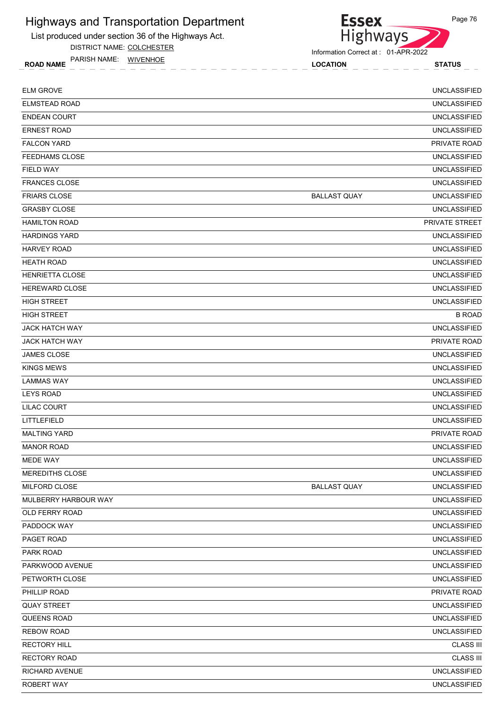

DISTRICT NAME: COLCHESTER

ROAD NAME LOCATION STATUS PARISH NAME: WIVENHOE

**Essex** Highways

Information Correct at : 01-APR-2022

| <b>ELM GROVE</b>       |                     | <b>UNCLASSIFIED</b> |
|------------------------|---------------------|---------------------|
| <b>ELMSTEAD ROAD</b>   |                     | <b>UNCLASSIFIED</b> |
| <b>ENDEAN COURT</b>    |                     | <b>UNCLASSIFIED</b> |
| <b>ERNEST ROAD</b>     |                     | <b>UNCLASSIFIED</b> |
| <b>FALCON YARD</b>     |                     | <b>PRIVATE ROAD</b> |
| <b>FEEDHAMS CLOSE</b>  |                     | <b>UNCLASSIFIED</b> |
| <b>FIELD WAY</b>       |                     | <b>UNCLASSIFIED</b> |
| <b>FRANCES CLOSE</b>   |                     | <b>UNCLASSIFIED</b> |
| <b>FRIARS CLOSE</b>    | <b>BALLAST QUAY</b> | <b>UNCLASSIFIED</b> |
| <b>GRASBY CLOSE</b>    |                     | <b>UNCLASSIFIED</b> |
| <b>HAMILTON ROAD</b>   |                     | PRIVATE STREET      |
| <b>HARDINGS YARD</b>   |                     | <b>UNCLASSIFIED</b> |
| <b>HARVEY ROAD</b>     |                     | <b>UNCLASSIFIED</b> |
| <b>HEATH ROAD</b>      |                     | <b>UNCLASSIFIED</b> |
| <b>HENRIETTA CLOSE</b> |                     | <b>UNCLASSIFIED</b> |
| <b>HEREWARD CLOSE</b>  |                     | <b>UNCLASSIFIED</b> |
| <b>HIGH STREET</b>     |                     | <b>UNCLASSIFIED</b> |
| <b>HIGH STREET</b>     |                     | <b>B ROAD</b>       |
| <b>JACK HATCH WAY</b>  |                     | <b>UNCLASSIFIED</b> |
| <b>JACK HATCH WAY</b>  |                     | <b>PRIVATE ROAD</b> |
| <b>JAMES CLOSE</b>     |                     | <b>UNCLASSIFIED</b> |
| <b>KINGS MEWS</b>      |                     | <b>UNCLASSIFIED</b> |
| LAMMAS WAY             |                     | <b>UNCLASSIFIED</b> |
| <b>LEYS ROAD</b>       |                     | <b>UNCLASSIFIED</b> |
| LILAC COURT            |                     | <b>UNCLASSIFIED</b> |
| LITTLEFIELD            |                     | <b>UNCLASSIFIED</b> |
| <b>MALTING YARD</b>    |                     | PRIVATE ROAD        |
| <b>MANOR ROAD</b>      |                     | <b>UNCLASSIFIED</b> |
| <b>MEDE WAY</b>        |                     | <b>UNCLASSIFIED</b> |
| MEREDITHS CLOSE        |                     | <b>UNCLASSIFIED</b> |
| MILFORD CLOSE          | <b>BALLAST QUAY</b> | <b>UNCLASSIFIED</b> |
| MULBERRY HARBOUR WAY   |                     | <b>UNCLASSIFIED</b> |
| OLD FERRY ROAD         |                     | <b>UNCLASSIFIED</b> |
| PADDOCK WAY            |                     | <b>UNCLASSIFIED</b> |
| PAGET ROAD             |                     | <b>UNCLASSIFIED</b> |
| PARK ROAD              |                     | <b>UNCLASSIFIED</b> |
| PARKWOOD AVENUE        |                     | <b>UNCLASSIFIED</b> |
| PETWORTH CLOSE         |                     | <b>UNCLASSIFIED</b> |
| PHILLIP ROAD           |                     | PRIVATE ROAD        |
| <b>QUAY STREET</b>     |                     | <b>UNCLASSIFIED</b> |
| QUEENS ROAD            |                     | <b>UNCLASSIFIED</b> |
| <b>REBOW ROAD</b>      |                     | <b>UNCLASSIFIED</b> |
| <b>RECTORY HILL</b>    |                     | <b>CLASS III</b>    |
| RECTORY ROAD           |                     | <b>CLASS III</b>    |
| RICHARD AVENUE         |                     | <b>UNCLASSIFIED</b> |
| <b>ROBERT WAY</b>      |                     | <b>UNCLASSIFIED</b> |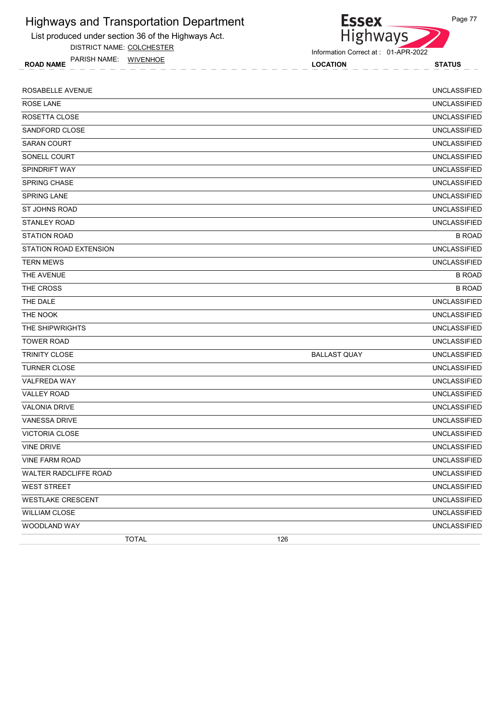

DISTRICT NAME: COLCHESTER

ROAD NAME LOCATION STATUS PARISH NAME: WIVENHOE



Information Correct at : 01-APR-2022

| ROSABELLE AVENUE         |                     | <b>UNCLASSIFIED</b> |
|--------------------------|---------------------|---------------------|
| <b>ROSE LANE</b>         |                     | <b>UNCLASSIFIED</b> |
| ROSETTA CLOSE            |                     | <b>UNCLASSIFIED</b> |
| SANDFORD CLOSE           |                     | <b>UNCLASSIFIED</b> |
| <b>SARAN COURT</b>       |                     | <b>UNCLASSIFIED</b> |
| SONELL COURT             |                     | <b>UNCLASSIFIED</b> |
| <b>SPINDRIFT WAY</b>     |                     | <b>UNCLASSIFIED</b> |
| SPRING CHASE             |                     | <b>UNCLASSIFIED</b> |
| SPRING LANE              |                     | <b>UNCLASSIFIED</b> |
| <b>ST JOHNS ROAD</b>     |                     | <b>UNCLASSIFIED</b> |
| <b>STANLEY ROAD</b>      |                     | <b>UNCLASSIFIED</b> |
| <b>STATION ROAD</b>      |                     | <b>B ROAD</b>       |
| STATION ROAD EXTENSION   |                     | <b>UNCLASSIFIED</b> |
| <b>TERN MEWS</b>         |                     | <b>UNCLASSIFIED</b> |
| THE AVENUE               |                     | <b>B ROAD</b>       |
| THE CROSS                |                     | <b>B ROAD</b>       |
| THE DALE                 |                     | <b>UNCLASSIFIED</b> |
| THE NOOK                 |                     | <b>UNCLASSIFIED</b> |
| THE SHIPWRIGHTS          |                     | <b>UNCLASSIFIED</b> |
| <b>TOWER ROAD</b>        |                     | <b>UNCLASSIFIED</b> |
| TRINITY CLOSE            | <b>BALLAST QUAY</b> | <b>UNCLASSIFIED</b> |
| <b>TURNER CLOSE</b>      |                     | <b>UNCLASSIFIED</b> |
| VALFREDA WAY             |                     | <b>UNCLASSIFIED</b> |
| <b>VALLEY ROAD</b>       |                     | <b>UNCLASSIFIED</b> |
| <b>VALONIA DRIVE</b>     |                     | <b>UNCLASSIFIED</b> |
| <b>VANESSA DRIVE</b>     |                     | <b>UNCLASSIFIED</b> |
| <b>VICTORIA CLOSE</b>    |                     | <b>UNCLASSIFIED</b> |
| <b>VINE DRIVE</b>        |                     | <b>UNCLASSIFIED</b> |
| VINE FARM ROAD           |                     | <b>UNCLASSIFIED</b> |
| WALTER RADCLIFFE ROAD    |                     | <b>UNCLASSIFIED</b> |
| <b>WEST STREET</b>       |                     | <b>UNCLASSIFIED</b> |
| <b>WESTLAKE CRESCENT</b> |                     | <b>UNCLASSIFIED</b> |
| <b>WILLIAM CLOSE</b>     |                     | <b>UNCLASSIFIED</b> |
| WOODLAND WAY             |                     | <b>UNCLASSIFIED</b> |
| <b>TOTAL</b>             | 126                 |                     |